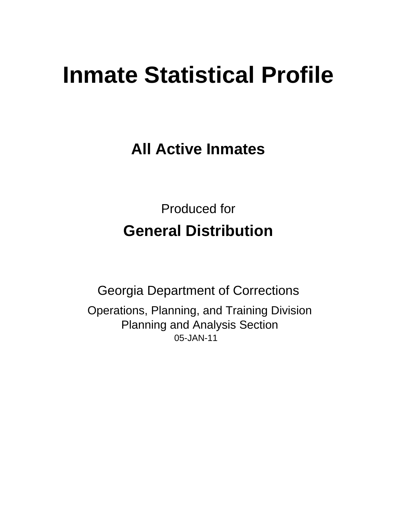# **Inmate Statistical Profile**

**All Active Inmates** 

**Produced for General Distribution** 

**Georgia Department of Corrections** Operations, Planning, and Training Division **Planning and Analysis Section** 05-JAN-11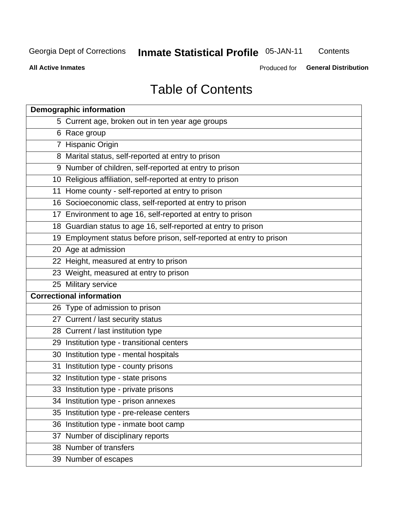# **Inmate Statistical Profile 05-JAN-11**

Contents

**All Active Inmates** 

**General Distribution** Produced for

# **Table of Contents**

| <b>Demographic information</b>                                       |  |  |  |  |  |  |
|----------------------------------------------------------------------|--|--|--|--|--|--|
| 5 Current age, broken out in ten year age groups                     |  |  |  |  |  |  |
| 6 Race group                                                         |  |  |  |  |  |  |
| 7 Hispanic Origin                                                    |  |  |  |  |  |  |
| 8 Marital status, self-reported at entry to prison                   |  |  |  |  |  |  |
| 9 Number of children, self-reported at entry to prison               |  |  |  |  |  |  |
| 10 Religious affiliation, self-reported at entry to prison           |  |  |  |  |  |  |
| 11 Home county - self-reported at entry to prison                    |  |  |  |  |  |  |
| 16 Socioeconomic class, self-reported at entry to prison             |  |  |  |  |  |  |
| 17 Environment to age 16, self-reported at entry to prison           |  |  |  |  |  |  |
| 18 Guardian status to age 16, self-reported at entry to prison       |  |  |  |  |  |  |
| 19 Employment status before prison, self-reported at entry to prison |  |  |  |  |  |  |
| 20 Age at admission                                                  |  |  |  |  |  |  |
| 22 Height, measured at entry to prison                               |  |  |  |  |  |  |
| 23 Weight, measured at entry to prison                               |  |  |  |  |  |  |
| 25 Military service                                                  |  |  |  |  |  |  |
| <b>Correctional information</b>                                      |  |  |  |  |  |  |
| 26 Type of admission to prison                                       |  |  |  |  |  |  |
| 27 Current / last security status                                    |  |  |  |  |  |  |
| 28 Current / last institution type                                   |  |  |  |  |  |  |
| 29 Institution type - transitional centers                           |  |  |  |  |  |  |
| 30 Institution type - mental hospitals                               |  |  |  |  |  |  |
| 31 Institution type - county prisons                                 |  |  |  |  |  |  |
| 32 Institution type - state prisons                                  |  |  |  |  |  |  |
| 33 Institution type - private prisons                                |  |  |  |  |  |  |
| 34 Institution type - prison annexes                                 |  |  |  |  |  |  |
| 35 Institution type - pre-release centers                            |  |  |  |  |  |  |
| 36 Institution type - inmate boot camp                               |  |  |  |  |  |  |
| 37 Number of disciplinary reports                                    |  |  |  |  |  |  |
| 38 Number of transfers                                               |  |  |  |  |  |  |
| 39 Number of escapes                                                 |  |  |  |  |  |  |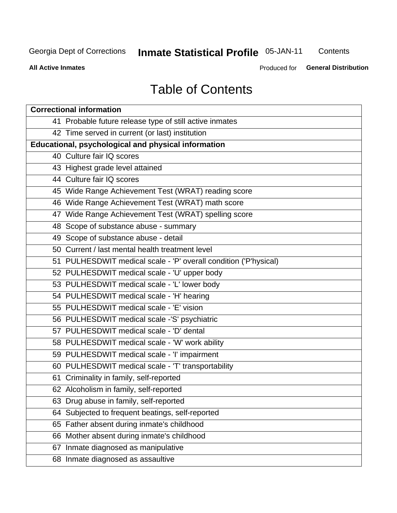# **Inmate Statistical Profile 05-JAN-11**

Contents

**All Active Inmates** 

**General Distribution** Produced for

# **Table of Contents**

| <b>Correctional information</b>                                  |  |  |  |  |  |  |
|------------------------------------------------------------------|--|--|--|--|--|--|
| 41 Probable future release type of still active inmates          |  |  |  |  |  |  |
| 42 Time served in current (or last) institution                  |  |  |  |  |  |  |
| <b>Educational, psychological and physical information</b>       |  |  |  |  |  |  |
| 40 Culture fair IQ scores                                        |  |  |  |  |  |  |
| 43 Highest grade level attained                                  |  |  |  |  |  |  |
| 44 Culture fair IQ scores                                        |  |  |  |  |  |  |
| 45 Wide Range Achievement Test (WRAT) reading score              |  |  |  |  |  |  |
| 46 Wide Range Achievement Test (WRAT) math score                 |  |  |  |  |  |  |
| 47 Wide Range Achievement Test (WRAT) spelling score             |  |  |  |  |  |  |
| 48 Scope of substance abuse - summary                            |  |  |  |  |  |  |
| 49 Scope of substance abuse - detail                             |  |  |  |  |  |  |
| 50 Current / last mental health treatment level                  |  |  |  |  |  |  |
| 51 PULHESDWIT medical scale - 'P' overall condition ('P'hysical) |  |  |  |  |  |  |
| 52 PULHESDWIT medical scale - 'U' upper body                     |  |  |  |  |  |  |
| 53 PULHESDWIT medical scale - 'L' lower body                     |  |  |  |  |  |  |
| 54 PULHESDWIT medical scale - 'H' hearing                        |  |  |  |  |  |  |
| 55 PULHESDWIT medical scale - 'E' vision                         |  |  |  |  |  |  |
| 56 PULHESDWIT medical scale -'S' psychiatric                     |  |  |  |  |  |  |
| 57 PULHESDWIT medical scale - 'D' dental                         |  |  |  |  |  |  |
| 58 PULHESDWIT medical scale - 'W' work ability                   |  |  |  |  |  |  |
| 59 PULHESDWIT medical scale - 'I' impairment                     |  |  |  |  |  |  |
| 60 PULHESDWIT medical scale - 'T' transportability               |  |  |  |  |  |  |
| 61 Criminality in family, self-reported                          |  |  |  |  |  |  |
| 62 Alcoholism in family, self-reported                           |  |  |  |  |  |  |
| 63 Drug abuse in family, self-reported                           |  |  |  |  |  |  |
| 64 Subjected to frequent beatings, self-reported                 |  |  |  |  |  |  |
| 65 Father absent during inmate's childhood                       |  |  |  |  |  |  |
| 66 Mother absent during inmate's childhood                       |  |  |  |  |  |  |
| 67 Inmate diagnosed as manipulative                              |  |  |  |  |  |  |
| 68 Inmate diagnosed as assaultive                                |  |  |  |  |  |  |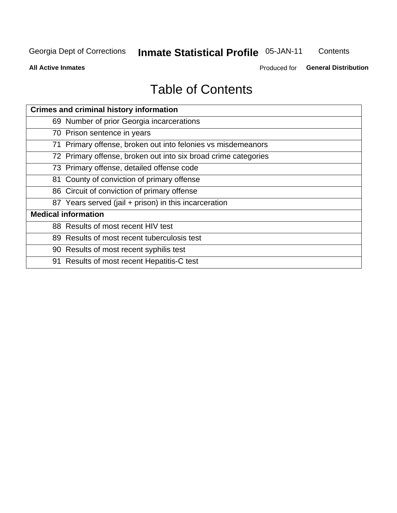# **Inmate Statistical Profile 05-JAN-11**

Contents

**All Active Inmates** 

Produced for General Distribution

# **Table of Contents**

| <b>Crimes and criminal history information</b>                 |
|----------------------------------------------------------------|
| 69 Number of prior Georgia incarcerations                      |
| 70 Prison sentence in years                                    |
| 71 Primary offense, broken out into felonies vs misdemeanors   |
| 72 Primary offense, broken out into six broad crime categories |
| 73 Primary offense, detailed offense code                      |
| 81 County of conviction of primary offense                     |
| 86 Circuit of conviction of primary offense                    |
| 87 Years served (jail + prison) in this incarceration          |
| <b>Medical information</b>                                     |
| 88 Results of most recent HIV test                             |
| 89 Results of most recent tuberculosis test                    |
| 90 Results of most recent syphilis test                        |
| 91 Results of most recent Hepatitis-C test                     |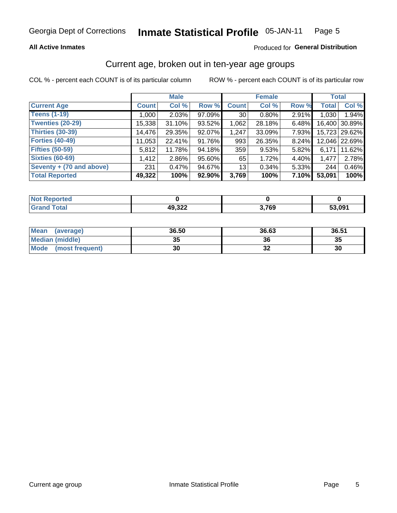### **All Active Inmates**

### Produced for General Distribution

# Current age, broken out in ten-year age groups

COL % - percent each COUNT is of its particular column

|                          |              | <b>Male</b> |        |                 | <b>Female</b> |       |              | <b>Total</b>  |
|--------------------------|--------------|-------------|--------|-----------------|---------------|-------|--------------|---------------|
| <b>Current Age</b>       | <b>Count</b> | Col %       | Row %  | <b>Count</b>    | Col %         | Row % | <b>Total</b> | Col %         |
| <b>Teens (1-19)</b>      | 1,000        | 2.03%       | 97.09% | 30 <sub>1</sub> | 0.80%         | 2.91% | 1,030        | 1.94%         |
| <b>Twenties (20-29)</b>  | 15,338       | 31.10%      | 93.52% | 1,062           | 28.18%        | 6.48% | 16,400       | 30.89%        |
| <b>Thirties (30-39)</b>  | 14,476       | 29.35%      | 92.07% | 1,247           | 33.09%        | 7.93% |              | 15,723 29.62% |
| <b>Forties (40-49)</b>   | 11,053       | 22.41%      | 91.76% | 993             | 26.35%        | 8.24% |              | 12,046 22.69% |
| <b>Fifties (50-59)</b>   | 5,812        | 11.78%      | 94.18% | 359             | 9.53%         | 5.82% | 6.171        | 11.62%        |
| <b>Sixties (60-69)</b>   | 1,412        | 2.86%       | 95.60% | 65              | 1.72%         | 4.40% | 1,477        | 2.78%         |
| Seventy + (70 and above) | 231          | 0.47%       | 94.67% | 13 <sub>1</sub> | 0.34%         | 5.33% | 244          | 0.46%         |
| <b>Total Reported</b>    | 49,322       | 100%        | 92.90% | 3,769           | 100%          | 7.10% | 53,091       | 100%          |

| <b>Not Repo</b><br><b>Anorted</b> |                  |              |        |
|-----------------------------------|------------------|--------------|--------|
| Total                             | ררכ הו<br>49,322 | המד כ<br>้งะ | 53,091 |

| <b>Mean</b><br>(average) | 36.50    | 36.63 | 36.51 |
|--------------------------|----------|-------|-------|
| Median (middle)          | つん<br>vu | 36    | 35    |
| Mode<br>(most frequent)  | 30       | ◡▵    | 30    |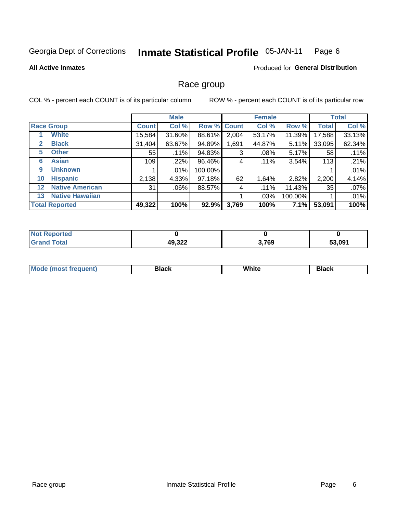#### **Inmate Statistical Profile 05-JAN-11** Page 6

### **All Active Inmates**

### **Produced for General Distribution**

# Race group

COL % - percent each COUNT is of its particular column

|         |                        | <b>Male</b>  |         |         | <b>Female</b> |         |         | <b>Total</b> |        |
|---------|------------------------|--------------|---------|---------|---------------|---------|---------|--------------|--------|
|         | <b>Race Group</b>      | <b>Count</b> | Col %   |         | Row % Count   | Col %   | Row %   | <b>Total</b> | Col %  |
|         | <b>White</b>           | 15,584       | 31.60%  | 88.61%  | 2,004         | 53.17%  | 11.39%  | 17,588       | 33.13% |
| 2       | <b>Black</b>           | 31,404       | 63.67%  | 94.89%  | 1,691         | 44.87%  | 5.11%   | 33,095       | 62.34% |
| 5       | <b>Other</b>           | 55           | .11%    | 94.83%  | 3             | $.08\%$ | 5.17%   | 58           | .11%   |
| 6       | <b>Asian</b>           | 109          | .22%    | 96.46%  | 4             | $.11\%$ | 3.54%   | 113          | .21%   |
| 9       | <b>Unknown</b>         |              | $.01\%$ | 100.00% |               |         |         |              | .01%   |
| 10      | <b>Hispanic</b>        | 2,138        | 4.33%   | 97.18%  | 62            | 1.64%   | 2.82%   | 2,200        | 4.14%  |
| $12 \,$ | <b>Native American</b> | 31           | $.06\%$ | 88.57%  | 4             | .11%    | 11.43%  | 35           | .07%   |
| 13      | <b>Native Hawaiian</b> |              |         |         |               | .03%    | 100.00% |              | .01%   |
|         | <b>Total Reported</b>  | 49,322       | 100%    | 92.9%   | 3,769         | 100%    | 7.1%    | 53,091       | 100%   |

| <b>Not Reported</b>          |        |       |        |
|------------------------------|--------|-------|--------|
| <b>Total</b><br><b>Grand</b> | 49,322 | 3,769 | 53,091 |

| Mode (<br>tenti<br>most tren | こうへん | White<br>$\sim$ $\sim$ $\sim$ | <b>Black</b> |
|------------------------------|------|-------------------------------|--------------|
|                              |      |                               |              |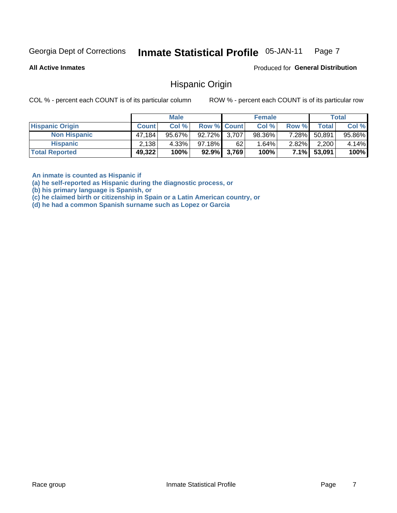#### Inmate Statistical Profile 05-JAN-11 Page 7

**All Active Inmates** 

Produced for General Distribution

# **Hispanic Origin**

COL % - percent each COUNT is of its particular column

ROW % - percent each COUNT is of its particular row

|                        |              | <b>Male</b> |              |             | <b>Female</b> |          |        | <b>Total</b> |
|------------------------|--------------|-------------|--------------|-------------|---------------|----------|--------|--------------|
| <b>Hispanic Origin</b> | <b>Count</b> | Col %       | Row % Count  |             | Col %         | Row %    | Total  | Col %        |
| <b>Non Hispanic</b>    | 47.184       | 95.67%      | 92.72% 3,707 |             | 98.36%        | 7.28%    | 50,891 | 95.86%       |
| <b>Hispanic</b>        | 2,138        | 4.33%       | 97.18%       | 62          | $1.64\%$      | $2.82\%$ | 2,200  | 4.14%        |
| <b>Total Reported</b>  | 49,322       | 100%        |              | 92.9% 3,769 | 100%          | 7.1%     | 53,091 | 100%         |

An inmate is counted as Hispanic if

(a) he self-reported as Hispanic during the diagnostic process, or

(b) his primary language is Spanish, or

(c) he claimed birth or citizenship in Spain or a Latin American country, or

(d) he had a common Spanish surname such as Lopez or Garcia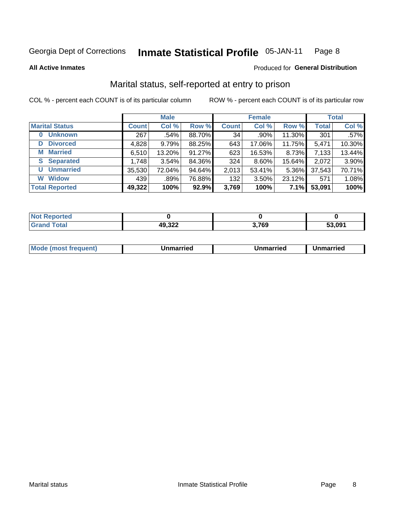#### **Inmate Statistical Profile 05-JAN-11** Page 8

**All Active Inmates** 

### Produced for General Distribution

# Marital status, self-reported at entry to prison

COL % - percent each COUNT is of its particular column

|                            | <b>Male</b>  |        |        | <b>Female</b> |          |          | <b>Total</b> |         |
|----------------------------|--------------|--------|--------|---------------|----------|----------|--------------|---------|
| <b>Marital Status</b>      | <b>Count</b> | Col %  | Row %  | <b>Count</b>  | Col %    | Row %    | <b>Total</b> | Col %   |
| <b>Unknown</b><br>$\bf{0}$ | 267          | .54%   | 88.70% | 34            | .90%     | 11.30%   | 301          | $.57\%$ |
| <b>Divorced</b><br>D       | 4,828        | 9.79%  | 88.25% | 643           | 17.06%   | 11.75%   | 5,471        | 10.30%  |
| <b>Married</b><br>М        | 6,510        | 13.20% | 91.27% | 623           | 16.53%   | 8.73%    | 7,133        | 13.44%  |
| <b>Separated</b><br>S.     | 1,748        | 3.54%  | 84.36% | 324           | 8.60%    | 15.64%   | 2,072        | 3.90%   |
| <b>Unmarried</b><br>U      | 35,530       | 72.04% | 94.64% | 2,013         | 53.41%   | $5.36\%$ | 37,543       | 70.71%  |
| <b>Widow</b><br>W          | 439          | .89%   | 76.88% | 132           | $3.50\%$ | 23.12%   | 571          | 1.08%   |
| <b>Total Reported</b>      | 49,322       | 100%   | 92.9%  | 3,769         | 100%     | 7.1%     | 53,091       | 100%    |

| <b>Not Reported</b> |        |                       |        |
|---------------------|--------|-----------------------|--------|
| Total<br>Grar       | 49,322 | המד כ<br><b>3.709</b> | 53.091 |

|--|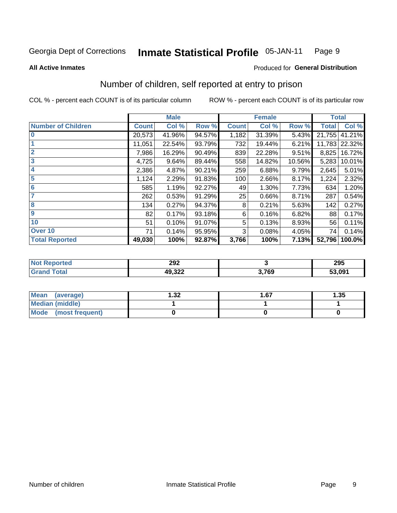#### **Inmate Statistical Profile 05-JAN-11** Page 9

### **All Active Inmates**

# Produced for General Distribution

# Number of children, self reported at entry to prison

COL % - percent each COUNT is of its particular column

|                           |              | <b>Male</b> |        |              | <b>Female</b> |        | <b>Total</b> |               |  |
|---------------------------|--------------|-------------|--------|--------------|---------------|--------|--------------|---------------|--|
| <b>Number of Children</b> | <b>Count</b> | Col %       | Row %  | <b>Count</b> | Col %         | Row %  | <b>Total</b> | Col %         |  |
| $\bf{0}$                  | 20,573       | 41.96%      | 94.57% | 1,182        | 31.39%        | 5.43%  | 21,755       | 41.21%        |  |
|                           | 11,051       | 22.54%      | 93.79% | 732          | 19.44%        | 6.21%  |              | 11,783 22.32% |  |
| $\overline{2}$            | 7,986        | 16.29%      | 90.49% | 839          | 22.28%        | 9.51%  | 8,825        | 16.72%        |  |
| 3                         | 4,725        | 9.64%       | 89.44% | 558          | 14.82%        | 10.56% | 5,283        | 10.01%        |  |
| 4                         | 2,386        | 4.87%       | 90.21% | 259          | 6.88%         | 9.79%  | 2,645        | 5.01%         |  |
| 5                         | 1,124        | 2.29%       | 91.83% | 100          | 2.66%         | 8.17%  | 1,224        | 2.32%         |  |
| $6\phantom{1}6$           | 585          | 1.19%       | 92.27% | 49           | 1.30%         | 7.73%  | 634          | 1.20%         |  |
| 7                         | 262          | 0.53%       | 91.29% | 25           | 0.66%         | 8.71%  | 287          | 0.54%         |  |
| 8                         | 134          | 0.27%       | 94.37% | 8            | 0.21%         | 5.63%  | 142          | 0.27%         |  |
| $\boldsymbol{9}$          | 82           | 0.17%       | 93.18% | 6            | 0.16%         | 6.82%  | 88           | 0.17%         |  |
| 10                        | 51           | 0.10%       | 91.07% | 5            | 0.13%         | 8.93%  | 56           | 0.11%         |  |
| Over 10                   | 71           | 0.14%       | 95.95% | 3            | 0.08%         | 4.05%  | 74           | 0.14%         |  |
| <b>Total Reported</b>     | 49,030       | 100%        | 92.87% | 3,766        | 100%          | 7.13%  | 52,796       | 100.0%        |  |

| w. | 292              |                      | 295    |
|----|------------------|----------------------|--------|
|    | 10.322<br>.J.JLL | 700<br><i>১.।</i> ০৬ | 53,091 |

| <b>Mean</b><br>(average) | l.32 | 1.67 | 1.35 |
|--------------------------|------|------|------|
| Median (middle)          |      |      |      |
| Mode (most frequent)     |      |      |      |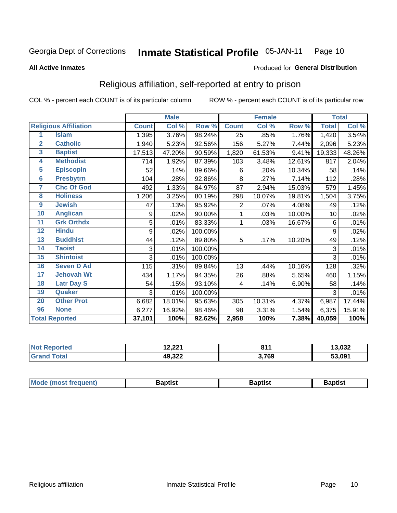#### Inmate Statistical Profile 05-JAN-11 Page 10

**All Active Inmates** 

### Produced for General Distribution

# Religious affiliation, self-reported at entry to prison

COL % - percent each COUNT is of its particular column

|                         |                              | <b>Male</b><br><b>Female</b> |        |         |                |        | <b>Total</b> |              |        |
|-------------------------|------------------------------|------------------------------|--------|---------|----------------|--------|--------------|--------------|--------|
|                         | <b>Religious Affiliation</b> | <b>Count</b>                 | Col %  | Row %   | <b>Count</b>   | Col%   | Row %        | <b>Total</b> | Col %  |
| 1                       | <b>Islam</b>                 | 1,395                        | 3.76%  | 98.24%  | 25             | .85%   | 1.76%        | 1,420        | 3.54%  |
| $\mathbf{2}$            | <b>Catholic</b>              | 1,940                        | 5.23%  | 92.56%  | 156            | 5.27%  | 7.44%        | 2,096        | 5.23%  |
| $\overline{\mathbf{3}}$ | <b>Baptist</b>               | 17,513                       | 47.20% | 90.59%  | 1,820          | 61.53% | 9.41%        | 19,333       | 48.26% |
| $\overline{\mathbf{4}}$ | <b>Methodist</b>             | 714                          | 1.92%  | 87.39%  | 103            | 3.48%  | 12.61%       | 817          | 2.04%  |
| $\overline{5}$          | <b>EpiscopIn</b>             | 52                           | .14%   | 89.66%  | 6              | .20%   | 10.34%       | 58           | .14%   |
| $6\overline{6}$         | <b>Presbytrn</b>             | 104                          | .28%   | 92.86%  | 8              | .27%   | 7.14%        | 112          | .28%   |
| 7                       | <b>Chc Of God</b>            | 492                          | 1.33%  | 84.97%  | 87             | 2.94%  | 15.03%       | 579          | 1.45%  |
| 8                       | <b>Holiness</b>              | 1,206                        | 3.25%  | 80.19%  | 298            | 10.07% | 19.81%       | 1,504        | 3.75%  |
| $\boldsymbol{9}$        | <b>Jewish</b>                | 47                           | .13%   | 95.92%  | $\overline{2}$ | .07%   | 4.08%        | 49           | .12%   |
| 10                      | <b>Anglican</b>              | 9                            | .02%   | 90.00%  |                | .03%   | 10.00%       | 10           | .02%   |
| 11                      | <b>Grk Orthdx</b>            | 5                            | .01%   | 83.33%  |                | .03%   | 16.67%       | 6            | .01%   |
| 12                      | <b>Hindu</b>                 | 9                            | .02%   | 100.00% |                |        |              | 9            | .02%   |
| 13                      | <b>Buddhist</b>              | 44                           | .12%   | 89.80%  | 5              | .17%   | 10.20%       | 49           | .12%   |
| 14                      | <b>Taoist</b>                | 3                            | .01%   | 100.00% |                |        |              | 3            | .01%   |
| 15                      | <b>Shintoist</b>             | 3                            | .01%   | 100.00% |                |        |              | 3            | .01%   |
| 16                      | <b>Seven D Ad</b>            | 115                          | .31%   | 89.84%  | 13             | .44%   | 10.16%       | 128          | .32%   |
| 17                      | <b>Jehovah Wt</b>            | 434                          | 1.17%  | 94.35%  | 26             | .88%   | 5.65%        | 460          | 1.15%  |
| 18                      | <b>Latr Day S</b>            | 54                           | .15%   | 93.10%  | 4              | .14%   | 6.90%        | 58           | .14%   |
| 19                      | Quaker                       | 3                            | .01%   | 100.00% |                |        |              | 3            | .01%   |
| 20                      | <b>Other Prot</b>            | 6,682                        | 18.01% | 95.63%  | 305            | 10.31% | 4.37%        | 6,987        | 17.44% |
| 96                      | <b>None</b>                  | 6,277                        | 16.92% | 98.46%  | 98             | 3.31%  | 1.54%        | 6,375        | 15.91% |
|                         | <b>Total Reported</b>        | 37,101                       | 100%   | 92.62%  | 2,958          | 100%   | 7.38%        | 40,059       | 100%   |

| Reported    | 12 221  | 04.   | 13,032 |
|-------------|---------|-------|--------|
| NO:         | 14.ZZ I | .     |        |
| <b>otal</b> | 49,322  | 3,769 | 53,091 |

| Baptist<br>Baptist<br><b>Baptist</b> |  | <b>Mode (most frequent)</b> |  |  |  |
|--------------------------------------|--|-----------------------------|--|--|--|
|--------------------------------------|--|-----------------------------|--|--|--|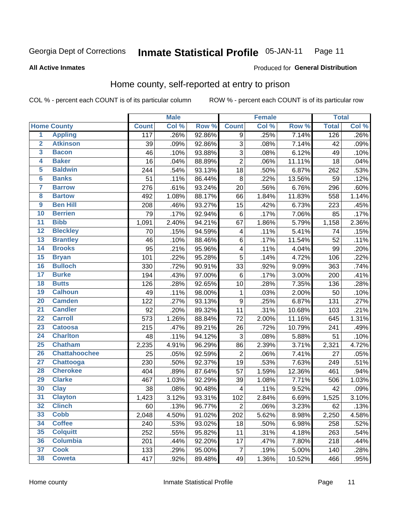#### **Inmate Statistical Profile 05-JAN-11** Page 11

### **All Active Inmates**

# Produced for General Distribution

# Home county, self-reported at entry to prison

COL % - percent each COUNT is of its particular column

|                         |                      |              | <b>Male</b> |        |                         | <b>Female</b> |        | <b>Total</b> |       |
|-------------------------|----------------------|--------------|-------------|--------|-------------------------|---------------|--------|--------------|-------|
|                         | <b>Home County</b>   | <b>Count</b> | Col %       | Row %  | <b>Count</b>            | Col %         | Row %  | <b>Total</b> | Col % |
| $\overline{1}$          | <b>Appling</b>       | 117          | .26%        | 92.86% | 9                       | .25%          | 7.14%  | 126          | .26%  |
| $\overline{2}$          | <b>Atkinson</b>      | 39           | .09%        | 92.86% | 3                       | .08%          | 7.14%  | 42           | .09%  |
| $\overline{\mathbf{3}}$ | <b>Bacon</b>         | 46           | .10%        | 93.88% | $\overline{3}$          | .08%          | 6.12%  | 49           | .10%  |
| 4                       | <b>Baker</b>         | 16           | .04%        | 88.89% | $\overline{2}$          | .06%          | 11.11% | 18           | .04%  |
| 5                       | <b>Baldwin</b>       | 244          | .54%        | 93.13% | 18                      | .50%          | 6.87%  | 262          | .53%  |
| $6\phantom{a}$          | <b>Banks</b>         | 51           | .11%        | 86.44% | 8                       | .22%          | 13.56% | 59           | .12%  |
| 7                       | <b>Barrow</b>        | 276          | .61%        | 93.24% | 20                      | .56%          | 6.76%  | 296          | .60%  |
| 8                       | <b>Bartow</b>        | 492          | 1.08%       | 88.17% | 66                      | 1.84%         | 11.83% | 558          | 1.14% |
| $\overline{9}$          | <b>Ben Hill</b>      | 208          | .46%        | 93.27% | 15                      | .42%          | 6.73%  | 223          | .45%  |
| 10                      | <b>Berrien</b>       | 79           | .17%        | 92.94% | 6                       | .17%          | 7.06%  | 85           | .17%  |
| $\overline{11}$         | <b>Bibb</b>          | 1,091        | 2.40%       | 94.21% | 67                      | 1.86%         | 5.79%  | 1,158        | 2.36% |
| $\overline{12}$         | <b>Bleckley</b>      | 70           | .15%        | 94.59% | $\overline{\mathbf{4}}$ | .11%          | 5.41%  | 74           | .15%  |
| $\overline{13}$         | <b>Brantley</b>      | 46           | .10%        | 88.46% | $\,6$                   | .17%          | 11.54% | 52           | .11%  |
| 14                      | <b>Brooks</b>        | 95           | .21%        | 95.96% | 4                       | .11%          | 4.04%  | 99           | .20%  |
| 15                      | <b>Bryan</b>         | 101          | .22%        | 95.28% | $\overline{5}$          | .14%          | 4.72%  | 106          | .22%  |
| 16                      | <b>Bulloch</b>       | 330          | .72%        | 90.91% | 33                      | .92%          | 9.09%  | 363          | .74%  |
| $\overline{17}$         | <b>Burke</b>         | 194          | .43%        | 97.00% | 6                       | .17%          | 3.00%  | 200          | .41%  |
| 18                      | <b>Butts</b>         | 126          | .28%        | 92.65% | 10                      | .28%          | 7.35%  | 136          | .28%  |
| 19                      | <b>Calhoun</b>       | 49           | .11%        | 98.00% | $\mathbf{1}$            | .03%          | 2.00%  | 50           | .10%  |
| 20                      | <b>Camden</b>        | 122          | .27%        | 93.13% | $\boldsymbol{9}$        | .25%          | 6.87%  | 131          | .27%  |
| $\overline{21}$         | <b>Candler</b>       | 92           | .20%        | 89.32% | 11                      | .31%          | 10.68% | 103          | .21%  |
| $\overline{22}$         | <b>Carroll</b>       | 573          | 1.26%       | 88.84% | $\overline{72}$         | 2.00%         | 11.16% | 645          | 1.31% |
| 23                      | <b>Catoosa</b>       | 215          | .47%        | 89.21% | 26                      | .72%          | 10.79% | 241          | .49%  |
| $\overline{24}$         | <b>Charlton</b>      | 48           | .11%        | 94.12% | 3                       | .08%          | 5.88%  | 51           | .10%  |
| 25                      | <b>Chatham</b>       | 2,235        | 4.91%       | 96.29% | 86                      | 2.39%         | 3.71%  | 2,321        | 4.72% |
| 26                      | <b>Chattahoochee</b> | 25           | .05%        | 92.59% | $\overline{2}$          | .06%          | 7.41%  | 27           | .05%  |
| $\overline{27}$         | <b>Chattooga</b>     | 230          | .50%        | 92.37% | 19                      | .53%          | 7.63%  | 249          | .51%  |
| 28                      | <b>Cherokee</b>      | 404          | .89%        | 87.64% | 57                      | 1.59%         | 12.36% | 461          | .94%  |
| 29                      | <b>Clarke</b>        | 467          | 1.03%       | 92.29% | 39                      | 1.08%         | 7.71%  | 506          | 1.03% |
| 30                      | <b>Clay</b>          | 38           | .08%        | 90.48% | 4                       | .11%          | 9.52%  | 42           | .09%  |
| $\overline{31}$         | <b>Clayton</b>       | 1,423        | 3.12%       | 93.31% | 102                     | 2.84%         | 6.69%  | 1,525        | 3.10% |
| 32                      | <b>Clinch</b>        | 60           | .13%        | 96.77% | $\overline{2}$          | .06%          | 3.23%  | 62           | .13%  |
| 33                      | <b>Cobb</b>          | 2,048        | 4.50%       | 91.02% | 202                     | 5.62%         | 8.98%  | 2,250        | 4.58% |
| 34                      | <b>Coffee</b>        | 240          | .53%        | 93.02% | 18                      | .50%          | 6.98%  | 258          | .52%  |
| 35                      | <b>Colquitt</b>      | 252          | .55%        | 95.82% | 11                      | .31%          | 4.18%  | 263          | .54%  |
| 36                      | <b>Columbia</b>      | 201          | .44%        | 92.20% | 17                      | .47%          | 7.80%  | 218          | .44%  |
| 37                      | <b>Cook</b>          | 133          | .29%        | 95.00% | $\overline{7}$          | .19%          | 5.00%  | 140          | .28%  |
| 38                      | <b>Coweta</b>        | 417          | .92%        | 89.48% | 49                      | 1.36%         | 10.52% | 466          | .95%  |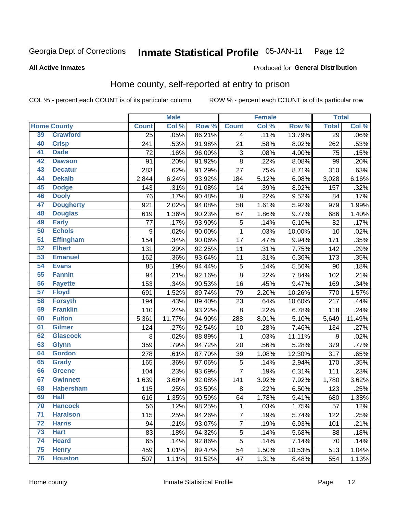#### **Inmate Statistical Profile 05-JAN-11** Page 12

### **All Active Inmates**

# Produced for General Distribution

# Home county, self-reported at entry to prison

COL % - percent each COUNT is of its particular column

|                 |                    |                  | <b>Male</b> |        |                           | <b>Female</b> |        | <b>Total</b>    |                            |
|-----------------|--------------------|------------------|-------------|--------|---------------------------|---------------|--------|-----------------|----------------------------|
|                 | <b>Home County</b> | <b>Count</b>     | Col %       | Row %  | <b>Count</b>              | Col %         | Row %  | <b>Total</b>    | $\overline{\text{Col }\%}$ |
| 39              | <b>Crawford</b>    | $\overline{25}$  | .05%        | 86.21% | $\overline{\mathbf{4}}$   | .11%          | 13.79% | $\overline{29}$ | $.06\%$                    |
| 40              | <b>Crisp</b>       | 241              | .53%        | 91.98% | 21                        | .58%          | 8.02%  | 262             | .53%                       |
| 41              | <b>Dade</b>        | 72               | .16%        | 96.00% | $\ensuremath{\mathsf{3}}$ | .08%          | 4.00%  | 75              | .15%                       |
| 42              | <b>Dawson</b>      | 91               | .20%        | 91.92% | 8                         | .22%          | 8.08%  | 99              | .20%                       |
| 43              | <b>Decatur</b>     | 283              | .62%        | 91.29% | 27                        | .75%          | 8.71%  | 310             | .63%                       |
| 44              | <b>Dekalb</b>      | 2,844            | 6.24%       | 93.92% | 184                       | 5.12%         | 6.08%  | 3,028           | 6.16%                      |
| 45              | <b>Dodge</b>       | 143              | .31%        | 91.08% | 14                        | .39%          | 8.92%  | 157             | .32%                       |
| 46              | <b>Dooly</b>       | 76               | .17%        | 90.48% | 8                         | .22%          | 9.52%  | 84              | .17%                       |
| 47              | <b>Dougherty</b>   | 921              | 2.02%       | 94.08% | 58                        | 1.61%         | 5.92%  | 979             | 1.99%                      |
| 48              | <b>Douglas</b>     | 619              | 1.36%       | 90.23% | 67                        | 1.86%         | 9.77%  | 686             | 1.40%                      |
| 49              | <b>Early</b>       | 77               | .17%        | 93.90% | $\mathbf 5$               | .14%          | 6.10%  | 82              | .17%                       |
| 50              | <b>Echols</b>      | $\boldsymbol{9}$ | .02%        | 90.00% | 1                         | .03%          | 10.00% | 10              | .02%                       |
| $\overline{51}$ | <b>Effingham</b>   | 154              | .34%        | 90.06% | 17                        | .47%          | 9.94%  | 171             | .35%                       |
| 52              | <b>Elbert</b>      | 131              | .29%        | 92.25% | 11                        | .31%          | 7.75%  | 142             | .29%                       |
| 53              | <b>Emanuel</b>     | 162              | .36%        | 93.64% | 11                        | .31%          | 6.36%  | 173             | .35%                       |
| 54              | <b>Evans</b>       | 85               | .19%        | 94.44% | 5                         | .14%          | 5.56%  | 90              | .18%                       |
| 55              | <b>Fannin</b>      | 94               | .21%        | 92.16% | 8                         | .22%          | 7.84%  | 102             | .21%                       |
| 56              | <b>Fayette</b>     | 153              | .34%        | 90.53% | 16                        | .45%          | 9.47%  | 169             | .34%                       |
| $\overline{57}$ | <b>Floyd</b>       | 691              | 1.52%       | 89.74% | 79                        | 2.20%         | 10.26% | 770             | 1.57%                      |
| 58              | <b>Forsyth</b>     | 194              | .43%        | 89.40% | 23                        | .64%          | 10.60% | 217             | .44%                       |
| 59              | <b>Franklin</b>    | 110              | .24%        | 93.22% | 8                         | .22%          | 6.78%  | 118             | .24%                       |
| 60              | <b>Fulton</b>      | 5,361            | 11.77%      | 94.90% | 288                       | 8.01%         | 5.10%  | 5,649           | 11.49%                     |
| 61              | <b>Gilmer</b>      | 124              | .27%        | 92.54% | 10                        | .28%          | 7.46%  | 134             | .27%                       |
| 62              | <b>Glascock</b>    | 8                | .02%        | 88.89% | 1                         | .03%          | 11.11% | 9               | .02%                       |
| 63              | <b>Glynn</b>       | 359              | .79%        | 94.72% | 20                        | .56%          | 5.28%  | 379             | .77%                       |
| 64              | <b>Gordon</b>      | 278              | .61%        | 87.70% | 39                        | 1.08%         | 12.30% | 317             | .65%                       |
| 65              | <b>Grady</b>       | 165              | .36%        | 97.06% | 5                         | .14%          | 2.94%  | 170             | .35%                       |
| 66              | <b>Greene</b>      | 104              | .23%        | 93.69% | $\overline{7}$            | .19%          | 6.31%  | 111             | .23%                       |
| 67              | <b>Gwinnett</b>    | 1,639            | 3.60%       | 92.08% | 141                       | 3.92%         | 7.92%  | 1,780           | 3.62%                      |
| 68              | <b>Habersham</b>   | 115              | .25%        | 93.50% | 8                         | .22%          | 6.50%  | 123             | .25%                       |
| 69              | <b>Hall</b>        | 616              | 1.35%       | 90.59% | 64                        | 1.78%         | 9.41%  | 680             | 1.38%                      |
| 70              | <b>Hancock</b>     | 56               | .12%        | 98.25% | $\mathbf{1}$              | .03%          | 1.75%  | 57              | .12%                       |
| $\overline{71}$ | <b>Haralson</b>    | 115              | .25%        | 94.26% | $\overline{7}$            | .19%          | 5.74%  | 122             | .25%                       |
| 72              | <b>Harris</b>      | 94               | .21%        | 93.07% | 7                         | .19%          | 6.93%  | 101             | .21%                       |
| 73              | <b>Hart</b>        | 83               | .18%        | 94.32% | $\overline{5}$            | .14%          | 5.68%  | 88              | .18%                       |
| 74              | <b>Heard</b>       | 65               | .14%        | 92.86% | $\mathbf 5$               | .14%          | 7.14%  | 70              | .14%                       |
| 75              | <b>Henry</b>       | 459              | 1.01%       | 89.47% | 54                        | 1.50%         | 10.53% | 513             | 1.04%                      |
| 76              | <b>Houston</b>     | 507              | 1.11%       | 91.52% | 47                        | 1.31%         | 8.48%  | 554             | 1.13%                      |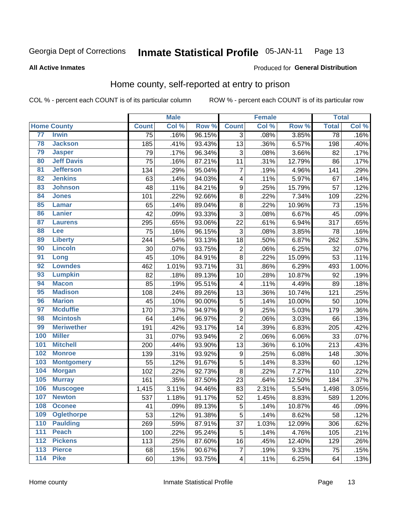#### Inmate Statistical Profile 05-JAN-11 Page 13

### **All Active Inmates**

### Produced for General Distribution

# Home county, self-reported at entry to prison

COL % - percent each COUNT is of its particular column

|                  |                    |              | <b>Male</b> |        |                         | <b>Female</b> |        | <b>Total</b> |       |
|------------------|--------------------|--------------|-------------|--------|-------------------------|---------------|--------|--------------|-------|
|                  | <b>Home County</b> | <b>Count</b> | Col %       | Row %  | <b>Count</b>            | Col %         | Row %  | <b>Total</b> | Col % |
| 77               | <b>Irwin</b>       | 75           | .16%        | 96.15% | 3                       | .08%          | 3.85%  | 78           | .16%  |
| 78               | <b>Jackson</b>     | 185          | .41%        | 93.43% | 13                      | .36%          | 6.57%  | 198          | .40%  |
| 79               | <b>Jasper</b>      | 79           | .17%        | 96.34% | 3                       | .08%          | 3.66%  | 82           | .17%  |
| 80               | <b>Jeff Davis</b>  | 75           | .16%        | 87.21% | 11                      | .31%          | 12.79% | 86           | .17%  |
| $\overline{81}$  | <b>Jefferson</b>   | 134          | .29%        | 95.04% | $\overline{7}$          | .19%          | 4.96%  | 141          | .29%  |
| 82               | <b>Jenkins</b>     | 63           | .14%        | 94.03% | 4                       | .11%          | 5.97%  | 67           | .14%  |
| 83               | <b>Johnson</b>     | 48           | .11%        | 84.21% | $\boldsymbol{9}$        | .25%          | 15.79% | 57           | .12%  |
| 84               | <b>Jones</b>       | 101          | .22%        | 92.66% | 8                       | .22%          | 7.34%  | 109          | .22%  |
| 85               | <b>Lamar</b>       | 65           | .14%        | 89.04% | 8                       | 22%           | 10.96% | 73           | .15%  |
| 86               | <b>Lanier</b>      | 42           | .09%        | 93.33% | 3                       | .08%          | 6.67%  | 45           | .09%  |
| 87               | <b>Laurens</b>     | 295          | .65%        | 93.06% | 22                      | .61%          | 6.94%  | 317          | .65%  |
| 88               | <b>Lee</b>         | 75           | .16%        | 96.15% | 3                       | .08%          | 3.85%  | 78           | .16%  |
| 89               | <b>Liberty</b>     | 244          | .54%        | 93.13% | 18                      | .50%          | 6.87%  | 262          | .53%  |
| 90               | <b>Lincoln</b>     | 30           | .07%        | 93.75% | $\overline{\mathbf{c}}$ | .06%          | 6.25%  | 32           | .07%  |
| 91               | Long               | 45           | .10%        | 84.91% | 8                       | .22%          | 15.09% | 53           | .11%  |
| 92               | <b>Lowndes</b>     | 462          | 1.01%       | 93.71% | 31                      | .86%          | 6.29%  | 493          | 1.00% |
| 93               | <b>Lumpkin</b>     | 82           | .18%        | 89.13% | 10                      | .28%          | 10.87% | 92           | .19%  |
| 94               | <b>Macon</b>       | 85           | .19%        | 95.51% | 4                       | .11%          | 4.49%  | 89           | .18%  |
| 95               | <b>Madison</b>     | 108          | .24%        | 89.26% | 13                      | .36%          | 10.74% | 121          | .25%  |
| 96               | <b>Marion</b>      | 45           | .10%        | 90.00% | 5                       | .14%          | 10.00% | 50           | .10%  |
| 97               | <b>Mcduffie</b>    | 170          | .37%        | 94.97% | $\boldsymbol{9}$        | .25%          | 5.03%  | 179          | .36%  |
| 98               | <b>Mcintosh</b>    | 64           | .14%        | 96.97% | $\overline{2}$          | .06%          | 3.03%  | 66           | .13%  |
| 99               | <b>Meriwether</b>  | 191          | .42%        | 93.17% | 14                      | .39%          | 6.83%  | 205          | .42%  |
| 100              | <b>Miller</b>      | 31           | .07%        | 93.94% | $\overline{2}$          | .06%          | 6.06%  | 33           | .07%  |
| 101              | <b>Mitchell</b>    | 200          | .44%        | 93.90% | 13                      | .36%          | 6.10%  | 213          | .43%  |
| 102              | <b>Monroe</b>      | 139          | .31%        | 93.92% | $\boldsymbol{9}$        | .25%          | 6.08%  | 148          | .30%  |
| 103              | <b>Montgomery</b>  | 55           | .12%        | 91.67% | $\overline{5}$          | .14%          | 8.33%  | 60           | .12%  |
| 104              | <b>Morgan</b>      | 102          | .22%        | 92.73% | 8                       | .22%          | 7.27%  | 110          | .22%  |
| 105              | <b>Murray</b>      | 161          | .35%        | 87.50% | 23                      | .64%          | 12.50% | 184          | .37%  |
| 106              | <b>Muscogee</b>    | 1,415        | 3.11%       | 94.46% | 83                      | 2.31%         | 5.54%  | 1,498        | 3.05% |
| 107              | <b>Newton</b>      | 537          | 1.18%       | 91.17% | 52                      | 1.45%         | 8.83%  | 589          | 1.20% |
| 108              | <b>Oconee</b>      | 41           | .09%        | 89.13% | 5                       | .14%          | 10.87% | 46           | .09%  |
| 109              | <b>Oglethorpe</b>  | 53           | .12%        | 91.38% | 5                       | .14%          | 8.62%  | 58           | .12%  |
| 110              | <b>Paulding</b>    | 269          | .59%        | 87.91% | 37                      | 1.03%         | 12.09% | 306          | .62%  |
| 111              | <b>Peach</b>       | 100          | .22%        | 95.24% | 5                       | .14%          | 4.76%  | 105          | .21%  |
| 112              | <b>Pickens</b>     | 113          | .25%        | 87.60% | 16                      | .45%          | 12.40% | 129          | .26%  |
| $\overline{113}$ | <b>Pierce</b>      | 68           | .15%        | 90.67% | $\overline{7}$          | .19%          | 9.33%  | 75           | .15%  |
| $\overline{114}$ | <b>Pike</b>        | 60           | .13%        | 93.75% | 4                       | .11%          | 6.25%  | 64           | .13%  |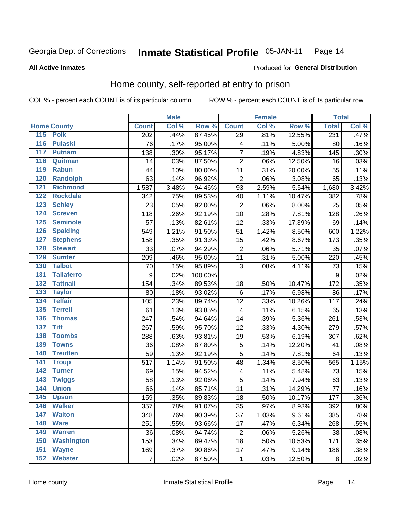#### **Inmate Statistical Profile 05-JAN-11** Page 14

### **All Active Inmates**

### Produced for General Distribution

# Home county, self-reported at entry to prison

COL % - percent each COUNT is of its particular column

|                  |                    |                  | <b>Male</b> |         |                         | <b>Female</b> |        | <b>Total</b> |       |
|------------------|--------------------|------------------|-------------|---------|-------------------------|---------------|--------|--------------|-------|
|                  | <b>Home County</b> | <b>Count</b>     | Col %       | Row %   | <b>Count</b>            | Col %         | Row %  | <b>Total</b> | Col % |
|                  | 115 Polk           | $\overline{202}$ | .44%        | 87.45%  | $\overline{29}$         | .81%          | 12.55% | 231          | .47%  |
| $\overline{116}$ | <b>Pulaski</b>     | 76               | .17%        | 95.00%  | 4                       | .11%          | 5.00%  | 80           | .16%  |
| 117              | <b>Putnam</b>      | 138              | .30%        | 95.17%  | $\overline{7}$          | .19%          | 4.83%  | 145          | .30%  |
| 118              | Quitman            | 14               | .03%        | 87.50%  | $\overline{c}$          | .06%          | 12.50% | 16           | .03%  |
| 119              | <b>Rabun</b>       | 44               | .10%        | 80.00%  | 11                      | .31%          | 20.00% | 55           | .11%  |
| 120              | <b>Randolph</b>    | 63               | .14%        | 96.92%  | $\overline{2}$          | .06%          | 3.08%  | 65           | .13%  |
| 121              | <b>Richmond</b>    | 1,587            | 3.48%       | 94.46%  | 93                      | 2.59%         | 5.54%  | 1,680        | 3.42% |
| 122              | <b>Rockdale</b>    | 342              | .75%        | 89.53%  | 40                      | 1.11%         | 10.47% | 382          | .78%  |
| 123              | <b>Schley</b>      | 23               | .05%        | 92.00%  | $\mathbf 2$             | .06%          | 8.00%  | 25           | .05%  |
| 124              | <b>Screven</b>     | 118              | .26%        | 92.19%  | 10                      | .28%          | 7.81%  | 128          | .26%  |
| 125              | <b>Seminole</b>    | 57               | .13%        | 82.61%  | 12                      | .33%          | 17.39% | 69           | .14%  |
| 126              | <b>Spalding</b>    | 549              | 1.21%       | 91.50%  | 51                      | 1.42%         | 8.50%  | 600          | 1.22% |
| 127              | <b>Stephens</b>    | 158              | .35%        | 91.33%  | 15                      | .42%          | 8.67%  | 173          | .35%  |
| 128              | <b>Stewart</b>     | 33               | .07%        | 94.29%  | $\overline{2}$          | .06%          | 5.71%  | 35           | .07%  |
| 129              | <b>Sumter</b>      | 209              | .46%        | 95.00%  | 11                      | .31%          | 5.00%  | 220          | .45%  |
| 130              | <b>Talbot</b>      | 70               | .15%        | 95.89%  | $\overline{3}$          | .08%          | 4.11%  | 73           | .15%  |
| 131              | <b>Taliaferro</b>  | $\boldsymbol{9}$ | .02%        | 100.00% |                         |               |        | 9            | .02%  |
| 132              | <b>Tattnall</b>    | 154              | .34%        | 89.53%  | 18                      | .50%          | 10.47% | 172          | .35%  |
| 133              | <b>Taylor</b>      | 80               | .18%        | 93.02%  | $\,6$                   | .17%          | 6.98%  | 86           | .17%  |
| 134              | <b>Telfair</b>     | 105              | .23%        | 89.74%  | 12                      | .33%          | 10.26% | 117          | .24%  |
| 135              | <b>Terrell</b>     | 61               | .13%        | 93.85%  | $\overline{4}$          | .11%          | 6.15%  | 65           | .13%  |
| 136              | <b>Thomas</b>      | 247              | .54%        | 94.64%  | 14                      | .39%          | 5.36%  | 261          | .53%  |
| 137              | <b>Tift</b>        | 267              | .59%        | 95.70%  | 12                      | .33%          | 4.30%  | 279          | .57%  |
| 138              | <b>Toombs</b>      | 288              | .63%        | 93.81%  | 19                      | .53%          | 6.19%  | 307          | .62%  |
| 139              | <b>Towns</b>       | 36               | .08%        | 87.80%  | 5                       | .14%          | 12.20% | 41           | .08%  |
| 140              | <b>Treutlen</b>    | 59               | .13%        | 92.19%  | 5                       | .14%          | 7.81%  | 64           | .13%  |
| 141              | <b>Troup</b>       | 517              | 1.14%       | 91.50%  | 48                      | 1.34%         | 8.50%  | 565          | 1.15% |
| 142              | <b>Turner</b>      | 69               | .15%        | 94.52%  | $\overline{\mathbf{4}}$ | .11%          | 5.48%  | 73           | .15%  |
| $\overline{143}$ | <b>Twiggs</b>      | 58               | .13%        | 92.06%  | 5                       | .14%          | 7.94%  | 63           | .13%  |
| 144              | <b>Union</b>       | 66               | .14%        | 85.71%  | 11                      | .31%          | 14.29% | 77           | .16%  |
| 145              | <b>Upson</b>       | 159              | .35%        | 89.83%  | 18                      | .50%          | 10.17% | 177          | .36%  |
| 146              | <b>Walker</b>      | 357              | .78%        | 91.07%  | 35                      | .97%          | 8.93%  | 392          | .80%  |
| 147              | <b>Walton</b>      | 348              | .76%        | 90.39%  | 37                      | 1.03%         | 9.61%  | 385          | .78%  |
| 148              | <b>Ware</b>        | 251              | .55%        | 93.66%  | 17                      | .47%          | 6.34%  | 268          | .55%  |
| 149              | <b>Warren</b>      | 36               | .08%        | 94.74%  | $\overline{c}$          | .06%          | 5.26%  | 38           | .08%  |
| 150              | <b>Washington</b>  | 153              | .34%        | 89.47%  | 18                      | .50%          | 10.53% | 171          | .35%  |
| 151              | <b>Wayne</b>       | 169              | .37%        | 90.86%  | 17                      | .47%          | 9.14%  | 186          | .38%  |
| 152              | <b>Webster</b>     | 7                | .02%        | 87.50%  | 1                       | .03%          | 12.50% | 8            | .02%  |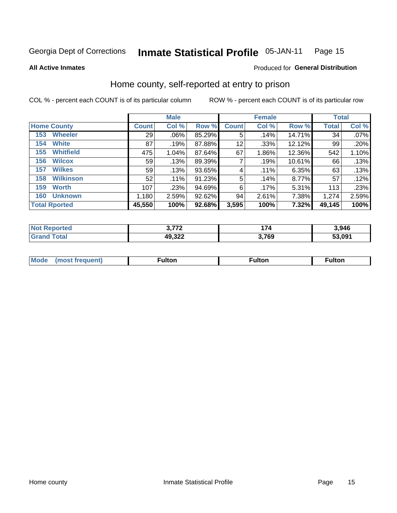**All Active Inmates** 

#### Inmate Statistical Profile 05-JAN-11 Page 15

Produced for General Distribution

# Home county, self-reported at entry to prison

COL % - percent each COUNT is of its particular column

|                         |              | <b>Male</b> |           |              | <b>Female</b> |          | <b>Total</b> |       |
|-------------------------|--------------|-------------|-----------|--------------|---------------|----------|--------------|-------|
| <b>Home County</b>      | <b>Count</b> | Col %       | Row %     | <b>Count</b> | Col %         | Row %    | <b>Total</b> | Col % |
| <b>Wheeler</b><br>153   | 29           | $.06\%$     | 85.29%    | 5            | .14%          | 14.71%   | 34           | .07%  |
| <b>White</b><br>154     | 87           | .19%        | 87.88%    | 12           | .33%          | 12.12%   | 99           | .20%  |
| <b>Whitfield</b><br>155 | 475          | 1.04%       | 87.64%    | 67           | 1.86%         | 12.36%   | 542          | 1.10% |
| <b>Wilcox</b><br>156    | 59           | .13%        | 89.39%    | 7            | .19%          | 10.61%   | 66           | .13%  |
| <b>Wilkes</b><br>157    | 59           | .13%        | 93.65%    | 4            | .11%          | 6.35%    | 63           | .13%  |
| <b>Wilkinson</b><br>158 | 52           | .11%        | 91.23%    | 5            | .14%          | 8.77%    | 57           | .12%  |
| 159<br><b>Worth</b>     | 107          | .23%        | $94.69\%$ | 6            | .17%          | $5.31\%$ | 113          | .23%  |
| <b>Unknown</b><br>160   | 1,180        | 2.59%       | 92.62%    | 94           | 2.61%         | 7.38%    | 1,274        | 2.59% |
| <b>Total Rported</b>    | 45,550       | 100%        | 92.68%    | 3,595        | 100%          | 7.32%    | 49,145       | 100%  |

| rted<br><b>N</b> | ラフヘ    | 1 7 A<br>74 | 3,946  |
|------------------|--------|-------------|--------|
| <b>otal</b>      | 49,322 | 3,769       | 53,091 |

| <b>Mode</b><br>1100 | -----<br>וויי "ונט | <b>Fulton</b> | <b>Fulton</b> |
|---------------------|--------------------|---------------|---------------|
|                     |                    |               |               |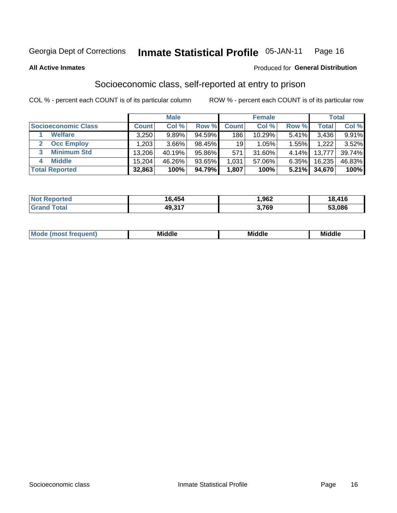#### **Inmate Statistical Profile 05-JAN-11** Page 16

**All Active Inmates** 

### **Produced for General Distribution**

# Socioeconomic class, self-reported at entry to prison

COL % - percent each COUNT is of its particular column

|                         |              | <b>Male</b> |        |                 | <b>Female</b> |       |        | <b>Total</b> |
|-------------------------|--------------|-------------|--------|-----------------|---------------|-------|--------|--------------|
| Socioeconomic Class     | <b>Count</b> | Col %       | Row %  | <b>Count</b>    | Col %         | Row % | Total, | Col %        |
| <b>Welfare</b>          | 3,250        | 9.89%       | 94.59% | 186             | 10.29%        | 5.41% | 3,436  | 9.91%        |
| <b>Occ Employ</b>       | .203         | 3.66%       | 98.45% | 19 <sup>1</sup> | 1.05%         | 1.55% | 1,222  | $3.52\%$     |
| <b>Minimum Std</b><br>3 | 13,206       | 40.19%      | 95.86% | 571             | 31.60%        | 4.14% | 13,777 | 39.74%       |
| <b>Middle</b><br>4      | 15,204       | 46.26%      | 93.65% | 1,031           | 57.06%        | 6.35% | 16,235 | 46.83%       |
| <b>Total Reported</b>   | 32,863       | 100%        | 94.79% | 1,807           | 100%          | 5.21% | 34,670 | 100%         |

| <b>orted</b><br>NO | 6,454  | ,962 | 18,416 |
|--------------------|--------|------|--------|
| $\sim$ to $\sim$   | 49,317 | ,769 | 53,086 |

| Mo<br><b>Middle</b><br><b>Middle</b><br>uuıt<br>____<br>____<br>____ |  |
|----------------------------------------------------------------------|--|
|----------------------------------------------------------------------|--|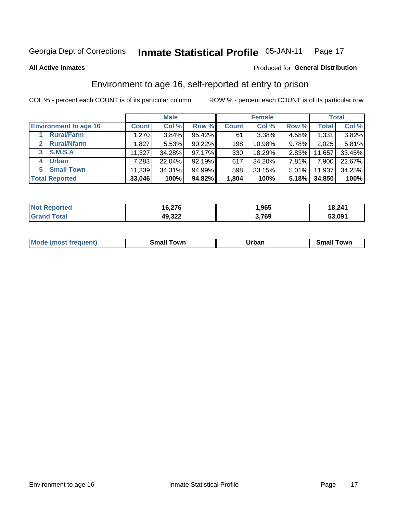#### **Inmate Statistical Profile 05-JAN-11** Page 17

**All Active Inmates** 

### Produced for General Distribution

# Environment to age 16, self-reported at entry to prison

COL % - percent each COUNT is of its particular column

|                                      |              | <b>Male</b> |        |                  | <b>Female</b> |          |        | <b>Total</b> |
|--------------------------------------|--------------|-------------|--------|------------------|---------------|----------|--------|--------------|
| <b>Environment to age 16</b>         | <b>Count</b> | Col %       | Row %  | <b>Count</b>     | Col %         | Row %    | Total  | Col %        |
| <b>Rural/Farm</b>                    | 1,270        | 3.84%       | 95.42% | 61               | 3.38%         | 4.58%    | 1,331  | 3.82%        |
| <b>Rural/Nfarm</b><br>$\overline{2}$ | 1,827        | 5.53%       | 90.22% | 198              | 10.98%        | 9.78%    | 2,025  | 5.81%        |
| 3 S.M.S.A                            | 11,327       | 34.28%      | 97.17% | 330 <sub>1</sub> | 18.29%        | $2.83\%$ | 11,657 | 33.45%       |
| <b>Urban</b><br>4                    | 7,283        | 22.04%      | 92.19% | 617              | 34.20%        | 7.81%    | 7,900  | 22.67%       |
| 5 Small Town                         | 11,339       | 34.31%      | 94.99% | 598              | 33.15%        | $5.01\%$ | 11,937 | 34.25%       |
| <b>Total Reported</b>                | 33,046       | 100%        | 94.82% | 1,804            | 100%          | 5.18%    | 34,850 | 100%         |

| <b>Not Reported</b> | 16,276 | ,965  | 18,241 |
|---------------------|--------|-------|--------|
| $\tau$ otal $\;$    | 49,322 | 3,769 | 53,091 |

| <b>Mode (most frequent)</b> | `own<br>৲maii<br>_____ | Irban<br>____ | , owr<br>эr |
|-----------------------------|------------------------|---------------|-------------|
|                             |                        |               |             |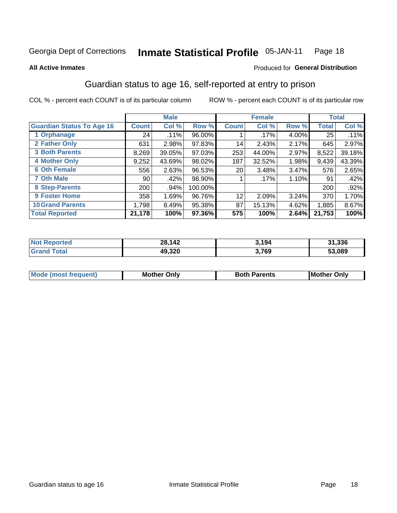#### **Inmate Statistical Profile 05-JAN-11** Page 18

**All Active Inmates** 

### Produced for General Distribution

# Guardian status to age 16, self-reported at entry to prison

COL % - percent each COUNT is of its particular column

|                                  |              | <b>Male</b> |           |              | <b>Female</b> |       |        | <b>Total</b> |
|----------------------------------|--------------|-------------|-----------|--------------|---------------|-------|--------|--------------|
| <b>Guardian Status To Age 16</b> | <b>Count</b> | Col %       | Row %     | <b>Count</b> | Col %         | Row % | Total  | Col %        |
| 1 Orphanage                      | 24           | $.11\%$     | $96.00\%$ |              | $.17\%$       | 4.00% | 25     | .11%         |
| 2 Father Only                    | 631          | 2.98%       | 97.83%    | 14           | 2.43%         | 2.17% | 645    | 2.97%        |
| <b>3 Both Parents</b>            | 8,269        | 39.05%      | 97.03%    | 253          | 44.00%        | 2.97% | 8,522  | 39.18%       |
| <b>4 Mother Only</b>             | 9,252        | 43.69%      | 98.02%    | 187          | 32.52%        | 1.98% | 9,439  | 43.39%       |
| <b>6 Oth Female</b>              | 556          | 2.63%       | 96.53%    | 20           | 3.48%         | 3.47% | 576    | 2.65%        |
| <b>7 Oth Male</b>                | 90           | .42%        | 98.90%    |              | $.17\%$       | 1.10% | 91     | .42%         |
| 8 Step-Parents                   | 200          | .94%        | 100.00%   |              |               |       | 200    | $.92\%$      |
| 9 Foster Home                    | 358          | 1.69%       | 96.76%    | 12           | 2.09%         | 3.24% | 370    | 1.70%        |
| <b>10 Grand Parents</b>          | 1,798        | 8.49%       | 95.38%    | 87           | 15.13%        | 4.62% | 1,885  | 8.67%        |
| <b>Total Reported</b>            | 21,178       | 100%        | 97.36%    | 575          | 100%          | 2.64% | 21,753 | 100%         |

| orted<br><b>NOT</b> | 28,142 | 3,194 | 31,336 |
|---------------------|--------|-------|--------|
| Grz                 | 49,320 | 3,769 | 53,089 |

| <b>Mode (most frequent)</b> | วทIv<br>- -<br>MΩ | <b>Roth</b><br>ີ <sup>ລ</sup> າrents | l Mc<br>Only<br>- - |
|-----------------------------|-------------------|--------------------------------------|---------------------|
|                             |                   |                                      |                     |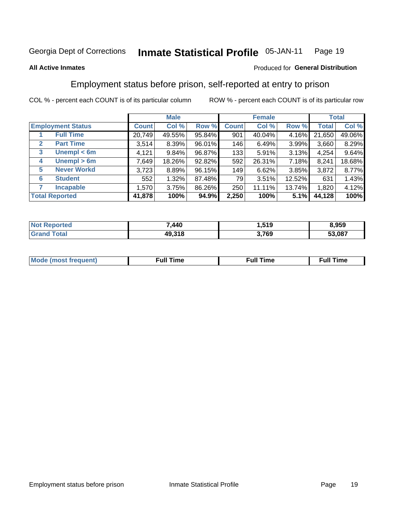#### Inmate Statistical Profile 05-JAN-11 Page 19

### **All Active Inmates**

### Produced for General Distribution

# Employment status before prison, self-reported at entry to prison

COL % - percent each COUNT is of its particular column

|                                  | <b>Male</b>  |        | <b>Female</b> |              |        | <b>Total</b> |              |        |
|----------------------------------|--------------|--------|---------------|--------------|--------|--------------|--------------|--------|
| <b>Employment Status</b>         | <b>Count</b> | Col %  | Row %         | <b>Count</b> | Col %  | Row %        | <b>Total</b> | Col %  |
| <b>Full Time</b>                 | 20,749       | 49.55% | 95.84%        | 901          | 40.04% | 4.16%        | 21,650       | 49.06% |
| <b>Part Time</b><br>$\mathbf{2}$ | 3,514        | 8.39%  | 96.01%        | 146          | 6.49%  | 3.99%        | 3,660        | 8.29%  |
| Unempl $<$ 6m<br>3               | 4,121        | 9.84%  | 96.87%        | 133          | 5.91%  | 3.13%        | 4,254        | 9.64%  |
| Unempl > 6m<br>4                 | 7,649        | 18.26% | 92.82%        | 592          | 26.31% | $7.18\%$     | 8,241        | 18.68% |
| <b>Never Workd</b><br>5          | 3,723        | 8.89%  | 96.15%        | 149          | 6.62%  | 3.85%        | 3,872        | 8.77%  |
| <b>Student</b><br>6              | 552          | 1.32%  | 87.48%        | 79           | 3.51%  | 12.52%       | 631          | 1.43%  |
| <b>Incapable</b>                 | 1,570        | 3.75%  | 86.26%        | 250          | 11.11% | 13.74%       | 1,820        | 4.12%  |
| <b>Total Reported</b>            | 41,878       | 100%   | 94.9%         | 2,250        | 100%   | 5.1%         | 44,128       | 100%   |

| тес<br>NO | 7,440  | <b>510</b><br>. . J . J | 3.959  |
|-----------|--------|-------------------------|--------|
|           | 49,318 | 3,769<br>⋯.             | 53,087 |

| Mc | ----<br>me<br>ш | nc<br>. |
|----|-----------------|---------|
|    |                 |         |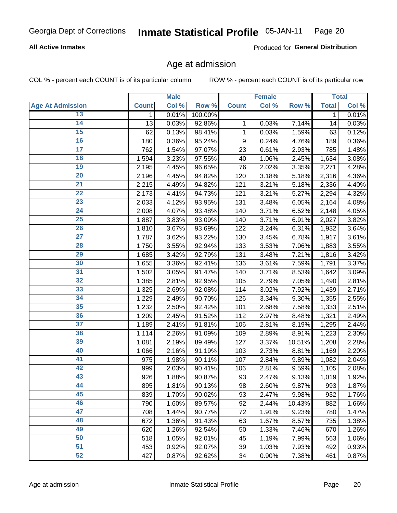## **All Active Inmates**

Produced for General Distribution

# Age at admission

COL % - percent each COUNT is of its particular column

|                         |              | <b>Male</b> |         |              | <b>Female</b> |        |              | <b>Total</b> |
|-------------------------|--------------|-------------|---------|--------------|---------------|--------|--------------|--------------|
| <b>Age At Admission</b> | <b>Count</b> | Col %       | Row %   | <b>Count</b> | Col %         | Row %  | <b>Total</b> | Col %        |
| 13                      | 1            | 0.01%       | 100.00% |              |               |        | 1            | 0.01%        |
| 14                      | 13           | 0.03%       | 92.86%  | 1            | 0.03%         | 7.14%  | 14           | 0.03%        |
| 15                      | 62           | 0.13%       | 98.41%  | 1            | 0.03%         | 1.59%  | 63           | 0.12%        |
| 16                      | 180          | 0.36%       | 95.24%  | 9            | 0.24%         | 4.76%  | 189          | 0.36%        |
| $\overline{17}$         | 762          | 1.54%       | 97.07%  | 23           | 0.61%         | 2.93%  | 785          | 1.48%        |
| 18                      | 1,594        | 3.23%       | 97.55%  | 40           | 1.06%         | 2.45%  | 1,634        | 3.08%        |
| 19                      | 2,195        | 4.45%       | 96.65%  | 76           | 2.02%         | 3.35%  | 2,271        | 4.28%        |
| 20                      | 2,196        | 4.45%       | 94.82%  | 120          | 3.18%         | 5.18%  | 2,316        | 4.36%        |
| $\overline{21}$         | 2,215        | 4.49%       | 94.82%  | 121          | 3.21%         | 5.18%  | 2,336        | 4.40%        |
| $\overline{22}$         | 2,173        | 4.41%       | 94.73%  | 121          | 3.21%         | 5.27%  | 2,294        | 4.32%        |
| 23                      | 2,033        | 4.12%       | 93.95%  | 131          | 3.48%         | 6.05%  | 2,164        | 4.08%        |
| $\overline{24}$         | 2,008        | 4.07%       | 93.48%  | 140          | 3.71%         | 6.52%  | 2,148        | 4.05%        |
| 25                      | 1,887        | 3.83%       | 93.09%  | 140          | 3.71%         | 6.91%  | 2,027        | 3.82%        |
| $\overline{26}$         | 1,810        | 3.67%       | 93.69%  | 122          | 3.24%         | 6.31%  | 1,932        | 3.64%        |
| $\overline{27}$         | 1,787        | 3.62%       | 93.22%  | 130          | 3.45%         | 6.78%  | 1,917        | 3.61%        |
| 28                      | 1,750        | 3.55%       | 92.94%  | 133          | 3.53%         | 7.06%  | 1,883        | 3.55%        |
| 29                      | 1,685        | 3.42%       | 92.79%  | 131          | 3.48%         | 7.21%  | 1,816        | 3.42%        |
| 30                      | 1,655        | 3.36%       | 92.41%  | 136          | 3.61%         | 7.59%  | 1,791        | 3.37%        |
| 31                      | 1,502        | 3.05%       | 91.47%  | 140          | 3.71%         | 8.53%  | 1,642        | 3.09%        |
| $\overline{32}$         | 1,385        | 2.81%       | 92.95%  | 105          | 2.79%         | 7.05%  | 1,490        | 2.81%        |
| 33                      | 1,325        | 2.69%       | 92.08%  | 114          | 3.02%         | 7.92%  | 1,439        | 2.71%        |
| 34                      | 1,229        | 2.49%       | 90.70%  | 126          | 3.34%         | 9.30%  | 1,355        | 2.55%        |
| 35                      | 1,232        | 2.50%       | 92.42%  | 101          | 2.68%         | 7.58%  | 1,333        | 2.51%        |
| 36                      | 1,209        | 2.45%       | 91.52%  | 112          | 2.97%         | 8.48%  | 1,321        | 2.49%        |
| $\overline{37}$         | 1,189        | 2.41%       | 91.81%  | 106          | 2.81%         | 8.19%  | 1,295        | 2.44%        |
| 38                      | 1,114        | 2.26%       | 91.09%  | 109          | 2.89%         | 8.91%  | 1,223        | 2.30%        |
| 39                      | 1,081        | 2.19%       | 89.49%  | 127          | 3.37%         | 10.51% | 1,208        | 2.28%        |
| 40                      | 1,066        | 2.16%       | 91.19%  | 103          | 2.73%         | 8.81%  | 1,169        | 2.20%        |
| 41                      | 975          | 1.98%       | 90.11%  | 107          | 2.84%         | 9.89%  | 1,082        | 2.04%        |
| 42                      | 999          | 2.03%       | 90.41%  | 106          | 2.81%         | 9.59%  | 1,105        | 2.08%        |
| 43                      | 926          | 1.88%       | 90.87%  | 93           | 2.47%         | 9.13%  | 1,019        | 1.92%        |
| 44                      | 895          | 1.81%       | 90.13%  | 98           | 2.60%         | 9.87%  | 993          | 1.87%        |
| 45                      | 839          | 1.70%       | 90.02%  | 93           | 2.47%         | 9.98%  | 932          | 1.76%        |
| 46                      | 790          | 1.60%       | 89.57%  | 92           | 2.44%         | 10.43% | 882          | 1.66%        |
| 47                      | 708          | 1.44%       | 90.77%  | 72           | 1.91%         | 9.23%  | 780          | 1.47%        |
| 48                      | 672          | 1.36%       | 91.43%  | 63           | 1.67%         | 8.57%  | 735          | 1.38%        |
| 49                      | 620          | 1.26%       | 92.54%  | 50           | 1.33%         | 7.46%  | 670          | 1.26%        |
| 50                      | 518          | 1.05%       | 92.01%  | 45           | 1.19%         | 7.99%  | 563          | 1.06%        |
| 51                      | 453          | 0.92%       | 92.07%  | 39           | 1.03%         | 7.93%  | 492          | 0.93%        |
| 52                      | 427          | 0.87%       | 92.62%  | 34           | 0.90%         | 7.38%  | 461          | 0.87%        |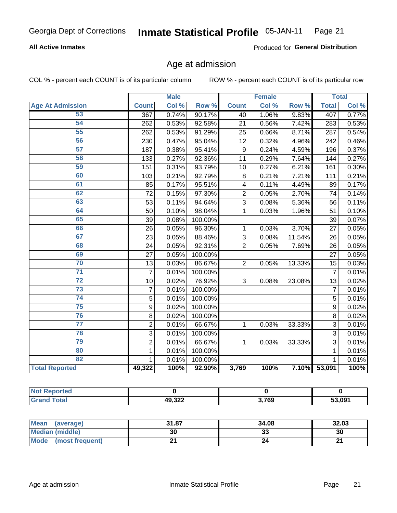### **All Active Inmates**

Produced for General Distribution

# Age at admission

COL % - percent each COUNT is of its particular column

|                         |                | <b>Male</b> |         |                | <b>Female</b> |        |                | <b>Total</b> |
|-------------------------|----------------|-------------|---------|----------------|---------------|--------|----------------|--------------|
| <b>Age At Admission</b> | <b>Count</b>   | Col %       | Row %   | <b>Count</b>   | Col %         | Row %  | <b>Total</b>   | Col %        |
| 53                      | 367            | 0.74%       | 90.17%  | 40             | 1.06%         | 9.83%  | 407            | 0.77%        |
| 54                      | 262            | 0.53%       | 92.58%  | 21             | 0.56%         | 7.42%  | 283            | 0.53%        |
| 55                      | 262            | 0.53%       | 91.29%  | 25             | 0.66%         | 8.71%  | 287            | 0.54%        |
| 56                      | 230            | 0.47%       | 95.04%  | 12             | 0.32%         | 4.96%  | 242            | 0.46%        |
| 57                      | 187            | 0.38%       | 95.41%  | 9              | 0.24%         | 4.59%  | 196            | 0.37%        |
| 58                      | 133            | 0.27%       | 92.36%  | 11             | 0.29%         | 7.64%  | 144            | 0.27%        |
| 59                      | 151            | 0.31%       | 93.79%  | 10             | 0.27%         | 6.21%  | 161            | 0.30%        |
| 60                      | 103            | 0.21%       | 92.79%  | 8              | 0.21%         | 7.21%  | 111            | 0.21%        |
| 61                      | 85             | 0.17%       | 95.51%  | 4              | 0.11%         | 4.49%  | 89             | 0.17%        |
| 62                      | 72             | 0.15%       | 97.30%  | $\overline{2}$ | 0.05%         | 2.70%  | 74             | 0.14%        |
| 63                      | 53             | 0.11%       | 94.64%  | $\overline{3}$ | 0.08%         | 5.36%  | 56             | 0.11%        |
| 64                      | 50             | 0.10%       | 98.04%  | 1              | 0.03%         | 1.96%  | 51             | 0.10%        |
| 65                      | 39             | 0.08%       | 100.00% |                |               |        | 39             | 0.07%        |
| 66                      | 26             | 0.05%       | 96.30%  | 1              | 0.03%         | 3.70%  | 27             | 0.05%        |
| 67                      | 23             | 0.05%       | 88.46%  | 3              | 0.08%         | 11.54% | 26             | 0.05%        |
| 68                      | 24             | 0.05%       | 92.31%  | $\overline{2}$ | 0.05%         | 7.69%  | 26             | 0.05%        |
| 69                      | 27             | 0.05%       | 100.00% |                |               |        | 27             | 0.05%        |
| 70                      | 13             | 0.03%       | 86.67%  | $\overline{2}$ | 0.05%         | 13.33% | 15             | 0.03%        |
| $\overline{71}$         | $\overline{7}$ | 0.01%       | 100.00% |                |               |        | 7              | 0.01%        |
| $\overline{72}$         | 10             | 0.02%       | 76.92%  | 3              | 0.08%         | 23.08% | 13             | 0.02%        |
| 73                      | $\overline{7}$ | 0.01%       | 100.00% |                |               |        | $\overline{7}$ | 0.01%        |
| 74                      | 5              | 0.01%       | 100.00% |                |               |        | 5              | 0.01%        |
| 75                      | 9              | 0.02%       | 100.00% |                |               |        | 9              | 0.02%        |
| 76                      | 8              | 0.02%       | 100.00% |                |               |        | 8              | 0.02%        |
| $\overline{77}$         | $\overline{c}$ | 0.01%       | 66.67%  | 1              | 0.03%         | 33.33% | 3              | 0.01%        |
| 78                      | $\overline{3}$ | 0.01%       | 100.00% |                |               |        | $\overline{3}$ | 0.01%        |
| 79                      | $\overline{2}$ | 0.01%       | 66.67%  | $\mathbf{1}$   | 0.03%         | 33.33% | 3              | 0.01%        |
| 80                      | $\mathbf{1}$   | 0.01%       | 100.00% |                |               |        | 1              | 0.01%        |
| 82                      | 1              | 0.01%       | 100.00% |                |               |        | 1              | 0.01%        |
| <b>Total Reported</b>   | 49,322         | 100%        | 92.90%  | 3,769          | 100%          |        | 7.10% 53,091   | 100%         |

| <b>Not</b><br>norted |        |       |        |
|----------------------|--------|-------|--------|
| intal                | 49 322 | 3,769 | 53,091 |

| Mean (average)          | 31.87 | 34.08 | 32.03 |
|-------------------------|-------|-------|-------|
| <b>Median (middle)</b>  | 30    | აა    | 30    |
| Mode<br>(most frequent) |       |       | ົ     |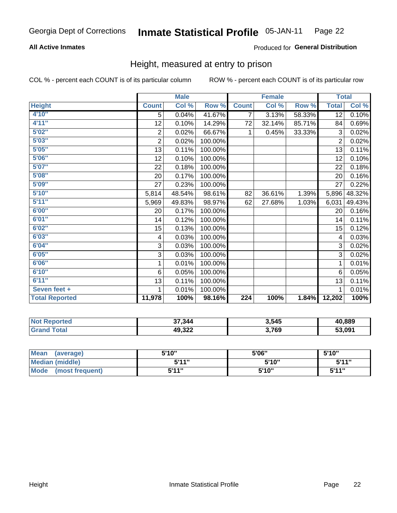# **All Active Inmates**

### Produced for General Distribution

# Height, measured at entry to prison

COL % - percent each COUNT is of its particular column

|                       |                           | <b>Male</b> |         |                  | <b>Female</b> |        | <b>Total</b>    |        |
|-----------------------|---------------------------|-------------|---------|------------------|---------------|--------|-----------------|--------|
| <b>Height</b>         | <b>Count</b>              | Col %       | Row %   | <b>Count</b>     | Col %         | Row %  | <b>Total</b>    | Col %  |
| 4'10"                 | $\overline{5}$            | 0.04%       | 41.67%  | 7                | 3.13%         | 58.33% | $\overline{12}$ | 0.10%  |
| 4'11''                | 12                        | 0.10%       | 14.29%  | 72               | 32.14%        | 85.71% | 84              | 0.69%  |
| 5'02''                | $\overline{c}$            | 0.02%       | 66.67%  | $\mathbf{1}$     | 0.45%         | 33.33% | 3               | 0.02%  |
| 5'03''                | $\overline{2}$            | 0.02%       | 100.00% |                  |               |        | $\overline{2}$  | 0.02%  |
| 5'05''                | 13                        | 0.11%       | 100.00% |                  |               |        | 13              | 0.11%  |
| 5'06''                | 12                        | 0.10%       | 100.00% |                  |               |        | 12              | 0.10%  |
| 5'07''                | 22                        | 0.18%       | 100.00% |                  |               |        | 22              | 0.18%  |
| 5'08''                | 20                        | 0.17%       | 100.00% |                  |               |        | 20              | 0.16%  |
| 5'09''                | 27                        | 0.23%       | 100.00% |                  |               |        | 27              | 0.22%  |
| 5'10''                | 5,814                     | 48.54%      | 98.61%  | 82               | 36.61%        | 1.39%  | 5,896           | 48.32% |
| 5'11''                | 5,969                     | 49.83%      | 98.97%  | 62               | 27.68%        | 1.03%  | 6,031           | 49.43% |
| 6'00''                | 20                        | 0.17%       | 100.00% |                  |               |        | 20              | 0.16%  |
| 6'01''                | 14                        | 0.12%       | 100.00% |                  |               |        | 14              | 0.11%  |
| 6'02''                | 15 <sub>1</sub>           | 0.13%       | 100.00% |                  |               |        | 15              | 0.12%  |
| 6'03''                | $\overline{\mathbf{4}}$   | 0.03%       | 100.00% |                  |               |        | 4               | 0.03%  |
| 6'04''                | $\ensuremath{\mathsf{3}}$ | 0.03%       | 100.00% |                  |               |        | 3               | 0.02%  |
| 6'05''                | 3                         | 0.03%       | 100.00% |                  |               |        | 3               | 0.02%  |
| 6'06''                | 1                         | 0.01%       | 100.00% |                  |               |        | 1               | 0.01%  |
| 6'10''                | 6                         | 0.05%       | 100.00% |                  |               |        | 6               | 0.05%  |
| 6'11''                | 13                        | 0.11%       | 100.00% |                  |               |        | 13              | 0.11%  |
| Seven feet +          | 1                         | 0.01%       | 100.00% |                  |               |        | 1               | 0.01%  |
| <b>Total Reported</b> | 11,978                    | 100%        | 98.16%  | $\overline{224}$ | 100%          | 1.84%  | 12,202          | 100%   |

| Reported<br>NO1 | 37,344 | 3,545 | 40,889 |
|-----------------|--------|-------|--------|
| ™ota⊾           | 49,322 | 3,769 | 53.091 |

| <b>Mean</b><br>(average)       | 5'10" | 5'06" | 5'10" |
|--------------------------------|-------|-------|-------|
| <b>Median (middle)</b>         | 544"  | 5'10" | 5'11" |
| <b>Mode</b><br>(most frequent) | 5'11" | 5'10" | 5'11" |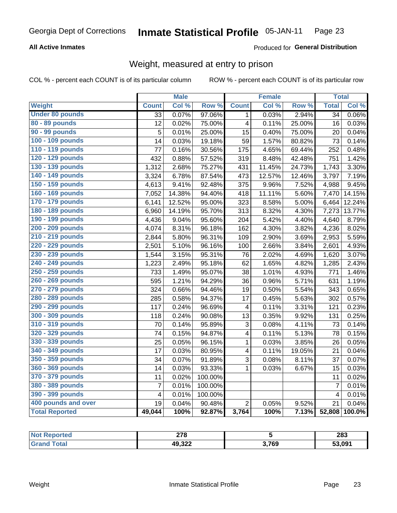# **All Active Inmates**

### Produced for General Distribution

# Weight, measured at entry to prison

COL % - percent each COUNT is of its particular column

|                        |                         | <b>Male</b> |                  |                         | <b>Female</b> |        | <b>Total</b>    |        |
|------------------------|-------------------------|-------------|------------------|-------------------------|---------------|--------|-----------------|--------|
| Weight                 | <b>Count</b>            | Col %       | Row <sup>%</sup> | <b>Count</b>            | Col %         | Row %  | <b>Total</b>    | Col %  |
| <b>Under 80 pounds</b> | 33                      | 0.07%       | 97.06%           | 1.                      | 0.03%         | 2.94%  | $\overline{34}$ | 0.06%  |
| 80 - 89 pounds         | 12                      | 0.02%       | 75.00%           | $\overline{\mathbf{4}}$ | 0.11%         | 25.00% | 16              | 0.03%  |
| 90 - 99 pounds         | 5                       | 0.01%       | 25.00%           | 15                      | 0.40%         | 75.00% | 20              | 0.04%  |
| 100 - 109 pounds       | 14                      | 0.03%       | 19.18%           | 59                      | 1.57%         | 80.82% | 73              | 0.14%  |
| 110 - 119 pounds       | 77                      | 0.16%       | 30.56%           | 175                     | 4.65%         | 69.44% | 252             | 0.48%  |
| 120 - 129 pounds       | 432                     | 0.88%       | 57.52%           | 319                     | 8.48%         | 42.48% | 751             | 1.42%  |
| 130 - 139 pounds       | 1,312                   | 2.68%       | 75.27%           | 431                     | 11.45%        | 24.73% | 1,743           | 3.30%  |
| 140 - 149 pounds       | 3,324                   | 6.78%       | 87.54%           | 473                     | 12.57%        | 12.46% | 3,797           | 7.19%  |
| 150 - 159 pounds       | 4,613                   | 9.41%       | 92.48%           | 375                     | 9.96%         | 7.52%  | 4,988           | 9.45%  |
| 160 - 169 pounds       | 7,052                   | 14.38%      | 94.40%           | 418                     | 11.11%        | 5.60%  | 7,470           | 14.15% |
| 170 - 179 pounds       | 6,141                   | 12.52%      | 95.00%           | 323                     | 8.58%         | 5.00%  | 6,464           | 12.24% |
| 180 - 189 pounds       | 6,960                   | 14.19%      | 95.70%           | 313                     | 8.32%         | 4.30%  | 7,273           | 13.77% |
| 190 - 199 pounds       | 4,436                   | 9.04%       | 95.60%           | 204                     | 5.42%         | 4.40%  | 4,640           | 8.79%  |
| 200 - 209 pounds       | 4,074                   | 8.31%       | 96.18%           | 162                     | 4.30%         | 3.82%  | 4,236           | 8.02%  |
| 210 - 219 pounds       | 2,844                   | 5.80%       | 96.31%           | 109                     | 2.90%         | 3.69%  | 2,953           | 5.59%  |
| 220 - 229 pounds       | 2,501                   | 5.10%       | 96.16%           | 100                     | 2.66%         | 3.84%  | 2,601           | 4.93%  |
| 230 - 239 pounds       | 1,544                   | 3.15%       | 95.31%           | 76                      | 2.02%         | 4.69%  | 1,620           | 3.07%  |
| 240 - 249 pounds       | 1,223                   | 2.49%       | 95.18%           | 62                      | 1.65%         | 4.82%  | 1,285           | 2.43%  |
| 250 - 259 pounds       | 733                     | 1.49%       | 95.07%           | 38                      | 1.01%         | 4.93%  | 771             | 1.46%  |
| 260 - 269 pounds       | 595                     | 1.21%       | 94.29%           | 36                      | 0.96%         | 5.71%  | 631             | 1.19%  |
| 270 - 279 pounds       | 324                     | 0.66%       | 94.46%           | 19                      | 0.50%         | 5.54%  | 343             | 0.65%  |
| 280 - 289 pounds       | 285                     | 0.58%       | 94.37%           | 17                      | 0.45%         | 5.63%  | 302             | 0.57%  |
| 290 - 299 pounds       | 117                     | 0.24%       | 96.69%           | 4                       | 0.11%         | 3.31%  | 121             | 0.23%  |
| 300 - 309 pounds       | 118                     | 0.24%       | 90.08%           | 13                      | 0.35%         | 9.92%  | 131             | 0.25%  |
| 310 - 319 pounds       | 70                      | 0.14%       | 95.89%           | 3                       | 0.08%         | 4.11%  | 73              | 0.14%  |
| 320 - 329 pounds       | 74                      | 0.15%       | 94.87%           | $\overline{\mathbf{4}}$ | 0.11%         | 5.13%  | 78              | 0.15%  |
| 330 - 339 pounds       | 25                      | 0.05%       | 96.15%           | $\mathbf{1}$            | 0.03%         | 3.85%  | 26              | 0.05%  |
| 340 - 349 pounds       | 17                      | 0.03%       | 80.95%           | $\overline{\mathbf{4}}$ | 0.11%         | 19.05% | 21              | 0.04%  |
| 350 - 359 pounds       | 34                      | 0.07%       | 91.89%           | 3                       | 0.08%         | 8.11%  | 37              | 0.07%  |
| 360 - 369 pounds       | 14                      | 0.03%       | 93.33%           | $\mathbf{1}$            | 0.03%         | 6.67%  | 15              | 0.03%  |
| 370 - 379 pounds       | 11                      | 0.02%       | 100.00%          |                         |               |        | 11              | 0.02%  |
| 380 - 389 pounds       | $\overline{7}$          | 0.01%       | 100.00%          |                         |               |        | $\overline{7}$  | 0.01%  |
| 390 - 399 pounds       | $\overline{\mathbf{4}}$ | 0.01%       | 100.00%          |                         |               |        | $\overline{4}$  | 0.01%  |
| 400 pounds and over    | 19                      | 0.04%       | 90.48%           | $\overline{2}$          | 0.05%         | 9.52%  | 21              | 0.04%  |
| <b>Total Reported</b>  | 49,044                  | 100%        | 92.87%           | 3,764                   | 100%          | 7.13%  | 52,808          | 100.0% |

| Reported<br><b>NOT</b> | 270<br>21 O |       | 283    |
|------------------------|-------------|-------|--------|
| ⊺otal<br>. Gr          | 49,322      | 3,769 | 53,091 |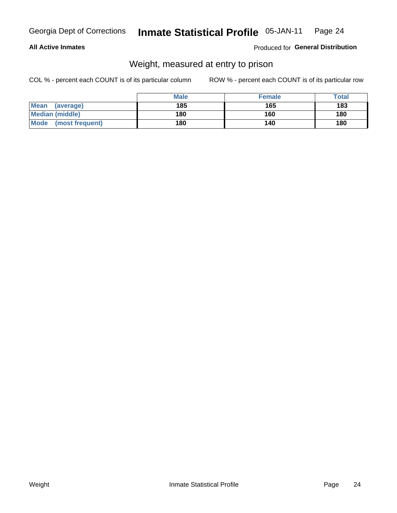### **All Active Inmates**

### Produced for General Distribution

# Weight, measured at entry to prison

COL % - percent each COUNT is of its particular column

|                          | <b>Male</b> | <b>Female</b> | Total |
|--------------------------|-------------|---------------|-------|
| <b>Mean</b><br>(average) | 185         | 165           | 183   |
| <b>Median (middle)</b>   | 180         | 160           | 180   |
| Mode<br>(most frequent)  | 180         | 140           | 180   |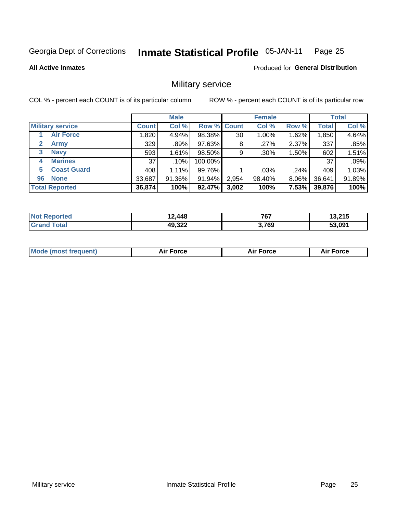#### Inmate Statistical Profile 05-JAN-11 Page 25

### **All Active Inmates**

**Produced for General Distribution** 

# Military service

COL % - percent each COUNT is of its particular column

|                          |              | <b>Male</b> |                    |       | <b>Female</b> |          |              | <b>Total</b> |
|--------------------------|--------------|-------------|--------------------|-------|---------------|----------|--------------|--------------|
| <b>Military service</b>  | <b>Count</b> | Col %       | <b>Row % Count</b> |       | Col %         | Row %    | <b>Total</b> | Col %        |
| <b>Air Force</b>         | .820         | 4.94%       | 98.38%             | 30    | $1.00\%$      | 1.62%    | 1,850        | 4.64%        |
| 2<br>Army                | 329          | .89%        | 97.63%             | 8     | .27%          | 2.37%    | 337          | .85%         |
| <b>Navy</b><br>3         | 593          | 1.61%       | 98.50%             | 9     | $.30\%$       | 1.50%    | 602          | 1.51%        |
| <b>Marines</b><br>4      | 37           | $.10\%$     | 100.00%            |       |               |          | 37           | .09%         |
| <b>Coast Guard</b><br>5. | 408          | $1.11\%$    | 99.76%             |       | .03%          | .24%     | 409          | 1.03%        |
| <b>None</b><br>96        | 33,687       | 91.36%      | 91.94%             | 2,954 | 98.40%        | 8.06%    | 36,641       | 91.89%       |
| <b>Total Reported</b>    | 36,874       | 100%        | 92.47%             | 3,002 | 100%          | $7.53\%$ | 39,876       | 100%         |

| $N_{\Omega}$<br><b>oorted</b> | 12,448 | 7C7<br>וסי | 13,215 |
|-------------------------------|--------|------------|--------|
| <b>c</b> otal<br>' Grano      | 49,322 | 3,769      | 53,091 |

| Mode (most frequent) | Force | <b>Force</b> | <b>orce</b> |
|----------------------|-------|--------------|-------------|
|                      |       |              |             |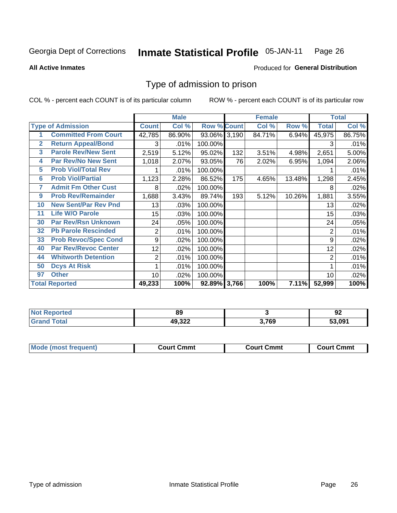#### Inmate Statistical Profile 05-JAN-11 Page 26

### **All Active Inmates**

# **Produced for General Distribution**

# Type of admission to prison

COL % - percent each COUNT is of its particular column

|                |                             |                 | <b>Male</b> |                    |     | <b>Female</b> |        |                | <b>Total</b> |
|----------------|-----------------------------|-----------------|-------------|--------------------|-----|---------------|--------|----------------|--------------|
|                | <b>Type of Admission</b>    | <b>Count</b>    | Col %       | <b>Row % Count</b> |     | Col %         | Row %  | Total          | Col %        |
|                | <b>Committed From Court</b> | 42,785          | 86.90%      | 93.06% 3,190       |     | 84.71%        | 6.94%  | 45,975         | 86.75%       |
| $\mathbf{2}$   | <b>Return Appeal/Bond</b>   | 3               | .01%        | 100.00%            |     |               |        | 3              | .01%         |
| 3              | <b>Parole Rev/New Sent</b>  | 2,519           | 5.12%       | 95.02%             | 132 | 3.51%         | 4.98%  | 2,651          | 5.00%        |
| 4              | <b>Par Rev/No New Sent</b>  | 1,018           | 2.07%       | 93.05%             | 76  | 2.02%         | 6.95%  | 1,094          | 2.06%        |
| 5              | <b>Prob Viol/Total Rev</b>  |                 | .01%        | 100.00%            |     |               |        |                | .01%         |
| $6\phantom{a}$ | <b>Prob Viol/Partial</b>    | 1,123           | 2.28%       | 86.52%             | 175 | 4.65%         | 13.48% | 1,298          | 2.45%        |
| 7              | <b>Admit Fm Other Cust</b>  | 8               | .02%        | 100.00%            |     |               |        | 8              | .02%         |
| 9              | <b>Prob Rev/Remainder</b>   | 1,688           | 3.43%       | 89.74%             | 193 | 5.12%         | 10.26% | 1,881          | 3.55%        |
| 10             | <b>New Sent/Par Rev Pnd</b> | 13              | .03%        | 100.00%            |     |               |        | 13             | .02%         |
| 11             | <b>Life W/O Parole</b>      | 15              | .03%        | 100.00%            |     |               |        | 15             | .03%         |
| 30             | <b>Par Rev/Rsn Unknown</b>  | 24              | .05%        | 100.00%            |     |               |        | 24             | .05%         |
| 32             | <b>Pb Parole Rescinded</b>  | 2               | .01%        | 100.00%            |     |               |        | 2              | .01%         |
| 33             | <b>Prob Revoc/Spec Cond</b> | 9               | .02%        | 100.00%            |     |               |        | 9              | .02%         |
| 40             | <b>Par Rev/Revoc Center</b> | 12 <sub>1</sub> | .02%        | 100.00%            |     |               |        | 12             | .02%         |
| 44             | <b>Whitworth Detention</b>  | 2               | .01%        | 100.00%            |     |               |        | $\overline{2}$ | .01%         |
| 50             | <b>Dcys At Risk</b>         |                 | .01%        | 100.00%            |     |               |        |                | .01%         |
| 97             | <b>Other</b>                | 10              | .02%        | 100.00%            |     |               |        | 10             | .02%         |
|                | <b>Total Reported</b>       | 49,233          | 100%        | 92.89% 3,766       |     | 100%          | 7.11%  | 52,999         | 100%         |

| <b>Not</b><br><b>Reported</b> | 89     |            | n.<br>94 |
|-------------------------------|--------|------------|----------|
| ™ota⊾<br>'Grand               | 49,322 | 3,769<br>. | 53.091   |

| <b>Mode (most frequent)</b> | Court Cmmt | <b>Court Cmmt</b> | Court Cmmt |
|-----------------------------|------------|-------------------|------------|
|                             |            |                   |            |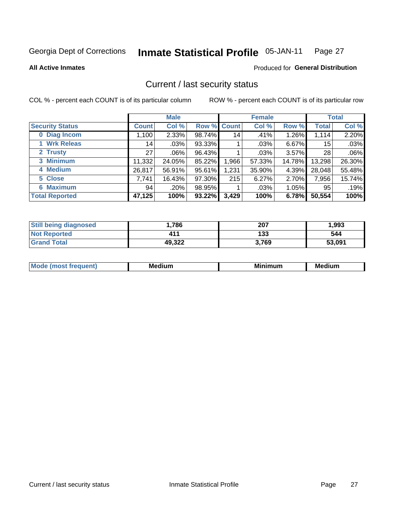#### **Inmate Statistical Profile 05-JAN-11** Page 27

**All Active Inmates** 

### **Produced for General Distribution**

# Current / last security status

COL % - percent each COUNT is of its particular column

|                        |              | <b>Male</b> |             |       | <b>Female</b> |          |                 | <b>Total</b> |
|------------------------|--------------|-------------|-------------|-------|---------------|----------|-----------------|--------------|
| <b>Security Status</b> | <b>Count</b> | Col %       | Row % Count |       | Col %         | Row %    | <b>Total</b>    | Col %        |
| 0 Diag Incom           | ,100         | 2.33%       | 98.74%      | 14    | .41%          | 1.26%    | 1,114           | 2.20%        |
| 1 Wrk Releas           | 14           | .03%        | 93.33%      |       | .03%          | 6.67%    | 15 <sup>1</sup> | .03%         |
| 2 Trusty               | 27           | $.06\%$     | 96.43%      |       | $.03\%$       | 3.57%    | 28              | .06%         |
| 3 Minimum              | 11,332       | 24.05%      | 85.22%      | 1,966 | 57.33%        | 14.78%   | 13,298          | 26.30%       |
| 4 Medium               | 26,817       | 56.91%      | 95.61%      | 1,231 | 35.90%        | 4.39%    | 28,048          | 55.48%       |
| 5 Close                | 7,741        | 16.43%      | 97.30%      | 215   | 6.27%         | 2.70%    | 7,956           | 15.74%       |
| <b>6 Maximum</b>       | 94           | .20%        | 98.95%      | 1     | .03%          | $1.05\%$ | 95              | .19%         |
| <b>Total Reported</b>  | 47,125       | 100%        | 93.22%      | 3,429 | 100%          | 6.78%    | 50,554          | 100%         |

| <b>Still being diagnosed</b> | 786.   | 207   | 1,993  |
|------------------------------|--------|-------|--------|
| <b>Not Reported</b>          | 411    | 133   | 544    |
| <b>Grand Total</b>           | 49,322 | 3,769 | 53,091 |

| <b>Mode</b><br>auent<br>∽ | <b>Medium</b> | ---<br>mum<br>м. | <b>Medium</b> |
|---------------------------|---------------|------------------|---------------|
|                           |               |                  |               |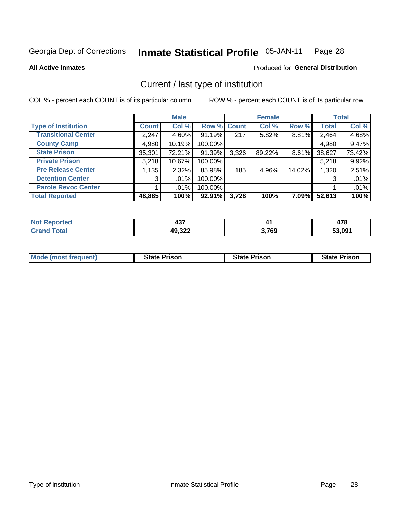#### Inmate Statistical Profile 05-JAN-11 Page 28

**All Active Inmates** 

### Produced for General Distribution

# Current / last type of institution

COL % - percent each COUNT is of its particular column

|                            |              | <b>Male</b> |             |       | <b>Female</b> |        |              | <b>Total</b> |
|----------------------------|--------------|-------------|-------------|-------|---------------|--------|--------------|--------------|
| <b>Type of Institution</b> | <b>Count</b> | Col %       | Row % Count |       | Col %         | Row %  | <b>Total</b> | Col %        |
| <b>Transitional Center</b> | 2,247        | 4.60%       | $91.19\%$   | 217   | 5.82%         | 8.81%  | 2,464        | 4.68%        |
| <b>County Camp</b>         | 4,980        | 10.19%      | 100.00%     |       |               |        | 4,980        | 9.47%        |
| <b>State Prison</b>        | 35,301       | 72.21%      | 91.39%      | 3,326 | 89.22%        | 8.61%  | 38,627       | 73.42%       |
| <b>Private Prison</b>      | 5,218        | 10.67%      | 100.00%     |       |               |        | 5,218        | 9.92%        |
| <b>Pre Release Center</b>  | 1,135        | 2.32%       | 85.98%      | 185   | 4.96%         | 14.02% | 1,320        | 2.51%        |
| <b>Detention Center</b>    | 3            | .01%        | 100.00%     |       |               |        | 3            | .01%         |
| <b>Parole Revoc Center</b> |              | .01%        | 100.00%     |       |               |        |              | .01%         |
| <b>Total Reported</b>      | 48,885       | 100%        | 92.91%      | 3,728 | 100%          | 7.09%  | 52,613       | 100%         |

| N   | $-10$                  |       | ""          |
|-----|------------------------|-------|-------------|
| тео | −.                     |       | 47 O        |
|     | دوه ۱۸<br>44<br>49.JZZ | 3,769 | 53.091<br>. |

| <b>Mode (most frequent)</b> | <b>State Prison</b> | <b>State Prison</b> | <b>State Prison</b> |
|-----------------------------|---------------------|---------------------|---------------------|
|                             |                     |                     |                     |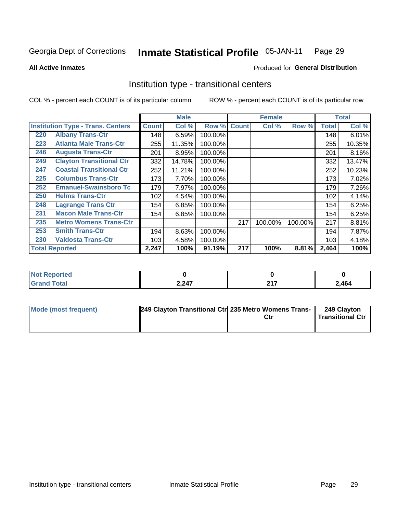#### **Inmate Statistical Profile 05-JAN-11** Page 29

Produced for General Distribution

### **All Active Inmates**

# Institution type - transitional centers

COL % - percent each COUNT is of its particular column

|                                          |                                 |              | <b>Male</b> |         |              | <b>Female</b> |         |              | <b>Total</b> |
|------------------------------------------|---------------------------------|--------------|-------------|---------|--------------|---------------|---------|--------------|--------------|
| <b>Institution Type - Trans. Centers</b> |                                 | <b>Count</b> | Col %       | Row %   | <b>Count</b> | Col %         | Row %   | <b>Total</b> | Col %        |
| 220                                      | <b>Albany Trans-Ctr</b>         | 148          | 6.59%       | 100.00% |              |               |         | 148          | 6.01%        |
| 223                                      | <b>Atlanta Male Trans-Ctr</b>   | 255          | 11.35%      | 100.00% |              |               |         | 255          | 10.35%       |
| 246                                      | <b>Augusta Trans-Ctr</b>        | 201          | 8.95%       | 100.00% |              |               |         | 201          | 8.16%        |
| 249                                      | <b>Clayton Transitional Ctr</b> | 332          | 14.78%      | 100.00% |              |               |         | 332          | 13.47%       |
| 247                                      | <b>Coastal Transitional Ctr</b> | 252          | 11.21%      | 100.00% |              |               |         | 252          | 10.23%       |
| 225                                      | <b>Columbus Trans-Ctr</b>       | 173          | 7.70%       | 100.00% |              |               |         | 173          | 7.02%        |
| 252                                      | <b>Emanuel-Swainsboro Tc</b>    | 179          | 7.97%       | 100.00% |              |               |         | 179          | 7.26%        |
| 250                                      | <b>Helms Trans-Ctr</b>          | 102          | 4.54%       | 100.00% |              |               |         | 102          | 4.14%        |
| 248                                      | <b>Lagrange Trans Ctr</b>       | 154          | 6.85%       | 100.00% |              |               |         | 154          | 6.25%        |
| 231                                      | <b>Macon Male Trans-Ctr</b>     | 154          | 6.85%       | 100.00% |              |               |         | 154          | 6.25%        |
| 235                                      | <b>Metro Womens Trans-Ctr</b>   |              |             |         | 217          | 100.00%       | 100.00% | 217          | 8.81%        |
| 253                                      | <b>Smith Trans-Ctr</b>          | 194          | 8.63%       | 100.00% |              |               |         | 194          | 7.87%        |
| 230                                      | <b>Valdosta Trans-Ctr</b>       | 103          | 4.58%       | 100.00% |              |               |         | 103          | 4.18%        |
|                                          | <b>Total Reported</b>           | 2,247        | 100%        | 91.19%  | 217          | 100%          | 8.81%   | 2,464        | 100%         |

| <b>NIC</b><br>rtea |       |             |      |
|--------------------|-------|-------------|------|
| _____              | 2,247 | $\sim$<br>- | 2464 |

| <b>Mode (most frequent)</b> | 249 Clayton Transitional Ctr 235 Metro Womens Trans- | 249 Clayton<br>Transitional Ctr |
|-----------------------------|------------------------------------------------------|---------------------------------|
|                             |                                                      |                                 |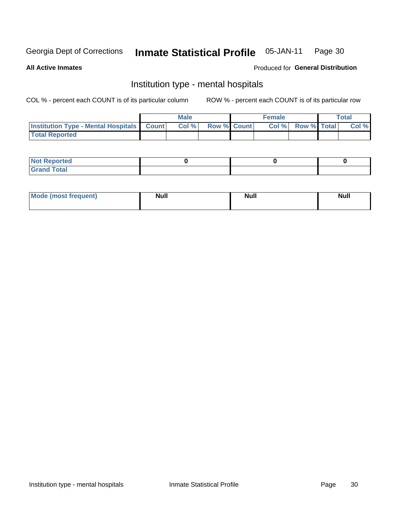#### **Inmate Statistical Profile 05-JAN-11** Page 30

### **All Active Inmates**

### Produced for General Distribution

# Institution type - mental hospitals

COL % - percent each COUNT is of its particular column

|                                                  | <b>Male</b> |                    | <b>Female</b> |                    | <b>Total</b> |
|--------------------------------------------------|-------------|--------------------|---------------|--------------------|--------------|
| <b>Institution Type - Mental Hospitals Count</b> | Col %       | <b>Row % Count</b> | Col%          | <b>Row % Total</b> | Col %        |
| <b>Total Reported</b>                            |             |                    |               |                    |              |

| <b>Not Reported</b>   |  |  |
|-----------------------|--|--|
| <b>Total</b><br>_____ |  |  |

| Mode.<br>frequent) | <b>Nul</b><br>_____ | <b>Null</b> | <b>Null</b> |
|--------------------|---------------------|-------------|-------------|
|                    |                     |             |             |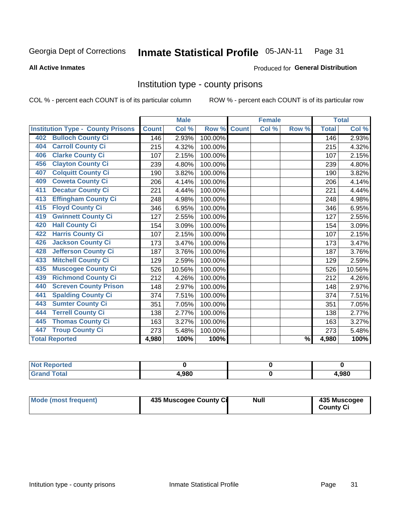#### Inmate Statistical Profile 05-JAN-11 Page 31

### **All Active Inmates**

### **Produced for General Distribution**

# Institution type - county prisons

COL % - percent each COUNT is of its particular column

|                                          |              | <b>Male</b> |         |              | <b>Female</b> |                          |              | <b>Total</b> |
|------------------------------------------|--------------|-------------|---------|--------------|---------------|--------------------------|--------------|--------------|
| <b>Institution Type - County Prisons</b> | <b>Count</b> | Col %       | Row %   | <b>Count</b> | Col %         | Row %                    | <b>Total</b> | Col %        |
| <b>Bulloch County Ci</b><br>402          | 146          | 2.93%       | 100.00% |              |               |                          | 146          | 2.93%        |
| <b>Carroll County Ci</b><br>404          | 215          | 4.32%       | 100.00% |              |               |                          | 215          | 4.32%        |
| <b>Clarke County Ci</b><br>406           | 107          | 2.15%       | 100.00% |              |               |                          | 107          | 2.15%        |
| <b>Clayton County Ci</b><br>456          | 239          | 4.80%       | 100.00% |              |               |                          | 239          | 4.80%        |
| <b>Colquitt County Ci</b><br>407         | 190          | 3.82%       | 100.00% |              |               |                          | 190          | 3.82%        |
| <b>Coweta County Ci</b><br>409           | 206          | 4.14%       | 100.00% |              |               |                          | 206          | 4.14%        |
| <b>Decatur County Ci</b><br>411          | 221          | 4.44%       | 100.00% |              |               |                          | 221          | 4.44%        |
| <b>Effingham County Ci</b><br>413        | 248          | 4.98%       | 100.00% |              |               |                          | 248          | 4.98%        |
| <b>Floyd County Ci</b><br>415            | 346          | 6.95%       | 100.00% |              |               |                          | 346          | 6.95%        |
| <b>Gwinnett County Ci</b><br>419         | 127          | 2.55%       | 100.00% |              |               |                          | 127          | 2.55%        |
| <b>Hall County Ci</b><br>420             | 154          | 3.09%       | 100.00% |              |               |                          | 154          | 3.09%        |
| <b>Harris County Ci</b><br>422           | 107          | 2.15%       | 100.00% |              |               |                          | 107          | 2.15%        |
| <b>Jackson County Ci</b><br>426          | 173          | 3.47%       | 100.00% |              |               |                          | 173          | 3.47%        |
| <b>Jefferson County Ci</b><br>428        | 187          | 3.76%       | 100.00% |              |               |                          | 187          | 3.76%        |
| <b>Mitchell County Ci</b><br>433         | 129          | 2.59%       | 100.00% |              |               |                          | 129          | 2.59%        |
| <b>Muscogee County Ci</b><br>435         | 526          | 10.56%      | 100.00% |              |               |                          | 526          | 10.56%       |
| <b>Richmond County Ci</b><br>439         | 212          | 4.26%       | 100.00% |              |               |                          | 212          | 4.26%        |
| <b>Screven County Prison</b><br>440      | 148          | 2.97%       | 100.00% |              |               |                          | 148          | 2.97%        |
| <b>Spalding County Ci</b><br>441         | 374          | 7.51%       | 100.00% |              |               |                          | 374          | 7.51%        |
| <b>Sumter County Ci</b><br>443           | 351          | 7.05%       | 100.00% |              |               |                          | 351          | 7.05%        |
| <b>Terrell County Ci</b><br>444          | 138          | 2.77%       | 100.00% |              |               |                          | 138          | 2.77%        |
| <b>Thomas County Ci</b><br>445           | 163          | 3.27%       | 100.00% |              |               |                          | 163          | 3.27%        |
| <b>Troup County Ci</b><br>447            | 273          | 5.48%       | 100.00% |              |               |                          | 273          | 5.48%        |
| <b>Total Reported</b>                    | 4,980        | 100%        | 100%    |              |               | $\overline{\frac{9}{6}}$ | 4,980        | 100%         |

| <b>Not</b><br><b>Reported</b> |       |       |
|-------------------------------|-------|-------|
| <b>Total</b><br><b>Grand</b>  | 4.980 | 4,980 |

| Mode (most frequent) | 435 Muscogee County Ci | <b>Null</b> | 435 Muscogee<br><b>County Ci</b> |
|----------------------|------------------------|-------------|----------------------------------|
|----------------------|------------------------|-------------|----------------------------------|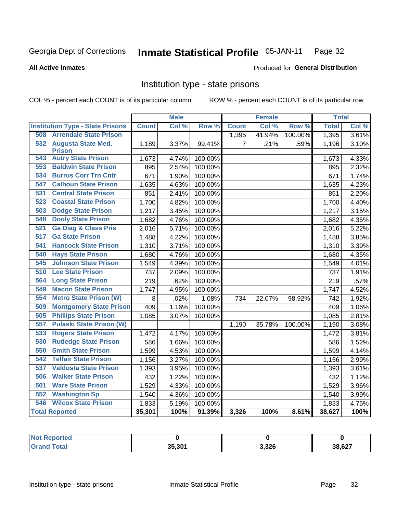#### Inmate Statistical Profile 05-JAN-11 Page 32

**All Active Inmates** 

### Produced for General Distribution

# Institution type - state prisons

COL % - percent each COUNT is of its particular column

|                                         | <b>Male</b>  |       | <b>Female</b> |                |        | <b>Total</b> |              |       |
|-----------------------------------------|--------------|-------|---------------|----------------|--------|--------------|--------------|-------|
| <b>Institution Type - State Prisons</b> | <b>Count</b> | Col % | Row %         | <b>Count</b>   | Col %  | Row %        | <b>Total</b> | Col % |
| <b>Arrendale State Prison</b><br>508    |              |       |               | 1,395          | 41.94% | 100.00%      | 1,395        | 3.61% |
| 532 Augusta State Med.<br><b>Prison</b> | 1,189        | 3.37% | 99.41%        | $\overline{7}$ | .21%   | .59%         | 1,196        | 3.10% |
| <b>Autry State Prison</b><br>543        | 1,673        | 4.74% | 100.00%       |                |        |              | 1,673        | 4.33% |
| <b>Baldwin State Prison</b><br>553      | 895          | 2.54% | 100.00%       |                |        |              | 895          | 2.32% |
| <b>Burrus Corr Trn Cntr</b><br>534      | 671          | 1.90% | 100.00%       |                |        |              | 671          | 1.74% |
| <b>Calhoun State Prison</b><br>547      | 1,635        | 4.63% | 100.00%       |                |        |              | 1,635        | 4.23% |
| <b>Central State Prison</b><br>531      | 851          | 2.41% | 100.00%       |                |        |              | 851          | 2.20% |
| 523<br><b>Coastal State Prison</b>      | 1,700        | 4.82% | 100.00%       |                |        |              | 1,700        | 4.40% |
| 503<br><b>Dodge State Prison</b>        | 1,217        | 3.45% | 100.00%       |                |        |              | 1,217        | 3.15% |
| <b>Dooly State Prison</b><br>548        | 1,682        | 4.76% | 100.00%       |                |        |              | 1,682        | 4.35% |
| <b>Ga Diag &amp; Class Pris</b><br>521  | 2,016        | 5.71% | 100.00%       |                |        |              | 2,016        | 5.22% |
| <b>Ga State Prison</b><br>517           | 1,488        | 4.22% | 100.00%       |                |        |              | 1,488        | 3.85% |
| <b>Hancock State Prison</b><br>541      | 1,310        | 3.71% | 100.00%       |                |        |              | 1,310        | 3.39% |
| <b>Hays State Prison</b><br>540         | 1,680        | 4.76% | 100.00%       |                |        |              | 1,680        | 4.35% |
| <b>Johnson State Prison</b><br>545      | 1,549        | 4.39% | 100.00%       |                |        |              | 1,549        | 4.01% |
| 510<br><b>Lee State Prison</b>          | 737          | 2.09% | 100.00%       |                |        |              | 737          | 1.91% |
| <b>Long State Prison</b><br>564         | 219          | .62%  | 100.00%       |                |        |              | 219          | .57%  |
| <b>Macon State Prison</b><br>549        | 1,747        | 4.95% | 100.00%       |                |        |              | 1,747        | 4.52% |
| 554<br><b>Metro State Prison (W)</b>    | 8            | .02%  | 1.08%         | 734            | 22.07% | 98.92%       | 742          | 1.92% |
| 509<br><b>Montgomery State Prison</b>   | 409          | 1.16% | 100.00%       |                |        |              | 409          | 1.06% |
| <b>Phillips State Prison</b><br>505     | 1,085        | 3.07% | 100.00%       |                |        |              | 1,085        | 2.81% |
| 557<br><b>Pulaski State Prison (W)</b>  |              |       |               | 1,190          | 35.78% | 100.00%      | 1,190        | 3.08% |
| <b>Rogers State Prison</b><br>533       | 1,472        | 4.17% | 100.00%       |                |        |              | 1,472        | 3.81% |
| <b>Rutledge State Prison</b><br>530     | 586          | 1.66% | 100.00%       |                |        |              | 586          | 1.52% |
| <b>Smith State Prison</b><br>550        | 1,599        | 4.53% | 100.00%       |                |        |              | 1,599        | 4.14% |
| 542<br><b>Telfair State Prison</b>      | 1,156        | 3.27% | 100.00%       |                |        |              | 1,156        | 2.99% |
| <b>Valdosta State Prison</b><br>537     | 1,393        | 3.95% | 100.00%       |                |        |              | 1,393        | 3.61% |
| <b>Walker State Prison</b><br>506       | 432          | 1.22% | 100.00%       |                |        |              | 432          | 1.12% |
| <b>Ware State Prison</b><br>501         | 1,529        | 4.33% | 100.00%       |                |        |              | 1,529        | 3.96% |
| <b>Washington Sp</b><br>552             | 1,540        | 4.36% | 100.00%       |                |        |              | 1,540        | 3.99% |
| <b>Wilcox State Prison</b><br>546       | 1,833        | 5.19% | 100.00%       |                |        |              | 1,833        | 4.75% |
| <b>Total Reported</b>                   | 35,301       | 100%  | 91.39%        | 3,326          | 100%   | 8.61%        | 38,627       | 100%  |

| n eo |        |       |        |
|------|--------|-------|--------|
|      | 35.301 | 3,326 | 38,627 |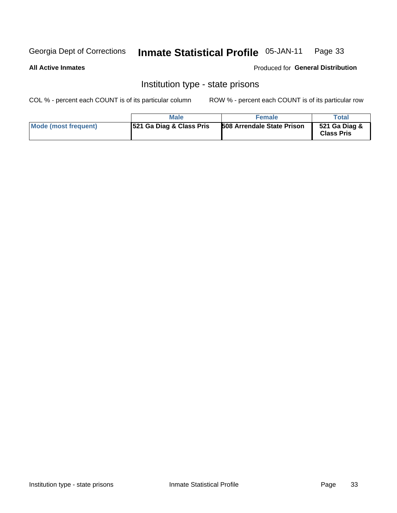#### **Inmate Statistical Profile 05-JAN-11** Page 33

### **All Active Inmates**

Produced for General Distribution

# Institution type - state prisons

COL % - percent each COUNT is of its particular column

|                      | <b>Male</b>                         | <b>Female</b>                     | Total                              |
|----------------------|-------------------------------------|-----------------------------------|------------------------------------|
| Mode (most frequent) | <b>521 Ga Diag &amp; Class Pris</b> | <b>508 Arrendale State Prison</b> | 521 Ga Diag &<br><b>Class Pris</b> |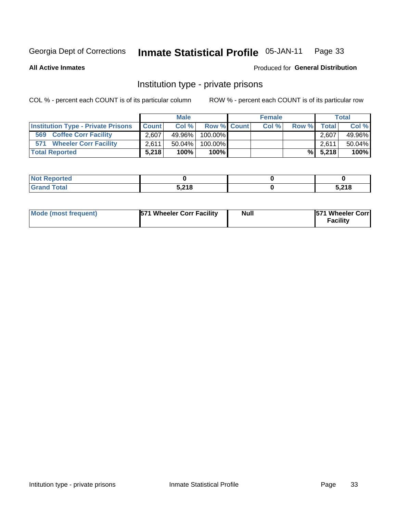#### **Inmate Statistical Profile 05-JAN-11** Page 33

**All Active Inmates** 

### Produced for General Distribution

# Institution type - private prisons

COL % - percent each COUNT is of its particular column

|                                           |              | <b>Male</b> |                    | <b>Female</b> |       |              | <b>Total</b> |
|-------------------------------------------|--------------|-------------|--------------------|---------------|-------|--------------|--------------|
| <b>Institution Type - Private Prisons</b> | <b>Count</b> | Col%        | <b>Row % Count</b> | Col %         | Row % | <b>Total</b> | Col %        |
| 569<br><b>Coffee Corr Facility</b>        | 2,607        | 49.96%      | $100.00\%$         |               |       | 2.607        | 49.96%       |
| <b>Wheeler Corr Facility</b><br>571       | 2,611        | $50.04\%$   | 100.00%            |               |       | 2,611        | 50.04%       |
| <b>Total Reported</b>                     | 5.218        | 100%        | $100\%$            |               |       | $\%$ 5,218   | 100%         |

| <b>Reported</b><br>$\sim$ |                       |      |
|---------------------------|-----------------------|------|
| <b>otal</b>               | <b>E 240</b><br>- 1 9 | 1000 |

| Mode (most frequent) | 571 Wheeler Corr Facility | <b>Null</b> | <b>571 Wheeler Corrl</b><br>Facilitv |
|----------------------|---------------------------|-------------|--------------------------------------|
|----------------------|---------------------------|-------------|--------------------------------------|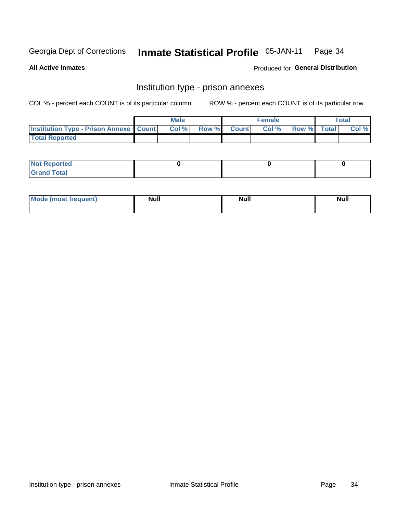#### **Inmate Statistical Profile 05-JAN-11** Page 34

**All Active Inmates** 

**Produced for General Distribution** 

# Institution type - prison annexes

COL % - percent each COUNT is of its particular column

|                                                   | <b>Male</b> |       |              | <b>Female</b> |             | <b>Total</b> |
|---------------------------------------------------|-------------|-------|--------------|---------------|-------------|--------------|
| <b>Institution Type - Prison Annexe   Count  </b> | Col %       | Row % | <b>Count</b> | Col %         | Row % Total | Col %        |
| <b>Total Reported</b>                             |             |       |              |               |             |              |

| <b>Reported</b><br>I NOT                      |  |  |
|-----------------------------------------------|--|--|
| <b>Total</b><br>Carar<br>$\sim$ . When $\sim$ |  |  |

| <b>Mode</b>     | <b>Null</b> | <b>Null</b> | <b>Null</b> |
|-----------------|-------------|-------------|-------------|
| most frequent). |             |             |             |
|                 |             |             |             |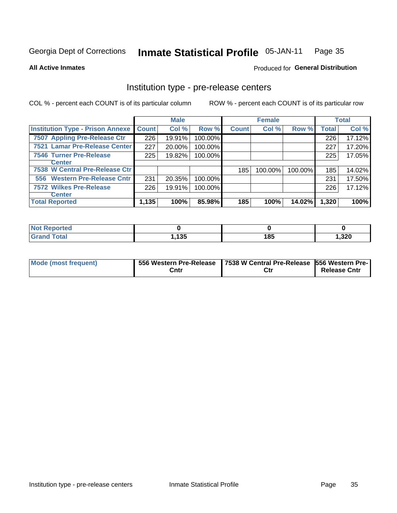#### **Inmate Statistical Profile 05-JAN-11** Page 35

**All Active Inmates** 

**Produced for General Distribution** 

# Institution type - pre-release centers

COL % - percent each COUNT is of its particular column

|                                         |              | <b>Male</b> |         |              | <b>Female</b> |         |              | <b>Total</b> |
|-----------------------------------------|--------------|-------------|---------|--------------|---------------|---------|--------------|--------------|
| <b>Institution Type - Prison Annexe</b> | <b>Count</b> | Col %       | Row %   | <b>Count</b> | Col %         | Row %   | <b>Total</b> | Col %        |
| 7507 Appling Pre-Release Ctr            | 226          | 19.91%      | 100.00% |              |               |         | 226          | 17.12%       |
| 7521 Lamar Pre-Release Center           | 227          | 20.00%      | 100.00% |              |               |         | 227          | 17.20%       |
| <b>7546 Turner Pre-Release</b>          | 225          | 19.82%      | 100.00% |              |               |         | 225          | 17.05%       |
| Center                                  |              |             |         |              |               |         |              |              |
| 7538 W Central Pre-Release Ctr          |              |             |         | 185          | 100.00%       | 100.00% | 185          | 14.02%       |
| 556 Western Pre-Release Cntr            | 231          | 20.35%      | 100.00% |              |               |         | 231          | 17.50%       |
| <b>7572 Wilkes Pre-Release</b>          | 226          | 19.91%      | 100.00% |              |               |         | 226          | 17.12%       |
| <b>Center</b>                           |              |             |         |              |               |         |              |              |
| <b>Total Reported</b>                   | 1,135        | 100%        | 85.98%  | 185          | 100%          | 14.02%  | 1,320        | 100%         |

| Reported |      |     |       |
|----------|------|-----|-------|
| Total    | ,135 | 185 | 1,320 |

| Mode (most frequent) |      | 556 Western Pre-Release   7538 W Central Pre-Release   556 Western Pre- |                     |
|----------------------|------|-------------------------------------------------------------------------|---------------------|
|                      | Cntr | Ctr                                                                     | <b>Release Cntr</b> |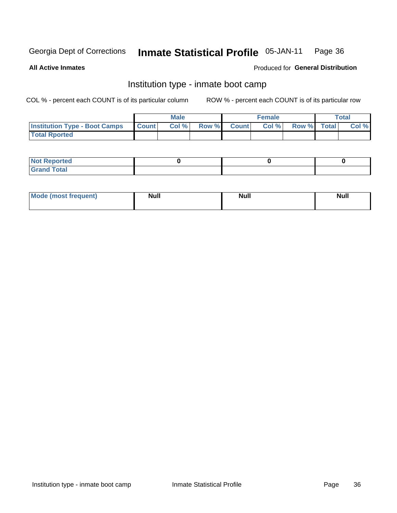#### **Inmate Statistical Profile 05-JAN-11** Page 36

**All Active Inmates** 

### Produced for General Distribution

# Institution type - inmate boot camp

COL % - percent each COUNT is of its particular column

|                                      |              | <b>Male</b> |       |              | <b>Female</b> |             | <b>Total</b> |
|--------------------------------------|--------------|-------------|-------|--------------|---------------|-------------|--------------|
| <b>Institution Type - Boot Camps</b> | <b>Count</b> | Col %       | Row % | <b>Count</b> | Col %         | Row % Total | Col %        |
| <b>Total Rported</b>                 |              |             |       |              |               |             |              |

| <b>Not Reported</b>                   |  |  |
|---------------------------------------|--|--|
| <b>Total</b><br><b>C HAM</b><br>_____ |  |  |

| <b>AhoM</b>       | <b>Null</b> | <b>Null</b> | Ab d' |
|-------------------|-------------|-------------|-------|
| <b>"requent</b> ) |             |             | _____ |
|                   |             |             |       |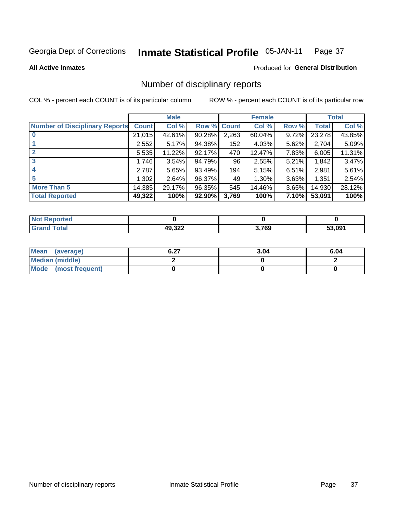#### Inmate Statistical Profile 05-JAN-11 Page 37

### **All Active Inmates**

### **Produced for General Distribution**

# Number of disciplinary reports

COL % - percent each COUNT is of its particular column

|                                       |              | <b>Male</b> |             |       | <b>Female</b> |       |        | <b>Total</b> |
|---------------------------------------|--------------|-------------|-------------|-------|---------------|-------|--------|--------------|
| <b>Number of Disciplinary Reports</b> | <b>Count</b> | Col %       | Row % Count |       | Col %         | Row % | Total  | Col %        |
| $\bf{0}$                              | 21,015       | 42.61%      | 90.28%      | 2,263 | 60.04%        | 9.72% | 23,278 | 43.85%       |
|                                       | 2,552        | 5.17%       | 94.38%      | 152   | 4.03%         | 5.62% | 2,704  | 5.09%        |
| $\mathbf{2}$                          | 5,535        | 11.22%      | 92.17%      | 470   | 12.47%        | 7.83% | 6,005  | 11.31%       |
| 3                                     | 1,746        | 3.54%       | 94.79%      | 96    | 2.55%         | 5.21% | 1,842  | 3.47%        |
|                                       | 2,787        | 5.65%       | 93.49%      | 194   | 5.15%         | 6.51% | 2,981  | 5.61%        |
| 5                                     | 1,302        | 2.64%       | 96.37%      | 49    | 1.30%         | 3.63% | 1,351  | 2.54%        |
| <b>More Than 5</b>                    | 14,385       | 29.17%      | 96.35%      | 545   | 14.46%        | 3.65% | 14,930 | 28.12%       |
| <b>Total Reported</b>                 | 49,322       | 100%        | 92.90%      | 3,769 | 100%          | 7.10% | 53,091 | 100%         |

| orted<br>NOI |                  |       |        |
|--------------|------------------|-------|--------|
| <b>Fotal</b> | 49 322<br>19.JZZ | 3,769 | 53.091 |

| Mean (average)       | ר ה<br>0.ZI | 3.04 | 6.04 |
|----------------------|-------------|------|------|
| Median (middle)      |             |      |      |
| Mode (most frequent) |             |      |      |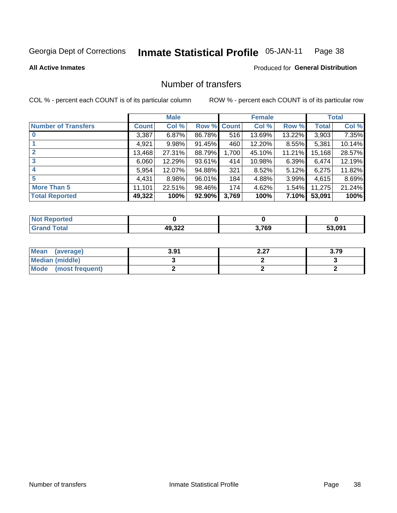#### **Inmate Statistical Profile 05-JAN-11** Page 38

### **All Active Inmates**

## **Produced for General Distribution**

# Number of transfers

COL % - percent each COUNT is of its particular column

|                            |         | <b>Male</b> |        |              | <b>Female</b> |          |              | <b>Total</b> |
|----------------------------|---------|-------------|--------|--------------|---------------|----------|--------------|--------------|
| <b>Number of Transfers</b> | Count l | Col %       | Row %  | <b>Count</b> | Col %         | Row %    | <b>Total</b> | Col %        |
| $\bf{0}$                   | 3,387   | 6.87%       | 86.78% | 516          | 13.69%        | 13.22%   | 3,903        | 7.35%        |
|                            | 4,921   | 9.98%       | 91.45% | 460          | 12.20%        | $8.55\%$ | 5,381        | 10.14%       |
| $\mathbf{2}$               | 13,468  | 27.31%      | 88.79% | 1,700        | 45.10%        | 11.21%   | 15,168       | 28.57%       |
| 3                          | 6,060   | 12.29%      | 93.61% | 414          | 10.98%        | $6.39\%$ | 6,474        | 12.19%       |
| 4                          | 5,954   | 12.07%      | 94.88% | 321          | 8.52%         | 5.12%    | 6,275        | 11.82%       |
| 5                          | 4,431   | 8.98%       | 96.01% | 184          | 4.88%         | 3.99%    | 4,615        | 8.69%        |
| <b>More Than 5</b>         | 11,101  | 22.51%      | 98.46% | 174          | 4.62%         | $1.54\%$ | 11,275       | 21.24%       |
| <b>Total Reported</b>      | 49,322  | 100%        | 92.90% | 3,769        | 100%          | 7.10%    | 53,091       | 100%         |

| orted<br>NOT |                  |       |        |
|--------------|------------------|-------|--------|
| <b>Total</b> | 10.322<br>49.JZZ | 3,769 | 53.091 |

| Mean (average)       | 3.91 | ר י<br>L.LI | 3.79 |
|----------------------|------|-------------|------|
| Median (middle)      |      |             |      |
| Mode (most frequent) |      |             |      |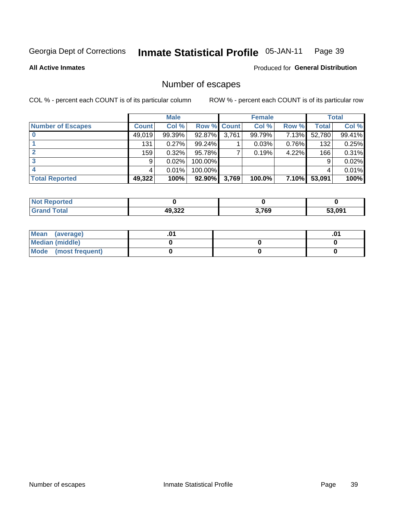#### Inmate Statistical Profile 05-JAN-11 Page 39

### **All Active Inmates**

### Produced for General Distribution

# Number of escapes

COL % - percent each COUNT is of its particular column

|                          |              | <b>Male</b> |             |       | <b>Female</b> |          |              | <b>Total</b> |
|--------------------------|--------------|-------------|-------------|-------|---------------|----------|--------------|--------------|
| <b>Number of Escapes</b> | <b>Count</b> | Col %       | Row % Count |       | Col %         | Row %    | <b>Total</b> | Col %        |
|                          | 49,019       | 99.39%      | 92.87%      | 3,761 | 99.79%        | 7.13%    | 52,780       | 99.41%       |
|                          | 131          | 0.27%       | 99.24%      |       | 0.03%         | $0.76\%$ | 132          | 0.25%        |
|                          | 159          | 0.32%       | 95.78%      |       | 0.19%         | 4.22%    | 166          | 0.31%        |
|                          | 9            | 0.02%       | 100.00%     |       |               |          | 9            | 0.02%        |
|                          |              | 0.01%       | 100.00%     |       |               |          | 4            | 0.01%        |
| <b>Total Reported</b>    | 49,322       | 100%        | $92.90\%$   | 3,769 | 100.0%        | 7.10%    | 53,091       | 100%         |

| prteo        |        |       |        |
|--------------|--------|-------|--------|
| <b>Total</b> | 49,322 | 3,769 | 53.091 |

| Mean (average)         |  | .0 <sup>4</sup> |
|------------------------|--|-----------------|
| <b>Median (middle)</b> |  |                 |
| Mode (most frequent)   |  |                 |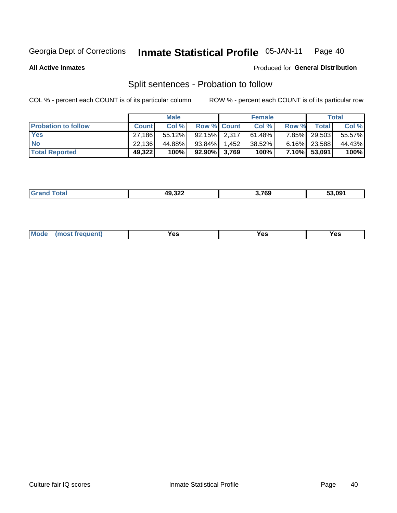#### Inmate Statistical Profile 05-JAN-11 Page 40

**All Active Inmates** 

### Produced for General Distribution

# Split sentences - Probation to follow

COL % - percent each COUNT is of its particular column

|                            |              | <b>Male</b> |                    | <b>Female</b> |        |                 | <b>Total</b> |
|----------------------------|--------------|-------------|--------------------|---------------|--------|-----------------|--------------|
| <b>Probation to follow</b> | <b>Count</b> | Col%        | <b>Row % Count</b> | Col %         | Row %  | <b>Total</b>    | Col %        |
| <b>Yes</b>                 | 27.186       | $55.12\%$   | $92.15\%$ 2.317    | $61.48\%$     |        | 7.85% 29.503    | 55.57%       |
| <b>No</b>                  | 22.136       | 44.88%      | 93.84% 1.452       | 38.52%        |        | $6.16\%$ 23,588 | 44.43%       |
| <b>Total Reported</b>      | 49,322       | 100%        | $92.90\%$ 3,769    | 100%          | 7.10%I | 53,091          | 100%         |

|  | ---- | $\lambda$ Q 320<br>49,322 | 3,769 | 53.091 |
|--|------|---------------------------|-------|--------|
|--|------|---------------------------|-------|--------|

| reauent)<br>Yes<br>v^c<br>0٥<br>.<br>. .<br>$\sim$ |  | <b>Mode</b> |  |  |  |
|----------------------------------------------------|--|-------------|--|--|--|
|----------------------------------------------------|--|-------------|--|--|--|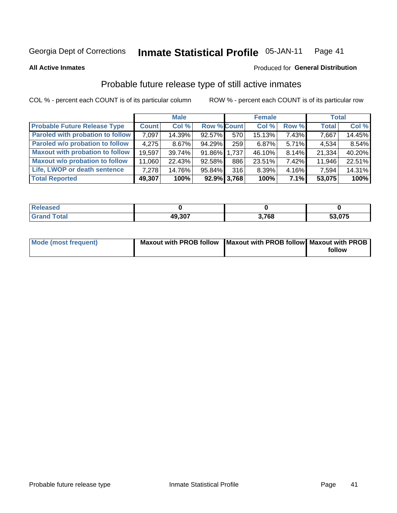#### **Inmate Statistical Profile 05-JAN-11** Page 41

### **All Active Inmates**

# Produced for General Distribution

# Probable future release type of still active inmates

COL % - percent each COUNT is of its particular column

|                                         |              | <b>Male</b> |                    |                | <b>Female</b> |       | <b>Total</b> |        |
|-----------------------------------------|--------------|-------------|--------------------|----------------|---------------|-------|--------------|--------|
| <b>Probable Future Release Type</b>     | <b>Count</b> | Col %       | <b>Row % Count</b> |                | Col %         | Row % | <b>Total</b> | Col %  |
| <b>Paroled with probation to follow</b> | 7,097        | 14.39%      | 92.57%             | 570            | 15.13%        | 7.43% | 7,667        | 14.45% |
| Paroled w/o probation to follow         | 4,275        | $8.67\%$    | 94.29%             | 259            | 6.87%         | 5.71% | 4,534        | 8.54%  |
| <b>Maxout with probation to follow</b>  | 19,597       | 39.74%      | 91.86% 1.737       |                | 46.10%        | 8.14% | 21,334       | 40.20% |
| <b>Maxout w/o probation to follow</b>   | 11,060       | 22.43%      | 92.58%             | 886            | 23.51%        | 7.42% | 11,946       | 22.51% |
| Life, LWOP or death sentence            | 7.278        | 14.76%      | 95.84%             | 316            | 8.39%         | 4.16% | 7,594        | 14.31% |
| <b>Total Reported</b>                   | 49,307       | 100%        |                    | $92.9\%$ 3,768 | 100%          | 7.1%  | 53,075       | 100%   |

| ased |        |      |              |
|------|--------|------|--------------|
| otal | 49.307 | .768 | 53,075<br>აა |

| <b>Mode (most frequent)</b> | Maxout with PROB follow   Maxout with PROB follow   Maxout with PROB |        |
|-----------------------------|----------------------------------------------------------------------|--------|
|                             |                                                                      | follow |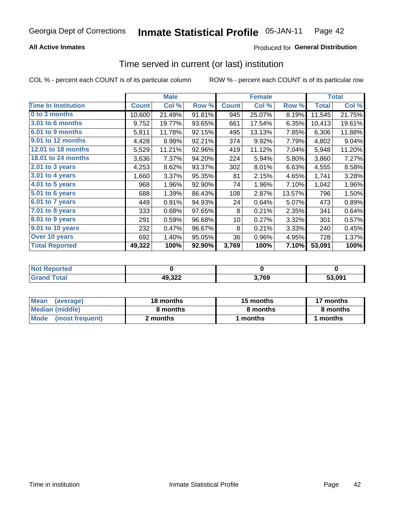### **All Active Inmates**

## **Produced for General Distribution**

# Time served in current (or last) institution

COL % - percent each COUNT is of its particular column

|                            |              | <b>Male</b> |        |              | <b>Female</b> |        |              | <b>Total</b> |
|----------------------------|--------------|-------------|--------|--------------|---------------|--------|--------------|--------------|
| <b>Time In Institution</b> | <b>Count</b> | Col %       | Row %  | <b>Count</b> | Col %         | Row %  | <b>Total</b> | Col %        |
| 0 to 3 months              | 10,600       | 21.49%      | 91.81% | 945          | 25.07%        | 8.19%  | 11,545       | 21.75%       |
| <b>3.01 to 6 months</b>    | 9,752        | 19.77%      | 93.65% | 661          | 17.54%        | 6.35%  | 10,413       | 19.61%       |
| 6.01 to 9 months           | 5,811        | 11.78%      | 92.15% | 495          | 13.13%        | 7.85%  | 6,306        | 11.88%       |
| 9.01 to 12 months          | 4,428        | 8.98%       | 92.21% | 374          | 9.92%         | 7.79%  | 4,802        | 9.04%        |
| 12.01 to 18 months         | 5,529        | 11.21%      | 92.96% | 419          | 11.12%        | 7.04%  | 5,948        | 11.20%       |
| <b>18.01 to 24 months</b>  | 3,636        | 7.37%       | 94.20% | 224          | 5.94%         | 5.80%  | 3,860        | 7.27%        |
| $2.01$ to 3 years          | 4,253        | 8.62%       | 93.37% | 302          | 8.01%         | 6.63%  | 4,555        | 8.58%        |
| 3.01 to 4 years            | 1,660        | 3.37%       | 95.35% | 81           | 2.15%         | 4.65%  | 1,741        | 3.28%        |
| $4.01$ to 5 years          | 968          | 1.96%       | 92.90% | 74           | 1.96%         | 7.10%  | 1,042        | 1.96%        |
| 5.01 to 6 years            | 688          | 1.39%       | 86.43% | 108          | 2.87%         | 13.57% | 796          | 1.50%        |
| $6.01$ to 7 years          | 449          | 0.91%       | 94.93% | 24           | 0.64%         | 5.07%  | 473          | 0.89%        |
| 7.01 to 8 years            | 333          | 0.68%       | 97.65% | 8            | 0.21%         | 2.35%  | 341          | 0.64%        |
| $8.01$ to 9 years          | 291          | 0.59%       | 96.68% | 10           | 0.27%         | 3.32%  | 301          | 0.57%        |
| 9.01 to 10 years           | 232          | 0.47%       | 96.67% | 8            | 0.21%         | 3.33%  | 240          | 0.45%        |
| Over 10 years              | 692          | 1.40%       | 95.05% | 36           | 0.96%         | 4.95%  | 728          | 1.37%        |
| <b>Total Reported</b>      | 49,322       | 100%        | 92.90% | 3,769        | 100%          | 7.10%  | 53,091       | 100%         |

| <b>NOT</b><br>птео |        |       |        |
|--------------------|--------|-------|--------|
|                    | 49,322 | 3,769 | 53.091 |

| <b>Mean</b><br>(average) | 18 months | 15 months | 17 months |
|--------------------------|-----------|-----------|-----------|
| Median (middle)          | 8 months  | 8 months  | 8 months  |
| Mode<br>(most frequent)  | 2 months  | months    | ∖ months  |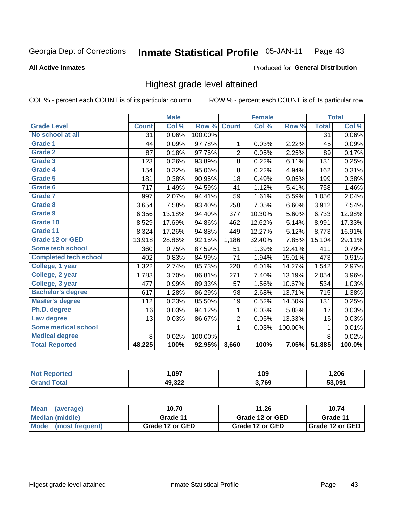#### Inmate Statistical Profile 05-JAN-11 Page 43

### **All Active Inmates**

### Produced for General Distribution

# Highest grade level attained

COL % - percent each COUNT is of its particular column

|                              |                 | <b>Male</b> |         |                | <b>Female</b> |         |              | <b>Total</b>               |
|------------------------------|-----------------|-------------|---------|----------------|---------------|---------|--------------|----------------------------|
| <b>Grade Level</b>           | <b>Count</b>    | Col %       | Row %   | <b>Count</b>   | Col %         | Row %   | <b>Total</b> | $\overline{\text{Col }\%}$ |
| No school at all             | $\overline{31}$ | 0.06%       | 100.00% |                |               |         | 31           | 0.06%                      |
| Grade 1                      | 44              | 0.09%       | 97.78%  | 1              | 0.03%         | 2.22%   | 45           | 0.09%                      |
| <b>Grade 2</b>               | 87              | 0.18%       | 97.75%  | $\overline{2}$ | 0.05%         | 2.25%   | 89           | 0.17%                      |
| <b>Grade 3</b>               | 123             | 0.26%       | 93.89%  | 8              | 0.22%         | 6.11%   | 131          | 0.25%                      |
| Grade 4                      | 154             | 0.32%       | 95.06%  | 8              | 0.22%         | 4.94%   | 162          | 0.31%                      |
| Grade 5                      | 181             | 0.38%       | 90.95%  | 18             | 0.49%         | 9.05%   | 199          | 0.38%                      |
| Grade 6                      | 717             | 1.49%       | 94.59%  | 41             | 1.12%         | 5.41%   | 758          | 1.46%                      |
| <b>Grade 7</b>               | 997             | 2.07%       | 94.41%  | 59             | 1.61%         | 5.59%   | 1,056        | 2.04%                      |
| Grade 8                      | 3,654           | 7.58%       | 93.40%  | 258            | 7.05%         | 6.60%   | 3,912        | 7.54%                      |
| Grade 9                      | 6,356           | 13.18%      | 94.40%  | 377            | 10.30%        | 5.60%   | 6,733        | 12.98%                     |
| Grade 10                     | 8,529           | 17.69%      | 94.86%  | 462            | 12.62%        | 5.14%   | 8,991        | 17.33%                     |
| Grade 11                     | 8,324           | 17.26%      | 94.88%  | 449            | 12.27%        | 5.12%   | 8,773        | 16.91%                     |
| <b>Grade 12 or GED</b>       | 13,918          | 28.86%      | 92.15%  | 1,186          | 32.40%        | 7.85%   | 15,104       | 29.11%                     |
| Some tech school             | 360             | 0.75%       | 87.59%  | 51             | 1.39%         | 12.41%  | 411          | 0.79%                      |
| <b>Completed tech school</b> | 402             | 0.83%       | 84.99%  | 71             | 1.94%         | 15.01%  | 473          | 0.91%                      |
| College, 1 year              | 1,322           | 2.74%       | 85.73%  | 220            | 6.01%         | 14.27%  | 1,542        | 2.97%                      |
| College, 2 year              | 1,783           | 3.70%       | 86.81%  | 271            | 7.40%         | 13.19%  | 2,054        | 3.96%                      |
| College, 3 year              | 477             | 0.99%       | 89.33%  | 57             | 1.56%         | 10.67%  | 534          | 1.03%                      |
| <b>Bachelor's degree</b>     | 617             | 1.28%       | 86.29%  | 98             | 2.68%         | 13.71%  | 715          | 1.38%                      |
| <b>Master's degree</b>       | 112             | 0.23%       | 85.50%  | 19             | 0.52%         | 14.50%  | 131          | 0.25%                      |
| Ph.D. degree                 | 16              | 0.03%       | 94.12%  | 1              | 0.03%         | 5.88%   | 17           | 0.03%                      |
| Law degree                   | 13              | 0.03%       | 86.67%  | $\overline{c}$ | 0.05%         | 13.33%  | 15           | 0.03%                      |
| <b>Some medical school</b>   |                 |             |         | 1              | 0.03%         | 100.00% | 1            | 0.01%                      |
| <b>Medical degree</b>        | 8               | 0.02%       | 100.00% |                |               |         | 8            | 0.02%                      |
| <b>Total Reported</b>        | 48,225          | 100%        | 92.95%  | 3,660          | 100%          | 7.05%   | 51,885       | 100.0%                     |

| ,097             | 109   | 206,   |
|------------------|-------|--------|
| 10.322<br>49.JZL | 3,769 | 53.091 |

| <b>Mean</b><br>(average)       | 10.70           | 11.26           | 10.74           |
|--------------------------------|-----------------|-----------------|-----------------|
| Median (middle)                | Grade 11        | Grade 12 or GED | Grade 11        |
| <b>Mode</b><br>(most frequent) | Grade 12 or GED | Grade 12 or GED | Grade 12 or GED |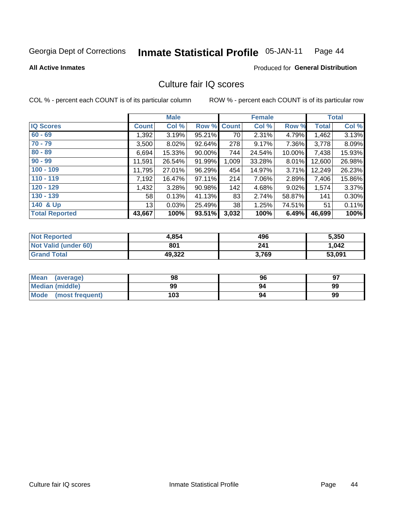#### Inmate Statistical Profile 05-JAN-11 Page 44

### **All Active Inmates**

# Produced for General Distribution

# Culture fair IQ scores

COL % - percent each COUNT is of its particular column

|                       |                 | <b>Male</b> |                    |       | <b>Female</b> |        |        | <b>Total</b> |
|-----------------------|-----------------|-------------|--------------------|-------|---------------|--------|--------|--------------|
| <b>IQ Scores</b>      | Count           | Col %       | <b>Row % Count</b> |       | Col %         | Row %  | Total  | Col %        |
| $60 - 69$             | 1,392           | 3.19%       | 95.21%             | 70    | 2.31%         | 4.79%  | 1,462  | 3.13%        |
| $70 - 79$             | 3,500           | 8.02%       | 92.64%             | 278   | 9.17%         | 7.36%  | 3,778  | 8.09%        |
| $80 - 89$             | 6,694           | 15.33%      | 90.00%             | 744   | 24.54%        | 10.00% | 7,438  | 15.93%       |
| $90 - 99$             | 11,591          | 26.54%      | 91.99%             | 1,009 | 33.28%        | 8.01%  | 12,600 | 26.98%       |
| $100 - 109$           | 11,795          | 27.01%      | 96.29%             | 454   | 14.97%        | 3.71%  | 12,249 | 26.23%       |
| $110 - 119$           | 7,192           | 16.47%      | $97.11\%$          | 214   | 7.06%         | 2.89%  | 7,406  | 15.86%       |
| $120 - 129$           | 1,432           | 3.28%       | 90.98%             | 142   | 4.68%         | 9.02%  | 1,574  | 3.37%        |
| $130 - 139$           | 58 <sup>1</sup> | 0.13%       | 41.13%             | 83    | 2.74%         | 58.87% | 141    | 0.30%        |
| 140 & Up              | 13 <sup>1</sup> | 0.03%       | 25.49%             | 38    | 1.25%         | 74.51% | 51     | 0.11%        |
| <b>Total Reported</b> | 43,667          | 100%        | 93.51%             | 3,032 | 100%          | 6.49%  | 46,699 | 100%         |

| <b>Not Reported</b>         | 4,854  | 496   | 5,350  |
|-----------------------------|--------|-------|--------|
| <b>Not Valid (under 60)</b> | 801    | 241   | 1,042  |
| <b>Grand Total</b>          | 49,322 | 3,769 | 53,091 |

| <b>Mean</b><br>(average) | 98  | 96 | 97 |
|--------------------------|-----|----|----|
| Median (middle)          | 99  | 94 | 99 |
| Mode<br>(most frequent)  | 103 | 94 | 99 |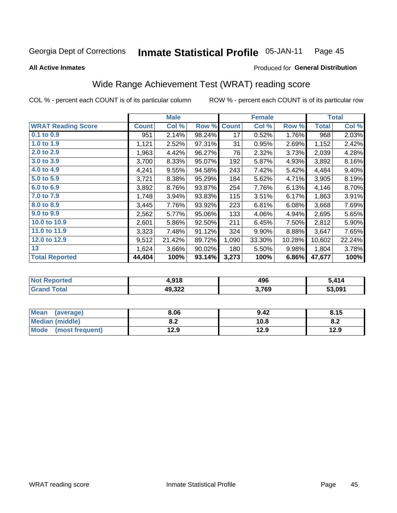#### Inmate Statistical Profile 05-JAN-11 Page 45

Produced for General Distribution

### **All Active Inmates**

# Wide Range Achievement Test (WRAT) reading score

COL % - percent each COUNT is of its particular column

|                           |              | <b>Male</b> |        |              | <b>Female</b> |        |              | <b>Total</b> |
|---------------------------|--------------|-------------|--------|--------------|---------------|--------|--------------|--------------|
| <b>WRAT Reading Score</b> | <b>Count</b> | Col %       | Row %  | <b>Count</b> | Col %         | Row %  | <b>Total</b> | Col %        |
| $0.1$ to $0.9$            | 951          | 2.14%       | 98.24% | 17           | 0.52%         | 1.76%  | 968          | 2.03%        |
| 1.0 to 1.9                | 1,121        | 2.52%       | 97.31% | 31           | 0.95%         | 2.69%  | 1,152        | 2.42%        |
| 2.0 to 2.9                | 1,963        | 4.42%       | 96.27% | 76           | 2.32%         | 3.73%  | 2,039        | 4.28%        |
| 3.0 to 3.9                | 3,700        | 8.33%       | 95.07% | 192          | 5.87%         | 4.93%  | 3,892        | 8.16%        |
| 4.0 to 4.9                | 4,241        | 9.55%       | 94.58% | 243          | 7.42%         | 5.42%  | 4,484        | 9.40%        |
| 5.0 to 5.9                | 3,721        | 8.38%       | 95.29% | 184          | 5.62%         | 4.71%  | 3,905        | 8.19%        |
| 6.0 to 6.9                | 3,892        | 8.76%       | 93.87% | 254          | 7.76%         | 6.13%  | 4,146        | 8.70%        |
| 7.0 to 7.9                | 1,748        | 3.94%       | 93.83% | 115          | 3.51%         | 6.17%  | 1,863        | 3.91%        |
| 8.0 to 8.9                | 3,445        | 7.76%       | 93.92% | 223          | 6.81%         | 6.08%  | 3,668        | 7.69%        |
| 9.0 to 9.9                | 2,562        | 5.77%       | 95.06% | 133          | 4.06%         | 4.94%  | 2,695        | 5.65%        |
| 10.0 to 10.9              | 2,601        | 5.86%       | 92.50% | 211          | 6.45%         | 7.50%  | 2,812        | 5.90%        |
| 11.0 to 11.9              | 3,323        | 7.48%       | 91.12% | 324          | 9.90%         | 8.88%  | 3,647        | 7.65%        |
| 12.0 to 12.9              | 9,512        | 21.42%      | 89.72% | 1,090        | 33.30%        | 10.28% | 10,602       | 22.24%       |
| 13                        | 1,624        | 3.66%       | 90.02% | 180          | 5.50%         | 9.98%  | 1,804        | 3.78%        |
| <b>Total Reported</b>     | 44,404       | 100%        | 93.14% | 3,273        | 100%          | 6.86%  | 47,677       | 100%         |

| Teu.<br>NO | +,918  | 496   | 5.11/<br>1 Z |
|------------|--------|-------|--------------|
|            | 49,322 | 3,769 | 53.091       |

| <b>Mean</b><br>(average) | 8.06       | 9.42 | 8.15 |
|--------------------------|------------|------|------|
| <b>Median (middle)</b>   | י ה<br>o.z | 10.8 | o.z  |
| Mode (most frequent)     | 12.9       | 12.9 | 12.9 |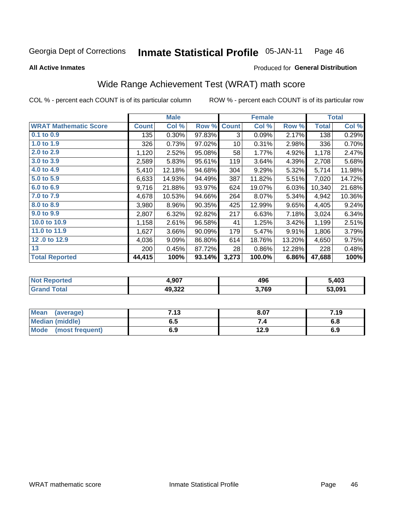#### **Inmate Statistical Profile 05-JAN-11** Page 46

### **All Active Inmates**

## Produced for General Distribution

# Wide Range Achievement Test (WRAT) math score

COL % - percent each COUNT is of its particular column

|                              |              | <b>Male</b> |        |              | <b>Female</b> |        |        | <b>Total</b> |
|------------------------------|--------------|-------------|--------|--------------|---------------|--------|--------|--------------|
| <b>WRAT Mathematic Score</b> | <b>Count</b> | Col %       | Row %  | <b>Count</b> | Col %         | Row %  | Total  | Col $%$      |
| $0.1$ to $0.9$               | 135          | 0.30%       | 97.83% | 3            | 0.09%         | 2.17%  | 138    | 0.29%        |
| 1.0 to 1.9                   | 326          | 0.73%       | 97.02% | 10           | 0.31%         | 2.98%  | 336    | 0.70%        |
| 2.0 to 2.9                   | 1,120        | 2.52%       | 95.08% | 58           | 1.77%         | 4.92%  | 1,178  | 2.47%        |
| 3.0 to 3.9                   | 2,589        | 5.83%       | 95.61% | 119          | 3.64%         | 4.39%  | 2,708  | 5.68%        |
| 4.0 to 4.9                   | 5,410        | 12.18%      | 94.68% | 304          | 9.29%         | 5.32%  | 5,714  | 11.98%       |
| 5.0 to 5.9                   | 6,633        | 14.93%      | 94.49% | 387          | 11.82%        | 5.51%  | 7,020  | 14.72%       |
| 6.0 to 6.9                   | 9,716        | 21.88%      | 93.97% | 624          | 19.07%        | 6.03%  | 10,340 | 21.68%       |
| 7.0 to 7.9                   | 4,678        | 10.53%      | 94.66% | 264          | 8.07%         | 5.34%  | 4,942  | 10.36%       |
| 8.0 to 8.9                   | 3,980        | 8.96%       | 90.35% | 425          | 12.99%        | 9.65%  | 4,405  | 9.24%        |
| 9.0 to 9.9                   | 2,807        | 6.32%       | 92.82% | 217          | 6.63%         | 7.18%  | 3,024  | 6.34%        |
| 10.0 to 10.9                 | 1,158        | 2.61%       | 96.58% | 41           | 1.25%         | 3.42%  | 1,199  | 2.51%        |
| 11.0 to 11.9                 | 1,627        | 3.66%       | 90.09% | 179          | 5.47%         | 9.91%  | 1,806  | 3.79%        |
| 12.0 to 12.9                 | 4,036        | 9.09%       | 86.80% | 614          | 18.76%        | 13.20% | 4,650  | 9.75%        |
| 13                           | 200          | 0.45%       | 87.72% | 28           | 0.86%         | 12.28% | 228    | 0.48%        |
| <b>Total Reported</b>        | 44,415       | 100%        | 93.14% | 3,273        | 100.0%        | 6.86%  | 47,688 | 100%         |

| "Tet.<br>NO | 1,907  | 496   | 5,403  |
|-------------|--------|-------|--------|
|             | 49,322 | 3,769 | 53.091 |

| <b>Mean</b><br>(average)       | 7.13 | 8.07 | 7.19 |
|--------------------------------|------|------|------|
| <b>Median (middle)</b>         | כ.ס  | ۰.,  | υ.ο  |
| <b>Mode</b><br>(most frequent) | 6.9  | 12.9 | 6.9  |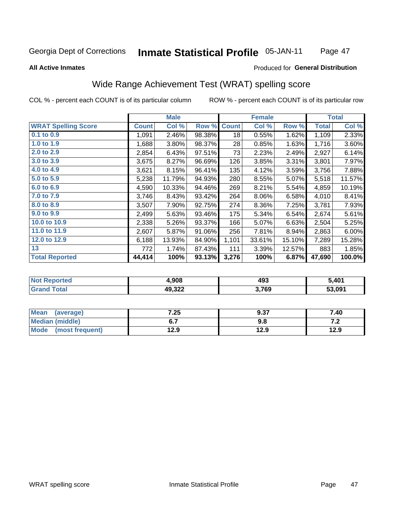#### **Inmate Statistical Profile 05-JAN-11** Page 47

### **All Active Inmates**

### Produced for General Distribution

# Wide Range Achievement Test (WRAT) spelling score

COL % - percent each COUNT is of its particular column

|                            |              | <b>Male</b> |        |              | <b>Female</b> |        |              | <b>Total</b> |
|----------------------------|--------------|-------------|--------|--------------|---------------|--------|--------------|--------------|
| <b>WRAT Spelling Score</b> | <b>Count</b> | Col %       | Row %  | <b>Count</b> | Col %         | Row %  | <b>Total</b> | Col %        |
| $0.1$ to $0.9$             | 1,091        | 2.46%       | 98.38% | 18           | 0.55%         | 1.62%  | 1,109        | 2.33%        |
| 1.0 to 1.9                 | 1,688        | 3.80%       | 98.37% | 28           | 0.85%         | 1.63%  | 1,716        | 3.60%        |
| 2.0 to 2.9                 | 2,854        | 6.43%       | 97.51% | 73           | 2.23%         | 2.49%  | 2,927        | 6.14%        |
| 3.0 to 3.9                 | 3,675        | 8.27%       | 96.69% | 126          | 3.85%         | 3.31%  | 3,801        | 7.97%        |
| 4.0 to 4.9                 | 3,621        | 8.15%       | 96.41% | 135          | 4.12%         | 3.59%  | 3,756        | 7.88%        |
| 5.0 to 5.9                 | 5,238        | 11.79%      | 94.93% | 280          | 8.55%         | 5.07%  | 5,518        | 11.57%       |
| 6.0 to 6.9                 | 4,590        | 10.33%      | 94.46% | 269          | 8.21%         | 5.54%  | 4,859        | 10.19%       |
| 7.0 to 7.9                 | 3,746        | 8.43%       | 93.42% | 264          | 8.06%         | 6.58%  | 4,010        | 8.41%        |
| 8.0 to 8.9                 | 3,507        | 7.90%       | 92.75% | 274          | 8.36%         | 7.25%  | 3,781        | 7.93%        |
| 9.0 to 9.9                 | 2,499        | 5.63%       | 93.46% | 175          | 5.34%         | 6.54%  | 2,674        | 5.61%        |
| 10.0 to 10.9               | 2,338        | 5.26%       | 93.37% | 166          | 5.07%         | 6.63%  | 2,504        | 5.25%        |
| 11.0 to 11.9               | 2,607        | 5.87%       | 91.06% | 256          | 7.81%         | 8.94%  | 2,863        | 6.00%        |
| 12.0 to 12.9               | 6,188        | 13.93%      | 84.90% | 1,101        | 33.61%        | 15.10% | 7,289        | 15.28%       |
| 13                         | 772          | 1.74%       | 87.43% | 111          | 3.39%         | 12.57% | 883          | 1.85%        |
| <b>Total Reported</b>      | 44,414       | 100%        | 93.13% | 3,276        | 100%          | 6.87%  | 47,690       | 100.0%       |

| NO | 4,908  | 493   | 5 401<br>ו שד |
|----|--------|-------|---------------|
|    | 49,322 | 3,769 | 53.091        |

| <b>Mean</b><br>(average) | 7.25 | 9.37 | 7.40  |
|--------------------------|------|------|-------|
| <b>Median (middle)</b>   | ν.,  | 9.8  | . . Z |
| Mode (most frequent)     | 12.9 | 12.9 | 12.9  |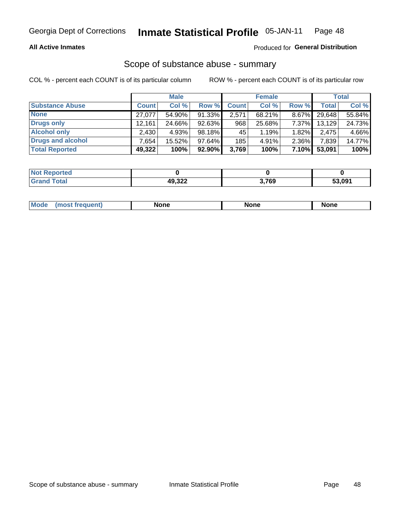### **All Active Inmates**

## Produced for General Distribution

# Scope of substance abuse - summary

COL % - percent each COUNT is of its particular column

|                        |              | <b>Male</b> |           |              | <b>Female</b> |          |        | <b>Total</b> |
|------------------------|--------------|-------------|-----------|--------------|---------------|----------|--------|--------------|
| <b>Substance Abuse</b> | <b>Count</b> | Col %       | Row %     | <b>Count</b> | Col %         | Row %    | Total  | Col %        |
| <b>None</b>            | 27.077       | 54.90%      | 91.33%    | 2,571        | 68.21%        | $8.67\%$ | 29,648 | 55.84%       |
| Drugs only             | 12.161       | 24.66%      | $92.63\%$ | 968          | 25.68%        | 7.37%    | 13,129 | 24.73%       |
| <b>Alcohol only</b>    | 2,430        | 4.93%       | 98.18%    | 45           | 1.19%         | 1.82%    | 2,475  | 4.66%        |
| Drugs and alcohol      | .654'        | 15.52%      | 97.64%    | 185          | 4.91%         | 2.36%    | 7,839  | 14.77%       |
| <b>Total Reported</b>  | 49,322       | 100%        | $92.90\%$ | 3,769        | 100%          | 7.10%    | 53,091 | 100%         |

| <b>Not Reported</b> |        |       |        |
|---------------------|--------|-------|--------|
| <b>Total</b>        | 49,322 | 3,769 | 53,091 |

|  | M<br>nuemi | None | <b>IODE</b><br>NIJ | None |
|--|------------|------|--------------------|------|
|--|------------|------|--------------------|------|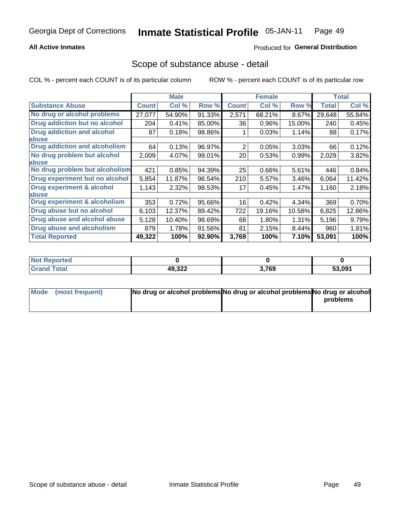### **All Active Inmates**

## **Produced for General Distribution**

## Scope of substance abuse - detail

COL % - percent each COUNT is of its particular column

|                                      |              | <b>Male</b> |        |              | <b>Female</b> |        |              | <b>Total</b> |
|--------------------------------------|--------------|-------------|--------|--------------|---------------|--------|--------------|--------------|
| <b>Substance Abuse</b>               | <b>Count</b> | Col %       | Row %  | <b>Count</b> | Col %         | Row %  | <b>Total</b> | Col %        |
| No drug or alcohol problems          | 27,077       | 54.90%      | 91.33% | 2,571        | 68.21%        | 8.67%  | 29,648       | 55.84%       |
| <b>Drug addiction but no alcohol</b> | 204          | 0.41%       | 85.00% | 36           | 0.96%         | 15.00% | 240          | 0.45%        |
| <b>Drug addiction and alcohol</b>    | 87           | 0.18%       | 98.86% |              | 0.03%         | 1.14%  | 88           | 0.17%        |
| <b>labuse</b>                        |              |             |        |              |               |        |              |              |
| <b>Drug addiction and alcoholism</b> | 64           | 0.13%       | 96.97% | 2            | 0.05%         | 3.03%  | 66           | 0.12%        |
| No drug problem but alcohol          | 2,009        | 4.07%       | 99.01% | 20           | 0.53%         | 0.99%  | 2,029        | 3.82%        |
| <b>labuse</b>                        |              |             |        |              |               |        |              |              |
| No drug problem but alcoholism       | 421          | 0.85%       | 94.39% | 25           | 0.66%         | 5.61%  | 446          | 0.84%        |
| Drug experiment but no alcohol       | 5,854        | 11.87%      | 96.54% | 210          | 5.57%         | 3.46%  | 6,064        | 11.42%       |
| <b>Drug experiment &amp; alcohol</b> | 1,143        | 2.32%       | 98.53% | 17           | 0.45%         | 1.47%  | 1,160        | 2.18%        |
| <b>labuse</b>                        |              |             |        |              |               |        |              |              |
| Drug experiment & alcoholism         | 353          | 0.72%       | 95.66% | 16           | 0.42%         | 4.34%  | 369          | 0.70%        |
| Drug abuse but no alcohol            | 6,103        | 12.37%      | 89.42% | 722          | 19.16%        | 10.58% | 6,825        | 12.86%       |
| Drug abuse and alcohol abuse         | 5,128        | 10.40%      | 98.69% | 68           | 1.80%         | 1.31%  | 5,196        | 9.79%        |
| <b>Drug abuse and alcoholism</b>     | 879          | 1.78%       | 91.56% | 81           | 2.15%         | 8.44%  | 960          | 1.81%        |
| <b>Total Reported</b>                | 49,322       | 100%        | 92.90% | 3,769        | 100%          | 7.10%  | 53,091       | 100%         |

| orted<br>NO |                  |       |              |
|-------------|------------------|-------|--------------|
| <b>otal</b> | AQ 322<br>49,JZZ | 3,769 | 53,091<br>Ð. |

| Mode (most frequent) | No drug or alcohol problems No drug or alcohol problems No drug or alcohol |          |
|----------------------|----------------------------------------------------------------------------|----------|
|                      |                                                                            | problems |
|                      |                                                                            |          |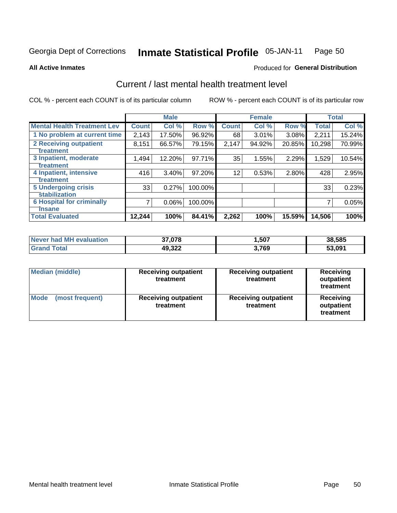#### Inmate Statistical Profile 05-JAN-11 Page 50

**All Active Inmates** 

### **Produced for General Distribution**

# Current / last mental health treatment level

COL % - percent each COUNT is of its particular column

|                                    |              | <b>Male</b> |         |              | <b>Female</b> |        |        | <b>Total</b> |
|------------------------------------|--------------|-------------|---------|--------------|---------------|--------|--------|--------------|
| <b>Mental Health Treatment Lev</b> | <b>Count</b> | Col %       | Row %   | <b>Count</b> | Col %         | Row %  | Total  | Col %        |
| 1 No problem at current time       | 2,143        | 17.50%      | 96.92%  | 68           | 3.01%         | 3.08%  | 2,211  | 15.24%       |
| 2 Receiving outpatient             | 8,151        | 66.57%      | 79.15%  | 2,147        | 94.92%        | 20.85% | 10,298 | 70.99%       |
| <b>Treatment</b>                   |              |             |         |              |               |        |        |              |
| 3 Inpatient, moderate              | 1,494        | 12.20%      | 97.71%  | 35           | 1.55%         | 2.29%  | 1,529  | 10.54%       |
| <b>Treatment</b>                   |              |             |         |              |               |        |        |              |
| 4 Inpatient, intensive             | 416          | 3.40%       | 97.20%  | 12           | 0.53%         | 2.80%  | 428    | 2.95%        |
| <b>Treatment</b>                   |              |             |         |              |               |        |        |              |
| 5 Undergoing crisis                | 33           | 0.27%       | 100.00% |              |               |        | 33     | 0.23%        |
| <b>stabilization</b>               |              |             |         |              |               |        |        |              |
| <b>6 Hospital for criminally</b>   | 7            | 0.06%       | 100.00% |              |               |        | 7      | 0.05%        |
| Tnsane                             |              |             |         |              |               |        |        |              |
| <b>Total Evaluated</b>             | 12,244       | 100%        | 84.41%  | 2,262        | 100%          | 15.59% | 14,506 | 100%         |

| Never had MH evaluation | .078   | ,507  | 38.585 |
|-------------------------|--------|-------|--------|
| $\tau$ otal             | 49,322 | 3,769 | 53,091 |

| <b>Median (middle)</b>         | <b>Receiving outpatient</b><br>treatment | <b>Receiving outpatient</b><br>treatment | <b>Receiving</b><br>outpatient<br>treatment |
|--------------------------------|------------------------------------------|------------------------------------------|---------------------------------------------|
| <b>Mode</b><br>(most frequent) | <b>Receiving outpatient</b><br>treatment | <b>Receiving outpatient</b><br>treatment | Receiving<br>outpatient<br>treatment        |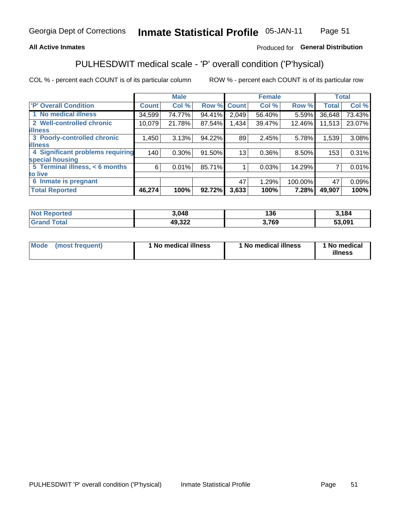### **All Active Inmates**

### Produced for General Distribution

# PULHESDWIT medical scale - 'P' overall condition ('P'hysical)

COL % - percent each COUNT is of its particular column

|                                         |              | <b>Male</b> |        |              | <b>Female</b> |         |              | <b>Total</b> |
|-----------------------------------------|--------------|-------------|--------|--------------|---------------|---------|--------------|--------------|
| 'P' Overall Condition                   | <b>Count</b> | Col %       | Row %  | <b>Count</b> | Col %         | Row %   | <b>Total</b> | Col %        |
| 1 No medical illness                    | 34,599       | 74.77%      | 94.41% | 2,049        | 56.40%        | 5.59%   | 36,648       | 73.43%       |
| 2 Well-controlled chronic               | 10,079       | 21.78%      | 87.54% | 1,434        | 39.47%        | 12.46%  | 11,513       | 23.07%       |
| <b>illness</b>                          |              |             |        |              |               |         |              |              |
| 3 Poorly-controlled chronic             | 1,450        | 3.13%       | 94.22% | 89           | 2.45%         | 5.78%   | 1,539        | 3.08%        |
| <b>illness</b>                          |              |             |        |              |               |         |              |              |
| <b>4 Significant problems requiring</b> | 140          | 0.30%       | 91.50% | 13           | 0.36%         | 8.50%   | 153          | 0.31%        |
| special housing                         |              |             |        |              |               |         |              |              |
| 5 Terminal illness, < 6 months          | 6            | 0.01%       | 85.71% |              | 0.03%         | 14.29%  | 7            | 0.01%        |
| to live                                 |              |             |        |              |               |         |              |              |
| 6 Inmate is pregnant                    |              |             |        | 47           | 1.29%         | 100.00% | 47           | 0.09%        |
| <b>Total Reported</b>                   | 46,274       | 100%        | 92.72% | 3,633        | 100%          | 7.28%   | 49,907       | 100%         |

| 'ted | 3,048                | 12C<br>סכ ו | 184    |
|------|----------------------|-------------|--------|
|      | 49 322<br>∸⊾טי<br>__ | 769         | 53.091 |

| Mode | (most frequent) | 1 No medical illness | 1 No medical illness | 1 No medical<br>illness |
|------|-----------------|----------------------|----------------------|-------------------------|
|------|-----------------|----------------------|----------------------|-------------------------|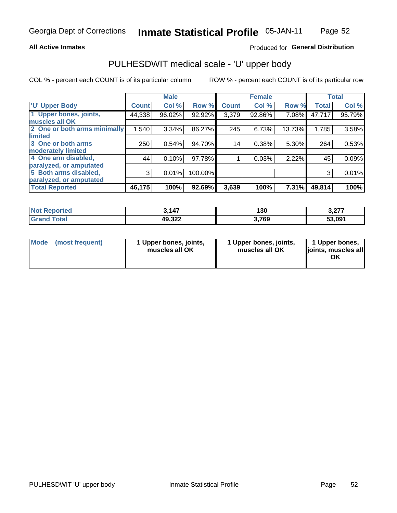### **All Active Inmates**

### Produced for General Distribution

# PULHESDWIT medical scale - 'U' upper body

COL % - percent each COUNT is of its particular column

|                              |              | <b>Male</b> |         |              | <b>Female</b> |        |              | <b>Total</b> |
|------------------------------|--------------|-------------|---------|--------------|---------------|--------|--------------|--------------|
| <b>U' Upper Body</b>         | <b>Count</b> | Col %       | Row %   | <b>Count</b> | Col %         | Row %  | <b>Total</b> | Col %        |
| 1 Upper bones, joints,       | 44,338       | 96.02%      | 92.92%  | 3,379        | 92.86%        | 7.08%  | 47,717       | 95.79%       |
| muscles all OK               |              |             |         |              |               |        |              |              |
| 2 One or both arms minimally | 1,540        | 3.34%       | 86.27%  | 245          | 6.73%         | 13.73% | 1,785        | 3.58%        |
| limited                      |              |             |         |              |               |        |              |              |
| 3 One or both arms           | 250          | 0.54%       | 94.70%  | 14           | 0.38%         | 5.30%  | 264          | 0.53%        |
| <b>moderately limited</b>    |              |             |         |              |               |        |              |              |
| 4 One arm disabled,          | 44           | 0.10%       | 97.78%  |              | 0.03%         | 2.22%  | 45           | 0.09%        |
| paralyzed, or amputated      |              |             |         |              |               |        |              |              |
| 5 Both arms disabled,        | 3            | 0.01%       | 100.00% |              |               |        | 3            | 0.01%        |
| paralyzed, or amputated      |              |             |         |              |               |        |              |              |
| <b>Total Reported</b>        | 46,175       | 100%        | 92.69%  | 3,639        | 100%          | 7.31%  | 49,814       | 100%         |

| <b>Not Reported</b>          | 3,147  | 130   | 2.27<br>J.ZI I |
|------------------------------|--------|-------|----------------|
| <b>Total</b><br><b>Grand</b> | 49,322 | 3,769 | 53,091         |

| Mode (most frequent) | 1 Upper bones, joints,<br>muscles all OK | 1 Upper bones, joints,<br>muscles all OK | 1 Upper bones,<br>joints, muscles all<br>ΟK |
|----------------------|------------------------------------------|------------------------------------------|---------------------------------------------|
|----------------------|------------------------------------------|------------------------------------------|---------------------------------------------|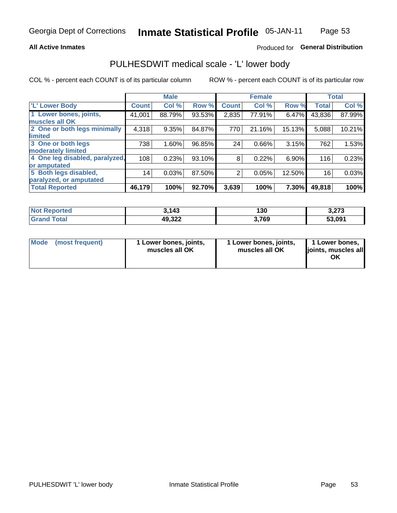### **All Active Inmates**

## Produced for General Distribution

# PULHESDWIT medical scale - 'L' lower body

COL % - percent each COUNT is of its particular column

|                                |              | <b>Male</b> |        |                | <b>Female</b> |        |              | <b>Total</b> |
|--------------------------------|--------------|-------------|--------|----------------|---------------|--------|--------------|--------------|
| 'L' Lower Body                 | <b>Count</b> | Col %       | Row %  | <b>Count</b>   | Col %         | Row %  | <b>Total</b> | Col %        |
| 1 Lower bones, joints,         | 41,001       | 88.79%      | 93.53% | 2,835          | 77.91%        | 6.47%  | 43,836       | 87.99%       |
| muscles all OK                 |              |             |        |                |               |        |              |              |
| 2 One or both legs minimally   | 4,318        | 9.35%       | 84.87% | 770            | 21.16%        | 15.13% | 5,088        | 10.21%       |
| limited                        |              |             |        |                |               |        |              |              |
| 3 One or both legs             | 738          | 1.60%       | 96.85% | 24             | 0.66%         | 3.15%  | 762          | 1.53%        |
| moderately limited             |              |             |        |                |               |        |              |              |
| 4 One leg disabled, paralyzed, | 108          | 0.23%       | 93.10% | 8              | 0.22%         | 6.90%  | 116          | 0.23%        |
| or amputated                   |              |             |        |                |               |        |              |              |
| 5 Both legs disabled,          | 14           | 0.03%       | 87.50% | $\overline{2}$ | 0.05%         | 12.50% | 16           | 0.03%        |
| paralyzed, or amputated        |              |             |        |                |               |        |              |              |
| <b>Total Reported</b>          | 46,179       | 100%        | 92.70% | 3,639          | 100%          | 7.30%  | 49,818       | 100%         |

| <b>Not Reported</b>   | 3.143  | 130   | יים ה<br>3.Z13 |
|-----------------------|--------|-------|----------------|
| <b>Total</b><br>Grand | 49,322 | 3,769 | 53,091         |

|  | Mode (most frequent) | 1 Lower bones, joints,<br>muscles all OK | 1 Lower bones, joints,<br>muscles all OK | 1 Lower bones,<br>joints, muscles all<br>ΟK |
|--|----------------------|------------------------------------------|------------------------------------------|---------------------------------------------|
|--|----------------------|------------------------------------------|------------------------------------------|---------------------------------------------|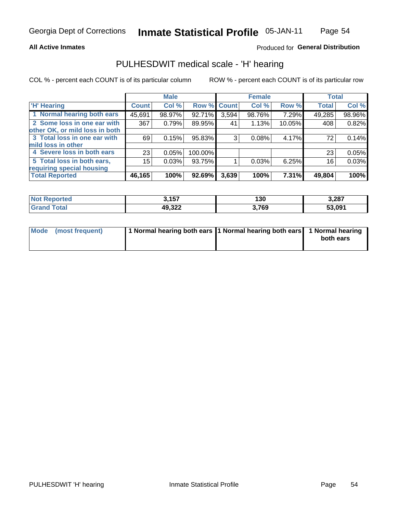### **All Active Inmates**

### Produced for General Distribution

# PULHESDWIT medical scale - 'H' hearing

COL % - percent each COUNT is of its particular column

|                                |                 | <b>Male</b> |             |       | <b>Female</b> |          | <b>Total</b> |        |
|--------------------------------|-----------------|-------------|-------------|-------|---------------|----------|--------------|--------|
| <b>'H' Hearing</b>             | <b>Count</b>    | Col %       | Row % Count |       | Col %         | Row %    | <b>Total</b> | Col %  |
| 1 Normal hearing both ears     | 45,691          | 98.97%      | 92.71%      | 3,594 | 98.76%        | 7.29%    | 49,285       | 98.96% |
| 2 Some loss in one ear with    | 367             | 0.79%       | 89.95%      | 41    | 1.13%         | 10.05%   | 408          | 0.82%  |
| other OK, or mild loss in both |                 |             |             |       |               |          |              |        |
| 3 Total loss in one ear with   | 69              | 0.15%       | 95.83%      | 3     | 0.08%         | 4.17%    | 72           | 0.14%  |
| mild loss in other             |                 |             |             |       |               |          |              |        |
| 4 Severe loss in both ears     | 23 <sub>1</sub> | 0.05%       | 100.00%     |       |               |          | 23           | 0.05%  |
| 5 Total loss in both ears,     | 15              | 0.03%       | 93.75%      |       | 0.03%         | 6.25%    | 16           | 0.03%  |
| requiring special housing      |                 |             |             |       |               |          |              |        |
| <b>Total Reported</b>          | 46,165          | 100%        | 92.69%      | 3,639 | 100%          | $7.31\%$ | 49,804       | 100%   |

| <b>Enorted</b> | 3,157  | 130   | 3,287  |
|----------------|--------|-------|--------|
| <b>Total</b>   | 49,322 | 3,769 | 53,091 |

| Mode (most frequent) | 1 Normal hearing both ears 1 Normal hearing both ears 1 Normal hearing |           |
|----------------------|------------------------------------------------------------------------|-----------|
|                      |                                                                        | both ears |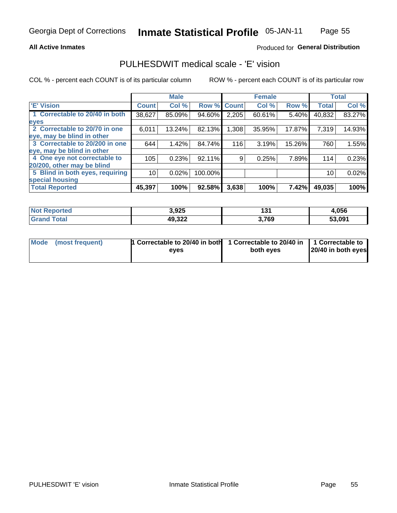### **All Active Inmates**

### Produced for General Distribution

# PULHESDWIT medical scale - 'E' vision

COL % - percent each COUNT is of its particular column

|                                 |              | <b>Male</b> |           |              | <b>Female</b> |        |              | <b>Total</b> |
|---------------------------------|--------------|-------------|-----------|--------------|---------------|--------|--------------|--------------|
| 'E' Vision                      | <b>Count</b> | Col %       | Row %     | <b>Count</b> | Col %         | Row %  | <b>Total</b> | Col %        |
| 1 Correctable to 20/40 in both  | 38,627       | 85.09%      | 94.60%    | 2,205        | 60.61%        | 5.40%  | 40,832       | 83.27%       |
| eyes                            |              |             |           |              |               |        |              |              |
| 2 Correctable to 20/70 in one   | 6,011        | 13.24%      | 82.13%    | .308         | 35.95%        | 17.87% | 7,319        | 14.93%       |
| leye, may be blind in other     |              |             |           |              |               |        |              |              |
| 3 Correctable to 20/200 in one  | 644          | 1.42%       | 84.74%    | 116          | 3.19%         | 15.26% | 760          | 1.55%        |
| leye, may be blind in other     |              |             |           |              |               |        |              |              |
| 4 One eye not correctable to    | 105          | 0.23%       | $92.11\%$ | 9            | 0.25%         | 7.89%  | 114          | 0.23%        |
| 20/200, other may be blind      |              |             |           |              |               |        |              |              |
| 5 Blind in both eyes, requiring | 10           | 0.02%       | 100.00%   |              |               |        | 10           | 0.02%        |
| special housing                 |              |             |           |              |               |        |              |              |
| <b>Total Reported</b>           | 45,397       | 100%        | 92.58%    | 3,638        | 100%          | 7.42%  | 49,035       | 100%         |

| <b>Not Reported</b>           | 3,925  | 104<br>וטו | 4,056  |
|-------------------------------|--------|------------|--------|
| <b>Total</b><br><b>'Grand</b> | 49,322 | 3,769      | 53,091 |

| Mode (most frequent) | <b>1 Correctable to 20/40 in both</b> | 1 Correctable to 20/40 in   1 Correctable to |                    |
|----------------------|---------------------------------------|----------------------------------------------|--------------------|
|                      | eves                                  | both eves                                    | 20/40 in both eyes |
|                      |                                       |                                              |                    |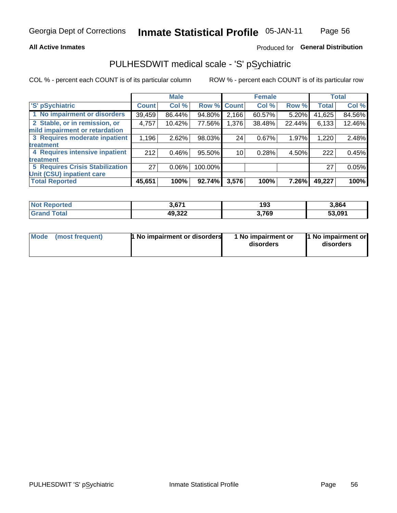### **All Active Inmates**

## Produced for General Distribution

# PULHESDWIT medical scale - 'S' pSychiatric

COL % - percent each COUNT is of its particular column

|                                        |              | <b>Male</b> |         |                 | <b>Female</b> |        |              | <b>Total</b> |
|----------------------------------------|--------------|-------------|---------|-----------------|---------------|--------|--------------|--------------|
| 'S' pSychiatric                        | <b>Count</b> | Col %       |         | Row % Count     | Col %         | Row %  | <b>Total</b> | Col %        |
| 1 No impairment or disorders           | 39,459       | 86.44%      | 94.80%  | 2,166           | 60.57%        | 5.20%  | 41,625       | 84.56%       |
| 2 Stable, or in remission, or          | 4,757        | 10.42%      | 77.56%  | 1,376           | 38.48%        | 22.44% | 6,133        | 12.46%       |
| mild impairment or retardation         |              |             |         |                 |               |        |              |              |
| 3 Requires moderate inpatient          | 1,196        | 2.62%       | 98.03%  | 24              | 0.67%         | 1.97%  | 1,220        | 2.48%        |
| treatment                              |              |             |         |                 |               |        |              |              |
| 4 Requires intensive inpatient         | 212          | 0.46%       | 95.50%  | 10 <sub>1</sub> | 0.28%         | 4.50%  | 222          | 0.45%        |
| treatment                              |              |             |         |                 |               |        |              |              |
| <b>5 Requires Crisis Stabilization</b> | 27           | $0.06\%$    | 100.00% |                 |               |        | 27           | 0.05%        |
| Unit (CSU) inpatient care              |              |             |         |                 |               |        |              |              |
| <b>Total Reported</b>                  | 45,651       | 100%        | 92.74%  | 3,576           | 100%          | 7.26%  | 49,227       | 100%         |

| <b>Not Reported</b> | 3,671  | 193   | 3,864  |
|---------------------|--------|-------|--------|
| Total<br>' Grand    | 49,322 | 3,769 | 53,091 |

| Mode<br>1 No impairment or disorders<br>(most frequent) | 1 No impairment or<br>disorders | 1 No impairment or<br>disorders |
|---------------------------------------------------------|---------------------------------|---------------------------------|
|---------------------------------------------------------|---------------------------------|---------------------------------|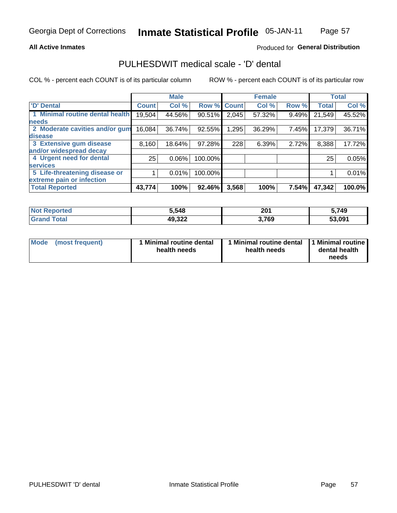### **All Active Inmates**

### Produced for General Distribution

# PULHESDWIT medical scale - 'D' dental

COL % - percent each COUNT is of its particular column

|                                 |              | <b>Male</b> |         |              | <b>Female</b> |       |              | <b>Total</b> |
|---------------------------------|--------------|-------------|---------|--------------|---------------|-------|--------------|--------------|
| <b>D'</b> Dental                | <b>Count</b> | Col %       | Row %   | <b>Count</b> | Col %         | Row % | <b>Total</b> | Col %        |
| 1 Minimal routine dental health | 19,504       | 44.56%      | 90.51%  | 2,045        | 57.32%        | 9.49% | 21,549       | 45.52%       |
| <b>needs</b>                    |              |             |         |              |               |       |              |              |
| 2 Moderate cavities and/or gum  | 16,084       | 36.74%      | 92.55%  | 1,295        | 36.29%        | 7.45% | 17,379       | 36.71%       |
| disease                         |              |             |         |              |               |       |              |              |
| 3 Extensive gum disease         | 8,160        | 18.64%      | 97.28%  | 228          | 6.39%         | 2.72% | 8,388        | 17.72%       |
| and/or widespread decay         |              |             |         |              |               |       |              |              |
| 4 Urgent need for dental        | 25           | $0.06\%$    | 100.00% |              |               |       | 25           | 0.05%        |
| <b>services</b>                 |              |             |         |              |               |       |              |              |
| 5 Life-threatening disease or   |              | 0.01%       | 100.00% |              |               |       |              | 0.01%        |
| extreme pain or infection       |              |             |         |              |               |       |              |              |
| <b>Total Reported</b>           | 43,774       | 100%        | 92.46%  | 3,568        | 100%          | 7.54% | 47,342       | 100.0%       |

| <b>Not Reported</b>     | 5,548  | 201   | 5,749  |
|-------------------------|--------|-------|--------|
| <b>Total</b><br>' Grand | 49,322 | 3,769 | 53,091 |

| 1 Minimal routine dental<br>Mode<br>(most frequent)<br>health needs | 1 Minimal routine dental 1 Minimal routine<br>health needs | dental health<br>needs |
|---------------------------------------------------------------------|------------------------------------------------------------|------------------------|
|---------------------------------------------------------------------|------------------------------------------------------------|------------------------|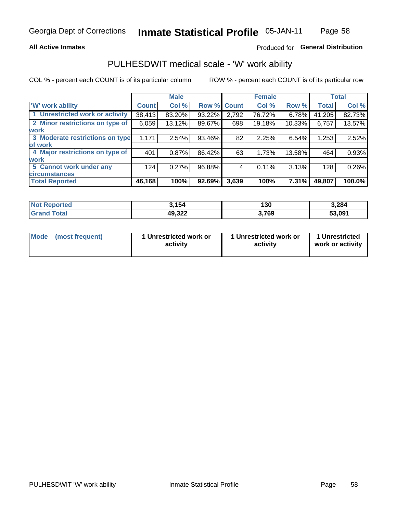### **All Active Inmates**

## Produced for General Distribution

# PULHESDWIT medical scale - 'W' work ability

COL % - percent each COUNT is of its particular column

|                                 |              | <b>Male</b> |        |             | <b>Female</b> |        |              | <b>Total</b> |
|---------------------------------|--------------|-------------|--------|-------------|---------------|--------|--------------|--------------|
| 'W' work ability                | <b>Count</b> | Col %       |        | Row % Count | Col %         | Row %  | <b>Total</b> | Col %        |
| 1 Unrestricted work or activity | 38,413       | 83.20%      | 93.22% | 2,792       | 76.72%        | 6.78%  | 41,205       | 82.73%       |
| 2 Minor restrictions on type of | 6,059        | 13.12%      | 89.67% | 698         | 19.18%        | 10.33% | 6,757        | 13.57%       |
| <b>work</b>                     |              |             |        |             |               |        |              |              |
| 3 Moderate restrictions on type | 1,171        | 2.54%       | 93.46% | 82          | 2.25%         | 6.54%  | 1,253        | 2.52%        |
| of work                         |              |             |        |             |               |        |              |              |
| 4 Major restrictions on type of | 401          | 0.87%       | 86.42% | 63          | 1.73%         | 13.58% | 464          | 0.93%        |
| <b>work</b>                     |              |             |        |             |               |        |              |              |
| 5 Cannot work under any         | 124          | 0.27%       | 96.88% | 4           | 0.11%         | 3.13%  | 128          | 0.26%        |
| <b>circumstances</b>            |              |             |        |             |               |        |              |              |
| <b>Total Reported</b>           | 46,168       | 100%        | 92.69% | 3,639       | 100%          | 7.31%  | 49,807       | 100.0%       |

| <b>Not Reported</b>   | 3.154  | 130   | 3,284  |
|-----------------------|--------|-------|--------|
| <b>Total</b><br>Grand | 49,322 | 3,769 | 53,091 |

| <b>Mode</b>     | 1 Unrestricted work or | 1 Unrestricted work or | 1 Unrestricted   |
|-----------------|------------------------|------------------------|------------------|
| (most frequent) | activity               | activity               | work or activity |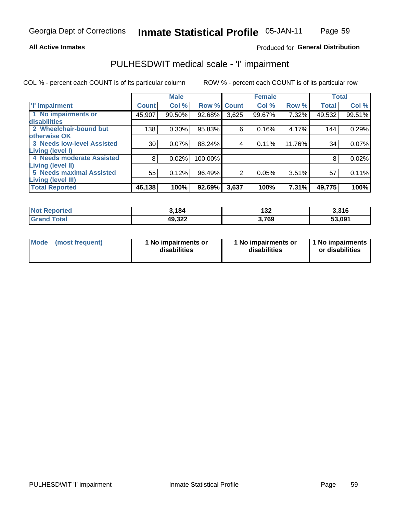### **All Active Inmates**

### Produced for General Distribution

# PULHESDWIT medical scale - 'I' impairment

COL % - percent each COUNT is of its particular column

|                                   |              | <b>Male</b> |             |                | <b>Female</b> |        |              | <b>Total</b> |
|-----------------------------------|--------------|-------------|-------------|----------------|---------------|--------|--------------|--------------|
| <b>T' Impairment</b>              | <b>Count</b> | Col %       | Row % Count |                | Col %         | Row %  | <b>Total</b> | Col %        |
| 1 No impairments or               | 45,907       | 99.50%      | 92.68%      | 3,625          | 99.67%        | 7.32%  | 49,532       | 99.51%       |
| disabilities                      |              |             |             |                |               |        |              |              |
| 2 Wheelchair-bound but            | 138          | 0.30%       | 95.83%      | 6              | 0.16%         | 4.17%  | 144          | 0.29%        |
| otherwise OK                      |              |             |             |                |               |        |              |              |
| <b>3 Needs low-level Assisted</b> | 30           | 0.07%       | 88.24%      | 4              | 0.11%         | 11.76% | 34           | 0.07%        |
| Living (level I)                  |              |             |             |                |               |        |              |              |
| 4 Needs moderate Assisted         | 8            | 0.02%       | 100.00%     |                |               |        | 8            | 0.02%        |
| <b>Living (level II)</b>          |              |             |             |                |               |        |              |              |
| <b>5 Needs maximal Assisted</b>   | 55           | 0.12%       | 96.49%      | $\overline{2}$ | 0.05%         | 3.51%  | 57           | 0.11%        |
| Living (level III)                |              |             |             |                |               |        |              |              |
| <b>Total Reported</b>             | 46, 138      | 100%        | 92.69%      | 3,637          | 100%          | 7.31%  | 49,775       | 100%         |

| <b>Not Reported</b>    | 3,184  | 132  | 3,316  |
|------------------------|--------|------|--------|
| <b>Total</b><br>'Grand | 49,322 | ,769 | 53,091 |

| Mode | (most frequent) | 1 No impairments or<br>disabilities | 1 No impairments or<br>disabilities | 1 No impairments<br>or disabilities |
|------|-----------------|-------------------------------------|-------------------------------------|-------------------------------------|
|------|-----------------|-------------------------------------|-------------------------------------|-------------------------------------|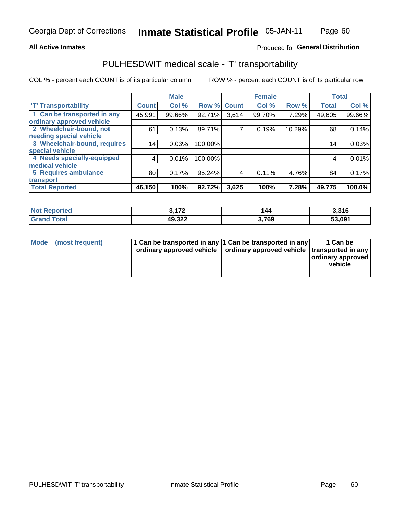### **All Active Inmates**

### Produced fo General Distribution

# PULHESDWIT medical scale - 'T' transportability

COL % - percent each COUNT is of its particular column

|                              |                 | <b>Male</b> |                    |       | <b>Female</b> |        | <b>Total</b> |        |
|------------------------------|-----------------|-------------|--------------------|-------|---------------|--------|--------------|--------|
| <b>T' Transportability</b>   | <b>Count</b>    | Col %       | <b>Row % Count</b> |       | Col %         | Row %  | <b>Total</b> | Col %  |
| 1 Can be transported in any  | 45,991          | 99.66%      | 92.71%             | 3,614 | 99.70%        | 7.29%  | 49,605       | 99.66% |
| ordinary approved vehicle    |                 |             |                    |       |               |        |              |        |
| 2 Wheelchair-bound, not      | 61              | 0.13%       | 89.71%             | 7     | 0.19%         | 10.29% | 68           | 0.14%  |
| needing special vehicle      |                 |             |                    |       |               |        |              |        |
| 3 Wheelchair-bound, requires | 14 <sub>1</sub> | 0.03%       | 100.00%            |       |               |        | 14           | 0.03%  |
| special vehicle              |                 |             |                    |       |               |        |              |        |
| 4 Needs specially-equipped   | 4               | 0.01%       | 100.00%            |       |               |        | 4            | 0.01%  |
| medical vehicle              |                 |             |                    |       |               |        |              |        |
| <b>5 Requires ambulance</b>  | 80              | 0.17%       | 95.24%             | 4     | 0.11%         | 4.76%  | 84           | 0.17%  |
| transport                    |                 |             |                    |       |               |        |              |        |
| <b>Total Reported</b>        | 46,150          | 100%        | 92.72%             | 3,625 | 100%          | 7.28%  | 49,775       | 100.0% |

| orted       | יי י<br>. <i>.</i> 2 | 44   | 3,316  |
|-------------|----------------------|------|--------|
| <b>otal</b> | 49,322               | ,769 | 53.091 |

|  | Mode (most frequent) | 1 Can be transported in any 1 Can be transported in any<br>ordinary approved vehicle   ordinary approved vehicle   transported in any |  | 1 Can be<br>  ordinary approved  <br>vehicle |
|--|----------------------|---------------------------------------------------------------------------------------------------------------------------------------|--|----------------------------------------------|
|--|----------------------|---------------------------------------------------------------------------------------------------------------------------------------|--|----------------------------------------------|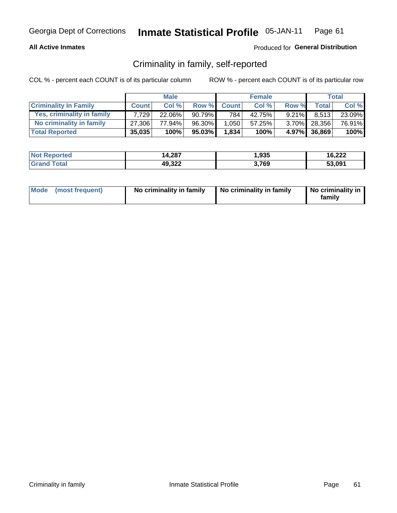### **All Active Inmates**

### Produced for General Distribution

# Criminality in family, self-reported

COL % - percent each COUNT is of its particular column

|                              |              | <b>Male</b> |        |              | <b>Female</b> |          |              | Total   |
|------------------------------|--------------|-------------|--------|--------------|---------------|----------|--------------|---------|
| <b>Criminality In Family</b> | <b>Count</b> | Col%        | Row %  | <b>Count</b> | Col %         | Row %    | <b>Total</b> | Col %   |
| Yes, criminality in family   | 7.729        | 22.06%      | 90.79% | 784          | 42.75%        | $9.21\%$ | 8.513        | 23.09%  |
| No criminality in family     | 27.306       | 77.94%      | 96.30% | 1,050        | 57.25%        |          | 3.70% 28,356 | 76.91%  |
| <b>Total Reported</b>        | 35,035       | 100%        | 95.03% | 1,834        | 100%          |          | 4.97% 36,869 | $100\%$ |

| <b>Not</b><br>Reported | 14,287 | .935 | 16,222 |
|------------------------|--------|------|--------|
| <b>ota</b>             | 49,322 | ,769 | 53.091 |

|  | Mode (most frequent) | No criminality in family | No criminality in family | No criminality in<br>family |
|--|----------------------|--------------------------|--------------------------|-----------------------------|
|--|----------------------|--------------------------|--------------------------|-----------------------------|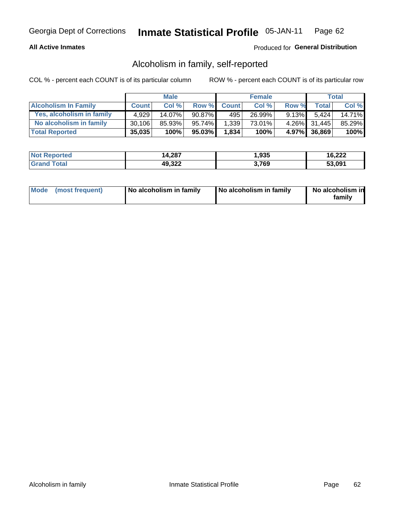### **All Active Inmates**

### Produced for General Distribution

# Alcoholism in family, self-reported

COL % - percent each COUNT is of its particular column

|                             |              | <b>Male</b> |        |              | <b>Female</b> |          |              | Total  |
|-----------------------------|--------------|-------------|--------|--------------|---------------|----------|--------------|--------|
| <b>Alcoholism In Family</b> | <b>Count</b> | Col%        | Row %  | <b>Count</b> | Col %         | Row %    | <b>Total</b> | Col %  |
| Yes, alcoholism in family   | 4.929        | 14.07%      | 90.87% | 495          | 26.99%        | $9.13\%$ | 5.424        | 14.71% |
| No alcoholism in family     | 30.106       | 85.93%      | 95.74% | 1,339        | 73.01%        |          | 4.26% 31,445 | 85.29% |
| <b>Total Reported</b>       | 35,035       | 100%        | 95.03% | 1,834        | 100%          |          | 4.97% 36,869 | 100%   |

| <b>Not</b><br>Reported | 14,287 | .935 | 16,222 |
|------------------------|--------|------|--------|
| <b>ota</b>             | 49,322 | ,769 | 53.091 |

|  | Mode (most frequent) | No alcoholism in family | No alcoholism in family | No alcoholism in<br>family |
|--|----------------------|-------------------------|-------------------------|----------------------------|
|--|----------------------|-------------------------|-------------------------|----------------------------|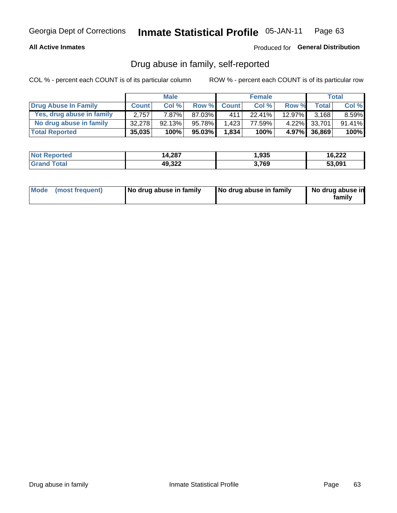### **All Active Inmates**

### Produced for General Distribution

# Drug abuse in family, self-reported

COL % - percent each COUNT is of its particular column

|                           |              | <b>Male</b> |        |              | <b>Female</b> |           |              | Total    |
|---------------------------|--------------|-------------|--------|--------------|---------------|-----------|--------------|----------|
| Drug Abuse In Family      | <b>Count</b> | Col%        | Row %  | <b>Count</b> | Col %         | Row %     | Total        | Col %    |
| Yes, drug abuse in family | 2.757        | 7.87%       | 87.03% | 411          | 22.41%        | $12.97\%$ | 3,168        | $8.59\%$ |
| No drug abuse in family   | 32.278       | $92.13\%$   | 95.78% | 1,423        | 77.59%        |           | 4.22% 33,701 | 91.41%   |
| <b>Total Reported</b>     | 35,035       | 100%        | 95.03% | 1,834        | 100%          |           | 4.97% 36,869 | $100\%$  |

| <b>Not</b><br>Reported | 14,287 | .935 | 16,222 |
|------------------------|--------|------|--------|
| <b>ota</b>             | 49,322 | ,769 | 53.091 |

|  | Mode (most frequent) | No drug abuse in family | No drug abuse in family | No drug abuse in<br>familv |
|--|----------------------|-------------------------|-------------------------|----------------------------|
|--|----------------------|-------------------------|-------------------------|----------------------------|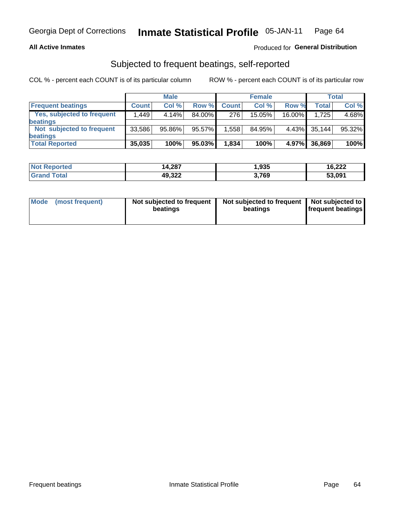### **All Active Inmates**

### Produced for General Distribution

# Subjected to frequent beatings, self-reported

COL % - percent each COUNT is of its particular column

|                                   |              | <b>Male</b> |        |              | <b>Female</b> |          |        | Total  |
|-----------------------------------|--------------|-------------|--------|--------------|---------------|----------|--------|--------|
| <b>Frequent beatings</b>          | <b>Count</b> | Col %       | Row %  | <b>Count</b> | Col %         | Row %    | Total  | Col %  |
| <b>Yes, subjected to frequent</b> | .449         | 4.14%       | 84.00% | 276          | 15.05%        | 16.00%   | 1.725  | 4.68%  |
| beatings                          |              |             |        |              |               |          |        |        |
| Not subjected to frequent         | 33,586       | 95.86%      | 95.57% | 1,558        | 84.95%        | $4.43\%$ | 35,144 | 95.32% |
| beatings                          |              |             |        |              |               |          |        |        |
| <b>Total Reported</b>             | 35,035       | 100%        | 95.03% | 1,834        | 100%          | $4.97\%$ | 36,869 | 100%   |

| <b>Not</b><br>Reported | 14,287 | 1,935 | 16,222 |
|------------------------|--------|-------|--------|
| <b>Total</b>           | 49,322 | 3,769 | 53,091 |

| Mode (most frequent) | Not subjected to frequent<br>beatings | Not subjected to frequent<br>beatings | Not subjected to<br><b>frequent beatings</b> |
|----------------------|---------------------------------------|---------------------------------------|----------------------------------------------|
|                      |                                       |                                       |                                              |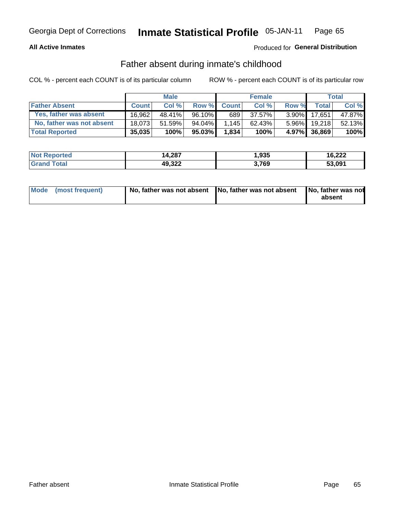### **All Active Inmates**

## Produced for General Distribution

# Father absent during inmate's childhood

COL % - percent each COUNT is of its particular column

|                           |              | <b>Male</b> |        |              | <b>Female</b> |          |              | Total  |
|---------------------------|--------------|-------------|--------|--------------|---------------|----------|--------------|--------|
| <b>Father Absent</b>      | <b>Count</b> | Col%        | Row %  | <b>Count</b> | Col %         | Row %    | <b>Total</b> | Col %  |
| Yes, father was absent    | 16.962       | 48.41%      | 96.10% | 689          | 37.57%        | $3.90\%$ | 17.651       | 47.87% |
| No, father was not absent | 18.073       | 51.59%      | 94.04% | 1,145        | 62.43%        | $5.96\%$ | 19.218       | 52.13% |
| <b>Total Reported</b>     | 35,035       | 100%        | 95.03% | 1,834        | 100%          |          | 4.97% 36,869 | 100%   |

| <b>Not Reported</b> | 14,287 | 1,935 | 16,222 |
|---------------------|--------|-------|--------|
| <b>Srand Total</b>  | 49,322 | .769  | 53,091 |

|  | Mode (most frequent) |  | No, father was not absent No, father was not absent No, father was not | absent |
|--|----------------------|--|------------------------------------------------------------------------|--------|
|--|----------------------|--|------------------------------------------------------------------------|--------|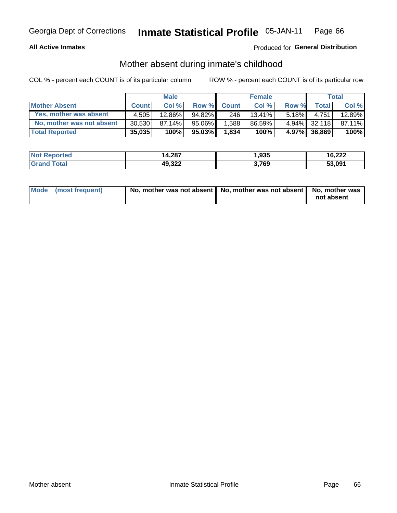### **All Active Inmates**

## Produced for General Distribution

# Mother absent during inmate's childhood

COL % - percent each COUNT is of its particular column

|                           |              | <b>Male</b> |        |              | <b>Female</b> |          |              | Total  |
|---------------------------|--------------|-------------|--------|--------------|---------------|----------|--------------|--------|
| <b>Mother Absent</b>      | <b>Count</b> | Col%        | Row %  | <b>Count</b> | Col %         | Row %    | <b>Total</b> | Col %  |
| Yes, mother was absent    | 4.505        | 12.86%      | 94.82% | 246          | 13.41%        | $5.18\%$ | 4.751        | 12.89% |
| No, mother was not absent | 30.530       | 87.14%      | 95.06% | 1,588        | 86.59%        |          | 4.94% 32.118 | 87.11% |
| <b>Total Reported</b>     | 35,035       | 100%        | 95.03% | 1,834        | 100%          |          | 4.97% 36,869 | 100%   |

| <b>Not</b><br>Reported | 14,287 | .935 | 16,222 |
|------------------------|--------|------|--------|
| <b>ota</b>             | 49,322 | ,769 | 53.091 |

| Mode (most frequent) | No, mother was not absent   No, mother was not absent   No, mother was | not absent |
|----------------------|------------------------------------------------------------------------|------------|
|                      |                                                                        |            |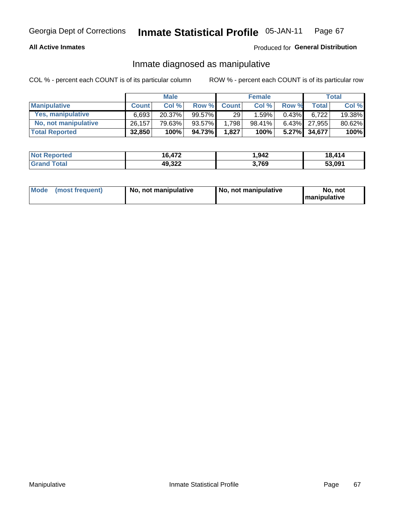### **All Active Inmates**

### Produced for General Distribution

# Inmate diagnosed as manipulative

COL % - percent each COUNT is of its particular column

|                       |              | <b>Male</b> |           |              | <b>Female</b> |          |              | Total  |
|-----------------------|--------------|-------------|-----------|--------------|---------------|----------|--------------|--------|
| <b>Manipulative</b>   | <b>Count</b> | Col %       | Row %     | <b>Count</b> | Col%          | Row %    | <b>Total</b> | Col %  |
| Yes, manipulative     | 6,693        | 20.37%      | $99.57\%$ | 29           | 1.59%         | 0.43%    | 6.722        | 19.38% |
| No, not manipulative  | 26,157       | 79.63%      | 93.57%    | 1,798        | 98.41%        | $6.43\%$ | 27.955       | 80.62% |
| <b>Total Reported</b> | 32,850       | 100%        | 94.73%    | 1,827        | 100%          | $5.27\%$ | 34.677       | 100%   |

| <b>Not Reported</b>          | 16,472 | 942. ا | 18.414 |
|------------------------------|--------|--------|--------|
| <b>Total</b><br><b>Grand</b> | 49,322 | 3,769  | 53,091 |

|  | Mode (most frequent) | No, not manipulative | , No, not manipulative | No. not<br><b>I</b> manipulative |
|--|----------------------|----------------------|------------------------|----------------------------------|
|--|----------------------|----------------------|------------------------|----------------------------------|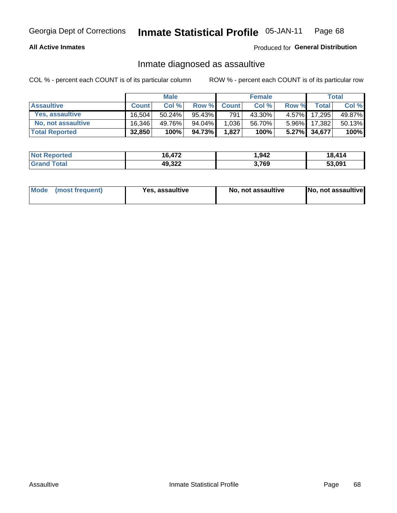### **All Active Inmates**

Produced for General Distribution

# Inmate diagnosed as assaultive

COL % - percent each COUNT is of its particular column

|                           |                     | <b>Male</b> |        |              | <b>Female</b> |          |              | Total  |
|---------------------------|---------------------|-------------|--------|--------------|---------------|----------|--------------|--------|
| <b>Assaultive</b>         | <b>Count</b>        | Col%        | Row %  | <b>Count</b> | Col %         | Row %    | Total        | Col %  |
| Yes, assaultive           | 16.504 <sub>1</sub> | 50.24%      | 95.43% | 791          | 43.30%        | $4.57\%$ | 17,295       | 49.87% |
| <b>No, not assaultive</b> | 16,346              | 49.76%      | 94.04% | 1,036        | 56.70%        | $5.96\%$ | 17,382       | 50.13% |
| <b>Total Reported</b>     | 32,850              | 100%        | 94.73% | 1,827        | 100%          |          | 5.27% 34,677 | 100%   |

| <b>Not Reported</b> | 16,472 | .942 | 18,414 |
|---------------------|--------|------|--------|
| <b>Grand Total</b>  | 49,322 | ,769 | 53,091 |

| Mode (most frequent)<br>Yes, assaultive | No, not assaultive | No, not assaultive |
|-----------------------------------------|--------------------|--------------------|
|-----------------------------------------|--------------------|--------------------|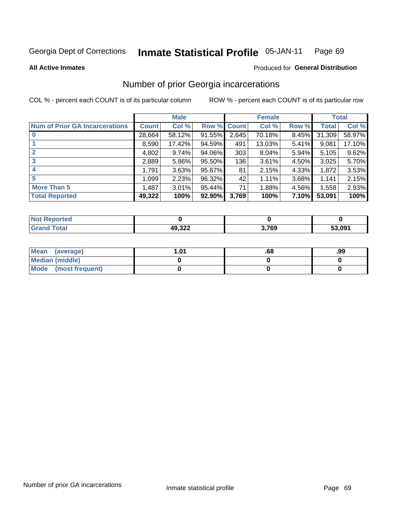#### **Inmate Statistical Profile 05-JAN-11** Page 69

### **All Active Inmates**

## **Produced for General Distribution**

# Number of prior Georgia incarcerations

COL % - percent each COUNT is of its particular column

|                                       |              | <b>Male</b> |                    |       | <b>Female</b> |       |        | <b>Total</b> |
|---------------------------------------|--------------|-------------|--------------------|-------|---------------|-------|--------|--------------|
| <b>Num of Prior GA Incarcerations</b> | <b>Count</b> | Col %       | <b>Row % Count</b> |       | Col %         | Row % | Total  | Col %        |
| $\bf{0}$                              | 28,664       | 58.12%      | 91.55%             | 2,645 | 70.18%        | 8.45% | 31,309 | 58.97%       |
|                                       | 8,590        | 17.42%      | 94.59%             | 491   | 13.03%        | 5.41% | 9,081  | 17.10%       |
| $\mathbf{2}$                          | 4,802        | 9.74%       | 94.06%             | 303   | 8.04%         | 5.94% | 5,105  | 9.62%        |
| 3                                     | 2,889        | 5.86%       | 95.50%             | 136   | 3.61%         | 4.50% | 3,025  | 5.70%        |
| 4                                     | 1,791        | 3.63%       | 95.67%             | 81    | 2.15%         | 4.33% | 1,872  | 3.53%        |
| 5                                     | 1,099        | 2.23%       | 96.32%             | 42    | 1.11%         | 3.68% | 1,141  | 2.15%        |
| <b>More Than 5</b>                    | 1,487        | 3.01%       | 95.44%             | 71    | 1.88%         | 4.56% | 1,558  | 2.93%        |
| <b>Total Reported</b>                 | 49,322       | 100%        | 92.90%             | 3,769 | 100%          | 7.10% | 53,091 | 100%         |

| orted<br>NO  |        |       |        |
|--------------|--------|-------|--------|
| <b>Total</b> | 49,322 | 3,769 | 53.091 |

| Mean (average)       | l.01 | .00 | .99 |
|----------------------|------|-----|-----|
| Median (middle)      |      |     |     |
| Mode (most frequent) |      |     |     |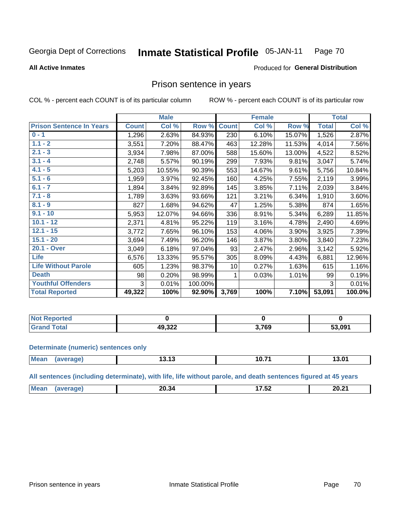#### Inmate Statistical Profile 05-JAN-11 Page 70

### **All Active Inmates**

## Produced for General Distribution

## Prison sentence in years

COL % - percent each COUNT is of its particular column

ROW % - percent each COUNT is of its particular row

|                                 |              | <b>Male</b> |         |                 | <b>Female</b> |        |              | <b>Total</b> |
|---------------------------------|--------------|-------------|---------|-----------------|---------------|--------|--------------|--------------|
| <b>Prison Sentence In Years</b> | <b>Count</b> | Col %       | Row %   | <b>Count</b>    | Col %         | Row %  | <b>Total</b> | Col %        |
| $0 - 1$                         | 1,296        | 2.63%       | 84.93%  | 230             | 6.10%         | 15.07% | 1,526        | 2.87%        |
| $1.1 - 2$                       | 3,551        | 7.20%       | 88.47%  | 463             | 12.28%        | 11.53% | 4,014        | 7.56%        |
| $2.1 - 3$                       | 3,934        | 7.98%       | 87.00%  | 588             | 15.60%        | 13.00% | 4,522        | 8.52%        |
| $3.1 - 4$                       | 2,748        | 5.57%       | 90.19%  | 299             | 7.93%         | 9.81%  | 3,047        | 5.74%        |
| $4.1 - 5$                       | 5,203        | 10.55%      | 90.39%  | 553             | 14.67%        | 9.61%  | 5,756        | 10.84%       |
| $5.1 - 6$                       | 1,959        | 3.97%       | 92.45%  | 160             | 4.25%         | 7.55%  | 2,119        | 3.99%        |
| $6.1 - 7$                       | 1,894        | 3.84%       | 92.89%  | 145             | 3.85%         | 7.11%  | 2,039        | 3.84%        |
| $7.1 - 8$                       | 1,789        | 3.63%       | 93.66%  | 121             | 3.21%         | 6.34%  | 1,910        | 3.60%        |
| $8.1 - 9$                       | 827          | 1.68%       | 94.62%  | 47              | 1.25%         | 5.38%  | 874          | 1.65%        |
| $9.1 - 10$                      | 5,953        | 12.07%      | 94.66%  | 336             | 8.91%         | 5.34%  | 6,289        | 11.85%       |
| $10.1 - 12$                     | 2,371        | 4.81%       | 95.22%  | 119             | 3.16%         | 4.78%  | 2,490        | 4.69%        |
| $12.1 - 15$                     | 3,772        | 7.65%       | 96.10%  | 153             | 4.06%         | 3.90%  | 3,925        | 7.39%        |
| $15.1 - 20$                     | 3,694        | 7.49%       | 96.20%  | 146             | 3.87%         | 3.80%  | 3,840        | 7.23%        |
| 20.1 - Over                     | 3,049        | 6.18%       | 97.04%  | 93              | 2.47%         | 2.96%  | 3,142        | 5.92%        |
| <b>Life</b>                     | 6,576        | 13.33%      | 95.57%  | 305             | 8.09%         | 4.43%  | 6,881        | 12.96%       |
| <b>Life Without Parole</b>      | 605          | 1.23%       | 98.37%  | 10 <sup>1</sup> | 0.27%         | 1.63%  | 615          | 1.16%        |
| <b>Death</b>                    | 98           | 0.20%       | 98.99%  |                 | 0.03%         | 1.01%  | 99           | 0.19%        |
| <b>Youthful Offenders</b>       | 3            | 0.01%       | 100.00% |                 |               |        | 3            | 0.01%        |
| <b>Total Reported</b>           | 49,322       | 100%        | 92.90%  | 3,769           | 100%          | 7.10%  | 53,091       | 100.0%       |

| <b>Not Reported</b> |                           |       |        |
|---------------------|---------------------------|-------|--------|
| <b>Total</b>        | 49.322<br><b>שבט, ט</b> י | 3,769 | 53,091 |

### **Determinate (numeric) sentences only**

| <b>Mean</b> | ane | $\overline{A}$<br>19. I J | 10.7' | 3.01 |
|-------------|-----|---------------------------|-------|------|
|             |     |                           |       |      |

All sentences (including determinate), with life, life without parole, and death sentences figured at 45 years

| $M\Omega$ . | 2በ 3<br>-50<br>____ | --<br>∸ט.<br>_______ | 20.21<br>ZU.Z<br>----- |
|-------------|---------------------|----------------------|------------------------|
|             |                     |                      |                        |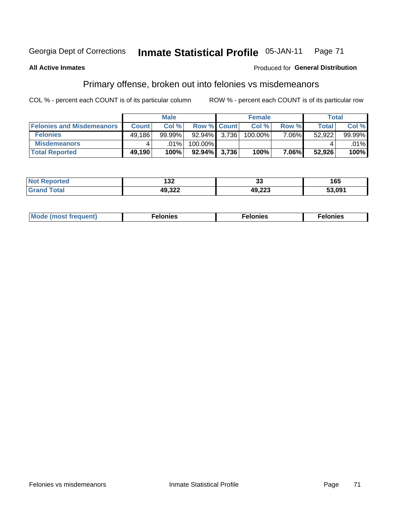#### Inmate Statistical Profile 05-JAN-11 Page 71

### **All Active Inmates**

### Produced for General Distribution

# Primary offense, broken out into felonies vs misdemeanors

COL % - percent each COUNT is of its particular column

|                                  |              | <b>Male</b> |                 |                    | <b>Female</b> |          | Total  |         |
|----------------------------------|--------------|-------------|-----------------|--------------------|---------------|----------|--------|---------|
| <b>Felonies and Misdemeanors</b> | <b>Count</b> | Col%        |                 | <b>Row % Count</b> | Col%          | Row %    | Total, | Col %   |
| <b>Felonies</b>                  | 49,186       | 99.99%      | 92.94%          | 3.736              | 100.00%       | $7.06\%$ | 52.922 | 99.99%  |
| <b>Misdemeanors</b>              |              | .01%        | $100.00\%$      |                    |               |          |        | $.01\%$ |
| <b>Total Reported</b>            | 49,190       | 100%        | $92.94\%$ 3,736 |                    | 100%          | 7.06%    | 52,926 | 100%    |

| ted   | ,                    | $\sim$           | 65     |
|-------|----------------------|------------------|--------|
| NO.   | IJZ.                 | ◡                |        |
| īota. | $\sim$ 000<br>HJ.JZZ | ימה הג<br>49.ZZS | 53.091 |

| Mo | ____ | 11 C.S<br>. | onies<br>. |
|----|------|-------------|------------|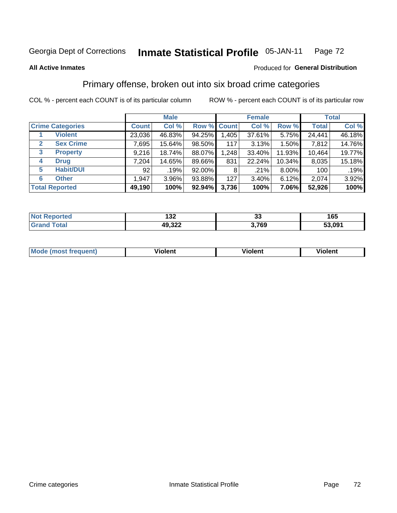### Inmate Statistical Profile 05-JAN-11 Page 72

**All Active Inmates** 

### Produced for General Distribution

## Primary offense, broken out into six broad crime categories

COL % - percent each COUNT is of its particular column

|                         |              | <b>Male</b> |           |             | <b>Female</b> |          |              | <b>Total</b> |
|-------------------------|--------------|-------------|-----------|-------------|---------------|----------|--------------|--------------|
| <b>Crime Categories</b> | <b>Count</b> | Col %       |           | Row % Count | Col %         | Row %    | <b>Total</b> | Col %        |
| <b>Violent</b>          | 23,036       | 46.83%      | 94.25%    | 1,405       | 37.61%        | 5.75%    | 24,441       | 46.18%       |
| <b>Sex Crime</b><br>2   | 7,695        | 15.64%      | 98.50%    | 117         | 3.13%         | 1.50%    | 7,812        | 14.76%       |
| 3<br><b>Property</b>    | 9,216        | 18.74%      | 88.07%    | 1,248       | 33.40%        | 11.93%   | 10,464       | 19.77%       |
| <b>Drug</b><br>4        | 7,204        | 14.65%      | 89.66%    | 831         | 22.24%        | 10.34%   | 8,035        | 15.18%       |
| <b>Habit/DUI</b><br>5   | 92           | .19%        | $92.00\%$ | 8           | .21%          | $8.00\%$ | 100          | .19%         |
| <b>Other</b><br>6       | 1,947        | 3.96%       | 93.88%    | 127         | 3.40%         | 6.12%    | 2,074        | 3.92%        |
| <b>Total Reported</b>   | 49,190       | 100%        | $92.94\%$ | 3,736       | 100%          | 7.06%    | 52,926       | 100%         |

| rtea               | . הח   | ~          | 165        |
|--------------------|--------|------------|------------|
| NO                 | عں ا   | <u>JJ</u>  |            |
| $T_{\text{total}}$ | 49,322 | 700<br>้งะ | .091<br>-^ |

| Mo<br>quent. | .<br>olent | /iolent<br>____ | - --<br><b>Tolent</b><br>-------- |
|--------------|------------|-----------------|-----------------------------------|
|              |            |                 |                                   |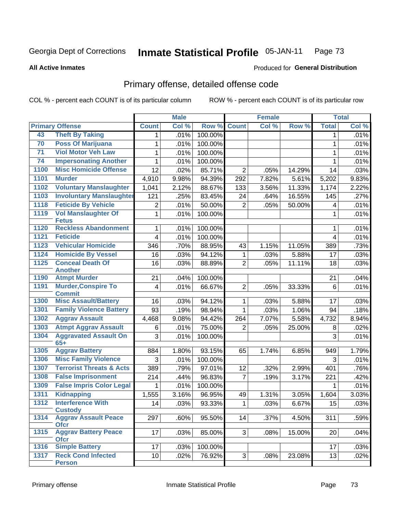### Inmate Statistical Profile 05-JAN-11 Page 73

**All Active Inmates** 

## **Produced for General Distribution**

# Primary offense, detailed offense code

COL % - percent each COUNT is of its particular column

|      |                                             | <b>Male</b>             |       | <b>Female</b> |                |       | <b>Total</b> |              |       |
|------|---------------------------------------------|-------------------------|-------|---------------|----------------|-------|--------------|--------------|-------|
|      | <b>Primary Offense</b>                      | <b>Count</b>            | Col % | Row %         | <b>Count</b>   | Col % | Row %        | <b>Total</b> | Col % |
| 43   | <b>Theft By Taking</b>                      | 1                       | .01%  | 100.00%       |                |       |              | $\mathbf 1$  | .01%  |
| 70   | <b>Poss Of Marijuana</b>                    | 1                       | .01%  | 100.00%       |                |       |              | 1            | .01%  |
| 71   | <b>Viol Motor Veh Law</b>                   | 1                       | .01%  | 100.00%       |                |       |              | 1            | .01%  |
| 74   | <b>Impersonating Another</b>                | 1                       | .01%  | 100.00%       |                |       |              | 1            | .01%  |
| 1100 | <b>Misc Homicide Offense</b>                | 12                      | .02%  | 85.71%        | $\overline{2}$ | .05%  | 14.29%       | 14           | .03%  |
| 1101 | <b>Murder</b>                               | 4,910                   | 9.98% | 94.39%        | 292            | 7.82% | 5.61%        | 5,202        | 9.83% |
| 1102 | <b>Voluntary Manslaughter</b>               | 1,041                   | 2.12% | 88.67%        | 133            | 3.56% | 11.33%       | 1,174        | 2.22% |
| 1103 | <b>Involuntary Manslaughter</b>             | 121                     | .25%  | 83.45%        | 24             | .64%  | 16.55%       | 145          | .27%  |
| 1118 | <b>Feticide By Vehicle</b>                  | $\overline{2}$          | .01%  | 50.00%        | $\overline{2}$ | .05%  | 50.00%       | 4            | .01%  |
| 1119 | <b>Vol Manslaughter Of</b>                  | $\mathbf{1}$            | .01%  | 100.00%       |                |       |              | 1            | .01%  |
|      | <b>Fetus</b>                                |                         |       |               |                |       |              |              |       |
| 1120 | <b>Reckless Abandonment</b>                 | $\mathbf{1}$            | .01%  | 100.00%       |                |       |              | 1            | .01%  |
| 1121 | <b>Feticide</b>                             | $\overline{4}$          | .01%  | 100.00%       |                |       |              | 4            | .01%  |
| 1123 | <b>Vehicular Homicide</b>                   | 346                     | .70%  | 88.95%        | 43             | 1.15% | 11.05%       | 389          | .73%  |
| 1124 | <b>Homicide By Vessel</b>                   | 16                      | .03%  | 94.12%        | 1              | .03%  | 5.88%        | 17           | .03%  |
| 1125 | <b>Conceal Death Of</b><br><b>Another</b>   | 16                      | .03%  | 88.89%        | $\overline{2}$ | .05%  | 11.11%       | 18           | .03%  |
| 1190 | <b>Atmpt Murder</b>                         | 21                      | .04%  | 100.00%       |                |       |              | 21           | .04%  |
| 1191 | <b>Murder, Conspire To</b><br><b>Commit</b> | $\overline{\mathbf{4}}$ | .01%  | 66.67%        | $\overline{2}$ | .05%  | 33.33%       | 6            | .01%  |
| 1300 | <b>Misc Assault/Battery</b>                 | 16                      | .03%  | 94.12%        | 1              | .03%  | 5.88%        | 17           | .03%  |
| 1301 | <b>Family Violence Battery</b>              | 93                      | .19%  | 98.94%        | $\mathbf{1}$   | .03%  | 1.06%        | 94           | .18%  |
| 1302 | <b>Aggrav Assault</b>                       | 4,468                   | 9.08% | 94.42%        | 264            | 7.07% | 5.58%        | 4,732        | 8.94% |
| 1303 | <b>Atmpt Aggrav Assault</b>                 | 6                       | .01%  | 75.00%        | $\overline{2}$ | .05%  | 25.00%       | 8            | .02%  |
| 1304 | <b>Aggravated Assault On</b><br>$65+$       | 3                       | .01%  | 100.00%       |                |       |              | 3            | .01%  |
| 1305 | <b>Aggrav Battery</b>                       | 884                     | 1.80% | 93.15%        | 65             | 1.74% | 6.85%        | 949          | 1.79% |
| 1306 | <b>Misc Family Violence</b>                 | 3                       | .01%  | 100.00%       |                |       |              | 3            | .01%  |
| 1307 | <b>Terrorist Threats &amp; Acts</b>         | 389                     | .79%  | 97.01%        | 12             | .32%  | 2.99%        | 401          | .76%  |
| 1308 | <b>False Imprisonment</b>                   | 214                     | .44%  | 96.83%        | $\overline{7}$ | .19%  | 3.17%        | 221          | .42%  |
| 1309 | <b>False Impris Color Legal</b>             | 1                       | .01%  | 100.00%       |                |       |              | 1            | .01%  |
| 1311 | <b>Kidnapping</b>                           | 1,555                   | 3.16% | 96.95%        | 49             | 1.31% | 3.05%        | 1,604        | 3.03% |
| 1312 | <b>Interference With</b>                    | 14                      | .03%  | 93.33%        | $\mathbf 1$    | .03%  | 6.67%        | 15           | .03%  |
|      | <b>Custody</b>                              |                         |       |               |                |       |              |              |       |
| 1314 | <b>Aggrav Assault Peace</b><br><b>Ofcr</b>  | 297                     | .60%  | 95.50%        | 14             | .37%  | 4.50%        | 311          | .59%  |
| 1315 | <b>Aggrav Battery Peace</b><br><b>Ofcr</b>  | 17                      | .03%  | 85.00%        | 3 <sup>1</sup> | .08%  | 15.00%       | 20           | .04%  |
| 1316 | <b>Simple Battery</b>                       | 17                      | .03%  | 100.00%       |                |       |              | 17           | .03%  |
| 1317 | <b>Reck Cond Infected</b><br><b>Person</b>  | 10 <sup>1</sup>         | .02%  | 76.92%        | 3 <sup>1</sup> | .08%  | 23.08%       | 13           | .02%  |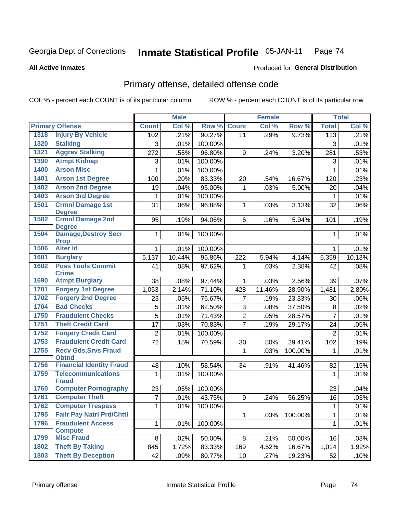#### Inmate Statistical Profile 05-JAN-11 Page 74

### **All Active Inmates**

# **Produced for General Distribution**

# Primary offense, detailed offense code

COL % - percent each COUNT is of its particular column

|      |                                             |                | <b>Male</b> |         |                | <b>Female</b> |         |                  | <b>Total</b> |
|------|---------------------------------------------|----------------|-------------|---------|----------------|---------------|---------|------------------|--------------|
|      | <b>Primary Offense</b>                      | <b>Count</b>   | Col %       | Row %   | <b>Count</b>   | Col %         | Row %   | <b>Total</b>     | Col %        |
| 1318 | <b>Injury By Vehicle</b>                    | 102            | .21%        | 90.27%  | 11             | .29%          | 9.73%   | $\overline{113}$ | .21%         |
| 1320 | <b>Stalking</b>                             | 3              | .01%        | 100.00% |                |               |         | 3                | .01%         |
| 1321 | <b>Aggrav Stalking</b>                      | 272            | .55%        | 96.80%  | 9              | .24%          | 3.20%   | 281              | .53%         |
| 1390 | <b>Atmpt Kidnap</b>                         | 3              | .01%        | 100.00% |                |               |         | 3                | .01%         |
| 1400 | <b>Arson Misc</b>                           | $\mathbf{1}$   | .01%        | 100.00% |                |               |         | 1                | .01%         |
| 1401 | <b>Arson 1st Degree</b>                     | 100            | .20%        | 83.33%  | 20             | .54%          | 16.67%  | 120              | .23%         |
| 1402 | <b>Arson 2nd Degree</b>                     | 19             | .04%        | 95.00%  | 1              | .03%          | 5.00%   | 20               | .04%         |
| 1403 | <b>Arson 3rd Degree</b>                     | 1              | .01%        | 100.00% |                |               |         | $\mathbf{1}$     | .01%         |
| 1501 | <b>Crmnl Damage 1st</b><br><b>Degree</b>    | 31             | .06%        | 96.88%  | $\mathbf 1$    | .03%          | 3.13%   | 32               | .06%         |
| 1502 | <b>Crmnl Damage 2nd</b><br><b>Degree</b>    | 95             | .19%        | 94.06%  | 6              | .16%          | 5.94%   | 101              | .19%         |
| 1504 | <b>Damage, Destroy Secr</b><br><b>Prop</b>  | 1              | .01%        | 100.00% |                |               |         | 1                | .01%         |
| 1506 | <b>Alter Id</b>                             | 1              | .01%        | 100.00% |                |               |         | $\mathbf 1$      | .01%         |
| 1601 | <b>Burglary</b>                             | 5,137          | 10.44%      | 95.86%  | 222            | 5.94%         | 4.14%   | 5,359            | 10.13%       |
| 1602 | <b>Poss Tools Commit</b><br><b>Crime</b>    | 41             | .08%        | 97.62%  | $\mathbf{1}$   | .03%          | 2.38%   | 42               | .08%         |
| 1690 | <b>Atmpt Burglary</b>                       | 38             | .08%        | 97.44%  | $\mathbf 1$    | .03%          | 2.56%   | 39               | .07%         |
| 1701 | <b>Forgery 1st Degree</b>                   | 1,053          | 2.14%       | 71.10%  | 428            | 11.46%        | 28.90%  | 1,481            | 2.80%        |
| 1702 | <b>Forgery 2nd Degree</b>                   | 23             | .05%        | 76.67%  | $\overline{7}$ | .19%          | 23.33%  | 30               | .06%         |
| 1704 | <b>Bad Checks</b>                           | 5              | .01%        | 62.50%  | 3              | .08%          | 37.50%  | 8                | .02%         |
| 1750 | <b>Fraudulent Checks</b>                    | 5              | .01%        | 71.43%  | $\overline{2}$ | .05%          | 28.57%  | $\overline{7}$   | .01%         |
| 1751 | <b>Theft Credit Card</b>                    | 17             | .03%        | 70.83%  | $\overline{7}$ | .19%          | 29.17%  | 24               | .05%         |
| 1752 | <b>Forgery Credit Card</b>                  | $\overline{2}$ | .01%        | 100.00% |                |               |         | $\overline{2}$   | .01%         |
| 1753 | <b>Fraudulent Credit Card</b>               | 72             | .15%        | 70.59%  | 30             | .80%          | 29.41%  | 102              | .19%         |
| 1755 | <b>Recv Gds, Srvs Fraud</b><br><b>Obtnd</b> |                |             |         | 1              | .03%          | 100.00% | 1                | .01%         |
| 1756 | <b>Financial Identity Fraud</b>             | 48             | .10%        | 58.54%  | 34             | .91%          | 41.46%  | 82               | .15%         |
| 1759 | <b>Telecommunications</b>                   | 1              | .01%        | 100.00% |                |               |         | 1                | .01%         |
|      | <b>Fraud</b>                                |                |             |         |                |               |         |                  |              |
| 1760 | <b>Computer Pornography</b>                 | 23             | .05%        | 100.00% |                |               |         | 23               | .04%         |
| 1761 | <b>Computer Theft</b>                       | $\overline{7}$ | .01%        | 43.75%  | 9              | .24%          | 56.25%  | 16               | .03%         |
| 1762 | <b>Computer Trespass</b>                    | $\mathbf{1}$   | .01%        | 100.00% |                |               |         | 1                | .01%         |
| 1795 | <b>Failr Pay Natrl Prd/Chttl</b>            |                |             |         | $\mathbf{1}$   | .03%          | 100.00% | $\mathbf{1}$     | .01%         |
| 1796 | <b>Fraudulent Access</b><br><b>Compute</b>  | $\mathbf{1}$   | .01%        | 100.00% |                |               |         | 1                | .01%         |
| 1799 | <b>Misc Fraud</b>                           | 8              | .02%        | 50.00%  | 8 <sup>1</sup> | .21%          | 50.00%  | 16               | .03%         |
| 1802 | <b>Theft By Taking</b>                      | 845            | 1.72%       | 83.33%  | 169            | 4.52%         | 16.67%  | 1,014            | 1.92%        |
| 1803 | <b>Theft By Deception</b>                   | 42             | .09%        | 80.77%  | 10             | .27%          | 19.23%  | 52               | .10%         |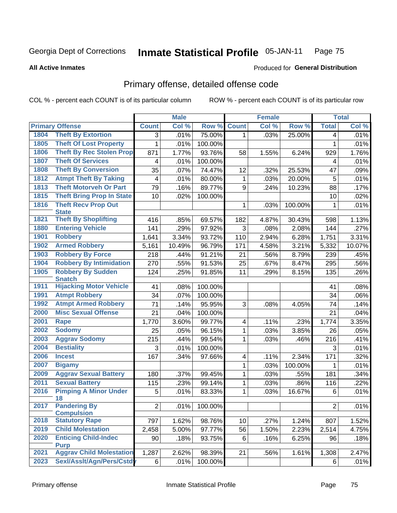### Inmate Statistical Profile 05-JAN-11 Page 75

**All Active Inmates** 

## **Produced for General Distribution**

# Primary offense, detailed offense code

COL % - percent each COUNT is of its particular column

|              |                                                       |                         | <b>Male</b> |         |              | <b>Female</b> |         |                | <b>Total</b> |
|--------------|-------------------------------------------------------|-------------------------|-------------|---------|--------------|---------------|---------|----------------|--------------|
|              | <b>Primary Offense</b>                                | <b>Count</b>            | Col %       | Row %   | <b>Count</b> | Col %         | Row %   | <b>Total</b>   | Col %        |
| 1804         | <b>Theft By Extortion</b>                             | 3                       | .01%        | 75.00%  | $\mathbf 1$  | .03%          | 25.00%  | $\overline{4}$ | .01%         |
| 1805         | <b>Theft Of Lost Property</b>                         | 1                       | .01%        | 100.00% |              |               |         | $\mathbf{1}$   | .01%         |
| 1806         | <b>Theft By Rec Stolen Prop</b>                       | 871                     | 1.77%       | 93.76%  | 58           | 1.55%         | 6.24%   | 929            | 1.76%        |
| 1807         | <b>Theft Of Services</b>                              | $\overline{\mathbf{4}}$ | .01%        | 100.00% |              |               |         | 4              | .01%         |
| 1808         | <b>Theft By Conversion</b>                            | 35                      | .07%        | 74.47%  | 12           | .32%          | 25.53%  | 47             | .09%         |
| 1812         | <b>Atmpt Theft By Taking</b>                          | $\overline{\mathbf{4}}$ | .01%        | 80.00%  | 1            | .03%          | 20.00%  | 5              | .01%         |
| 1813         | <b>Theft Motorveh Or Part</b>                         | 79                      | .16%        | 89.77%  | $9\,$        | .24%          | 10.23%  | 88             | .17%         |
| 1815         | <b>Theft Bring Prop In State</b>                      | 10                      | .02%        | 100.00% |              |               |         | 10             | .02%         |
| 1816         | <b>Theft Recv Prop Out</b><br><b>State</b>            |                         |             |         | 1            | .03%          | 100.00% | 1              | .01%         |
| 1821         | <b>Theft By Shoplifting</b>                           | 416                     | .85%        | 69.57%  | 182          | 4.87%         | 30.43%  | 598            | 1.13%        |
| 1880         | <b>Entering Vehicle</b>                               | 141                     | .29%        | 97.92%  | 3            | .08%          | 2.08%   | 144            | .27%         |
| 1901         | <b>Robbery</b>                                        | 1,641                   | 3.34%       | 93.72%  | 110          | 2.94%         | 6.28%   | 1,751          | 3.31%        |
| 1902         | <b>Armed Robbery</b>                                  | 5,161                   | 10.49%      | 96.79%  | 171          | 4.58%         | 3.21%   | 5,332          | 10.07%       |
| 1903         | <b>Robbery By Force</b>                               | 218                     | .44%        | 91.21%  | 21           | .56%          | 8.79%   | 239            | .45%         |
| 1904         | <b>Robbery By Intimidation</b>                        | 270                     | .55%        | 91.53%  | 25           | .67%          | 8.47%   | 295            | .56%         |
| 1905         | <b>Robbery By Sudden</b>                              | 124                     | .25%        | 91.85%  | 11           | .29%          | 8.15%   | 135            | .26%         |
|              | <b>Snatch</b>                                         |                         |             |         |              |               |         |                |              |
| 1911         | <b>Hijacking Motor Vehicle</b>                        | 41                      | .08%        | 100.00% |              |               |         | 41             | .08%         |
| 1991<br>1992 | <b>Atmpt Robbery</b><br><b>Atmpt Armed Robbery</b>    | 34                      | .07%        | 100.00% |              |               |         | 34             | .06%         |
| 2000         | <b>Misc Sexual Offense</b>                            | $\overline{71}$         | .14%        | 95.95%  | 3            | .08%          | 4.05%   | 74             | .14%         |
| 2001         |                                                       | 21                      | .04%        | 100.00% |              |               |         | 21             | .04%         |
| 2002         | <b>Rape</b><br><b>Sodomy</b>                          | 1,770                   | 3.60%       | 99.77%  | 4            | .11%          | .23%    | 1,774          | 3.35%        |
| 2003         |                                                       | 25                      | .05%        | 96.15%  | $\mathbf{1}$ | .03%          | 3.85%   | 26             | .05%         |
|              | <b>Aggrav Sodomy</b>                                  | 215                     | .44%        | 99.54%  | 1            | .03%          | .46%    | 216            | .41%         |
| 2004         | <b>Bestiality</b>                                     | 3                       | .01%        | 100.00% |              |               |         | 3              | .01%         |
| 2006         | <b>Incest</b>                                         | 167                     | .34%        | 97.66%  | 4            | .11%          | 2.34%   | 171            | .32%         |
| 2007         | <b>Bigamy</b>                                         |                         |             |         | 1            | .03%          | 100.00% | 1              | .01%         |
| 2009         | <b>Aggrav Sexual Battery</b><br><b>Sexual Battery</b> | 180                     | .37%        | 99.45%  | 1            | .03%          | .55%    | 181            | .34%         |
| 2011         |                                                       | 115                     | .23%        | 99.14%  | 1            | .03%          | .86%    | 116            | .22%         |
| 2016         | <b>Pimping A Minor Under</b><br>18                    | 5                       | .01%        | 83.33%  | 1            | .03%          | 16.67%  | 6              | .01%         |
| 2017         | <b>Pandering By</b><br><b>Compulsion</b>              | 2                       | .01%        | 100.00% |              |               |         | 2 <sup>1</sup> | .01%         |
| 2018         | <b>Statutory Rape</b>                                 | 797                     | 1.62%       | 98.76%  | 10           | .27%          | 1.24%   | 807            | 1.52%        |
| 2019         | <b>Child Molestation</b>                              | 2,458                   | 5.00%       | 97.77%  | 56           | 1.50%         | 2.23%   | 2,514          | 4.75%        |
| 2020         | <b>Enticing Child-Indec</b>                           | 90                      | .18%        | 93.75%  | 6            | .16%          | 6.25%   | 96             | .18%         |
|              | <b>Purp</b>                                           |                         |             |         |              |               |         |                |              |
| 2021         | <b>Aggrav Child Molestation</b>                       | 1,287                   | 2.62%       | 98.39%  | 21           | .56%          | 1.61%   | 1,308          | 2.47%        |
| 2023         | Sexl/Asslt/Agn/Pers/Cstdy                             | 6                       | .01%        | 100.00% |              |               |         | 6              | .01%         |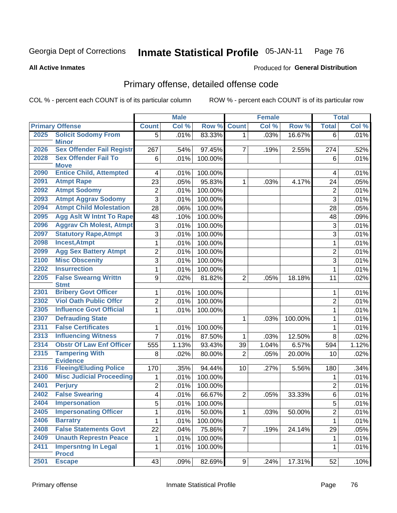### Inmate Statistical Profile 05-JAN-11 Page 76

### **All Active Inmates**

## **Produced for General Distribution**

# Primary offense, detailed offense code

COL % - percent each COUNT is of its particular column

|                                 |                                                                                                                                                                                                                   | <b>Male</b>                |                                              |                                                               | <b>Female</b> |                        |                | <b>Total</b>                 |
|---------------------------------|-------------------------------------------------------------------------------------------------------------------------------------------------------------------------------------------------------------------|----------------------------|----------------------------------------------|---------------------------------------------------------------|---------------|------------------------|----------------|------------------------------|
| <b>Primary Offense</b>          | <b>Count</b>                                                                                                                                                                                                      | Col %                      | Row %                                        | <b>Count</b>                                                  | Col %         | Row %                  | <b>Total</b>   | Col %                        |
| <b>Solicit Sodomy From</b>      | 5                                                                                                                                                                                                                 | .01%                       | 83.33%                                       | 1 <sup>1</sup>                                                | .03%          | 16.67%                 | 6              | .01%                         |
|                                 |                                                                                                                                                                                                                   |                            |                                              |                                                               |               |                        |                |                              |
|                                 |                                                                                                                                                                                                                   |                            |                                              |                                                               |               |                        |                | .52%                         |
|                                 |                                                                                                                                                                                                                   |                            |                                              |                                                               |               |                        |                | .01%                         |
|                                 | 4                                                                                                                                                                                                                 |                            |                                              |                                                               |               |                        | 4              | .01%                         |
| <b>Atmpt Rape</b>               | 23                                                                                                                                                                                                                | .05%                       | 95.83%                                       | 1                                                             | .03%          | 4.17%                  | 24             | .05%                         |
| <b>Atmpt Sodomy</b>             | $\overline{2}$                                                                                                                                                                                                    |                            |                                              |                                                               |               |                        | $\overline{2}$ | .01%                         |
| <b>Atmpt Aggrav Sodomy</b>      | 3                                                                                                                                                                                                                 | .01%                       | 100.00%                                      |                                                               |               |                        | 3              | .01%                         |
| <b>Atmpt Child Molestation</b>  | 28                                                                                                                                                                                                                | .06%                       | 100.00%                                      |                                                               |               |                        | 28             | .05%                         |
| <b>Agg Aslt W Intnt To Rape</b> | 48                                                                                                                                                                                                                | .10%                       | 100.00%                                      |                                                               |               |                        | 48             | .09%                         |
| <b>Aggrav Ch Molest, Atmpt</b>  | 3                                                                                                                                                                                                                 | .01%                       | 100.00%                                      |                                                               |               |                        | 3              | .01%                         |
| <b>Statutory Rape, Atmpt</b>    | 3                                                                                                                                                                                                                 | .01%                       | 100.00%                                      |                                                               |               |                        | 3              | .01%                         |
| <b>Incest, Atmpt</b>            | $\mathbf{1}$                                                                                                                                                                                                      | .01%                       | 100.00%                                      |                                                               |               |                        | $\mathbf{1}$   | .01%                         |
| <b>Agg Sex Battery Atmpt</b>    | 2                                                                                                                                                                                                                 | .01%                       | 100.00%                                      |                                                               |               |                        | $\overline{2}$ | .01%                         |
| <b>Misc Obscenity</b>           | 3                                                                                                                                                                                                                 | .01%                       | 100.00%                                      |                                                               |               |                        | 3              | .01%                         |
| <b>Insurrection</b>             | $\mathbf{1}$                                                                                                                                                                                                      | .01%                       | 100.00%                                      |                                                               |               |                        | $\mathbf{1}$   | .01%                         |
| <b>False Swearng Writtn</b>     | 9                                                                                                                                                                                                                 | .02%                       | 81.82%                                       | $\overline{2}$                                                | .05%          | 18.18%                 | 11             | .02%                         |
|                                 | 1                                                                                                                                                                                                                 |                            |                                              |                                                               |               |                        | 1              | .01%                         |
| <b>Viol Oath Public Offcr</b>   |                                                                                                                                                                                                                   |                            |                                              |                                                               |               |                        |                | .01%                         |
| <b>Influence Govt Official</b>  | $\mathbf{1}$                                                                                                                                                                                                      | .01%                       | 100.00%                                      |                                                               |               |                        | $\mathbf{1}$   | .01%                         |
| <b>Defrauding State</b>         |                                                                                                                                                                                                                   |                            |                                              | $\mathbf{1}$                                                  | .03%          | 100.00%                | $\mathbf{1}$   | .01%                         |
| <b>False Certificates</b>       | 1                                                                                                                                                                                                                 | .01%                       | 100.00%                                      |                                                               |               |                        | $\mathbf{1}$   | .01%                         |
| <b>Influencing Witness</b>      | 7                                                                                                                                                                                                                 | .01%                       | 87.50%                                       | 1                                                             | .03%          | 12.50%                 | 8              | .02%                         |
| <b>Obstr Of Law Enf Officer</b> | 555                                                                                                                                                                                                               | 1.13%                      | 93.43%                                       | 39                                                            | 1.04%         | 6.57%                  | 594            | 1.12%                        |
| <b>Tampering With</b>           | 8                                                                                                                                                                                                                 | .02%                       | 80.00%                                       | $\overline{2}$                                                | .05%          | 20.00%                 | 10             | .02%                         |
| <b>Fleeing/Eluding Police</b>   | 170                                                                                                                                                                                                               | .35%                       | 94.44%                                       | 10                                                            | .27%          | 5.56%                  | 180            | .34%                         |
| <b>Misc Judicial Proceeding</b> | 1                                                                                                                                                                                                                 | .01%                       | 100.00%                                      |                                                               |               |                        | 1              | .01%                         |
| <b>Perjury</b>                  | $\overline{c}$                                                                                                                                                                                                    | .01%                       | 100.00%                                      |                                                               |               |                        | $\overline{2}$ | .01%                         |
| <b>False Swearing</b>           | 4                                                                                                                                                                                                                 | .01%                       | 66.67%                                       | $\overline{2}$                                                | .05%          | 33.33%                 | 6              | .01%                         |
| <b>Impersonation</b>            | 5                                                                                                                                                                                                                 | .01%                       | 100.00%                                      |                                                               |               |                        | $\sqrt{5}$     | .01%                         |
| <b>Impersonating Officer</b>    | 1                                                                                                                                                                                                                 | .01%                       | 50.00%                                       | $\mathbf{1}$                                                  | .03%          | 50.00%                 | $\overline{2}$ | .01%                         |
| <b>Barratry</b>                 | 1                                                                                                                                                                                                                 | .01%                       | 100.00%                                      |                                                               |               |                        | 1              | .01%                         |
| <b>False Statements Govt</b>    | 22                                                                                                                                                                                                                | .04%                       | 75.86%                                       | $\overline{7}$                                                | .19%          | 24.14%                 | 29             | .05%                         |
| <b>Unauth Represtn Peace</b>    | 1                                                                                                                                                                                                                 | .01%                       | 100.00%                                      |                                                               |               |                        | 1              | .01%                         |
| <b>Impersntng In Legal</b>      | 1                                                                                                                                                                                                                 | .01%                       | 100.00%                                      |                                                               |               |                        | $\mathbf 1$    | .01%                         |
| <b>Escape</b>                   | 43                                                                                                                                                                                                                | .09%                       | 82.69%                                       |                                                               | .24%          | 17.31%                 | 52             | .10%                         |
|                                 | <b>Minor</b><br><b>Sex Offender Fail Registr</b><br><b>Sex Offender Fail To</b><br><b>Move</b><br><b>Entice Child, Attempted</b><br><b>Stmt</b><br><b>Bribery Govt Officer</b><br><b>Evidence</b><br><b>Procd</b> | 267<br>6<br>$\overline{c}$ | .54%<br>.01%<br>.01%<br>.01%<br>.01%<br>.01% | 97.45%<br>100.00%<br>100.00%<br>100.00%<br>100.00%<br>100.00% | 7             | .19%<br>9 <sup>1</sup> | 2.55%          | 274<br>6<br>$\boldsymbol{2}$ |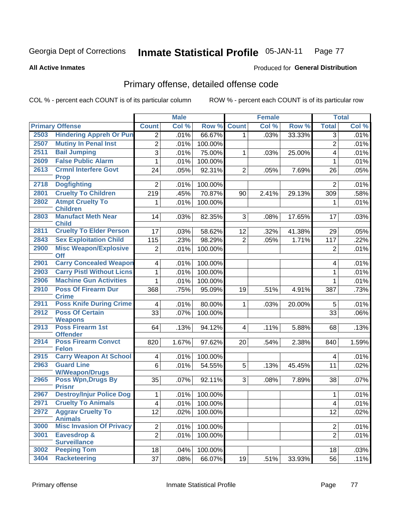### **Inmate Statistical Profile 05-JAN-11** Page 77

### **All Active Inmates**

## **Produced for General Distribution**

# Primary offense, detailed offense code

COL % - percent each COUNT is of its particular column

|      |                                                |                          | <b>Male</b> |         |                | <b>Female</b> |        |                | <b>Total</b> |
|------|------------------------------------------------|--------------------------|-------------|---------|----------------|---------------|--------|----------------|--------------|
|      | <b>Primary Offense</b>                         | <b>Count</b>             | Col %       | Row %   | <b>Count</b>   | Col %         | Row %  | <b>Total</b>   | Col %        |
| 2503 | <b>Hindering Appreh Or Pun</b>                 | $\overline{2}$           | .01%        | 66.67%  | 1.             | .03%          | 33.33% | $\overline{3}$ | .01%         |
| 2507 | <b>Mutiny In Penal Inst</b>                    | $\overline{2}$           | .01%        | 100.00% |                |               |        | $\overline{2}$ | .01%         |
| 2511 | <b>Bail Jumping</b>                            | 3                        | .01%        | 75.00%  | 1              | .03%          | 25.00% | 4              | .01%         |
| 2609 | <b>False Public Alarm</b>                      | 1                        | .01%        | 100.00% |                |               |        | 1              | .01%         |
| 2613 | <b>Crmnl Interfere Govt</b>                    | 24                       | .05%        | 92.31%  | $\overline{2}$ | .05%          | 7.69%  | 26             | .05%         |
|      | <b>Prop</b>                                    |                          |             |         |                |               |        |                |              |
| 2718 | <b>Dogfighting</b>                             | $\overline{2}$           | .01%        | 100.00% |                |               |        | $\overline{2}$ | .01%         |
| 2801 | <b>Cruelty To Children</b>                     | 219                      | .45%        | 70.87%  | 90             | 2.41%         | 29.13% | 309            | .58%         |
| 2802 | <b>Atmpt Cruelty To</b><br><b>Children</b>     | 1                        | .01%        | 100.00% |                |               |        | 1              | .01%         |
| 2803 | <b>Manufact Meth Near</b>                      | 14                       | .03%        | 82.35%  | 3              | .08%          | 17.65% | 17             | .03%         |
|      | <b>Child</b>                                   |                          |             |         |                |               |        |                |              |
| 2811 | <b>Cruelty To Elder Person</b>                 | 17                       | .03%        | 58.62%  | 12             | .32%          | 41.38% | 29             | .05%         |
| 2843 | <b>Sex Exploitation Child</b>                  | 115                      | .23%        | 98.29%  | $\overline{2}$ | .05%          | 1.71%  | 117            | .22%         |
| 2900 | <b>Misc Weapon/Explosive</b>                   | $\overline{2}$           | .01%        | 100.00% |                |               |        | $\overline{2}$ | .01%         |
|      | <b>Off</b>                                     |                          |             |         |                |               |        |                |              |
| 2901 | <b>Carry Concealed Weapon</b>                  | $\overline{4}$           | .01%        | 100.00% |                |               |        | 4              | .01%         |
| 2903 | <b>Carry Pistl Without Licns</b>               | $\mathbf{1}$             | .01%        | 100.00% |                |               |        | 1              | .01%         |
| 2906 | <b>Machine Gun Activities</b>                  | 1                        | .01%        | 100.00% |                |               |        | 1              | .01%         |
| 2910 | <b>Poss Of Firearm Dur</b>                     | 368                      | .75%        | 95.09%  | 19             | .51%          | 4.91%  | 387            | .73%         |
| 2911 | <b>Crime</b><br><b>Poss Knife During Crime</b> | 4                        | .01%        | 80.00%  | 1              | .03%          | 20.00% | 5              | .01%         |
| 2912 | <b>Poss Of Certain</b>                         | 33                       | .07%        | 100.00% |                |               |        | 33             | .06%         |
|      | <b>Weapons</b>                                 |                          |             |         |                |               |        |                |              |
| 2913 | Poss Firearm 1st                               | 64                       | .13%        | 94.12%  | 4              | .11%          | 5.88%  | 68             | .13%         |
|      | <b>Offender</b>                                |                          |             |         |                |               |        |                |              |
| 2914 | <b>Poss Firearm Convct</b>                     | 820                      | 1.67%       | 97.62%  | 20             | .54%          | 2.38%  | 840            | 1.59%        |
| 2915 | <b>Felon</b><br><b>Carry Weapon At School</b>  | $\overline{4}$           | .01%        | 100.00% |                |               |        | 4              | .01%         |
| 2963 | <b>Guard Line</b>                              | $6\phantom{1}$           | .01%        | 54.55%  | 5              | .13%          | 45.45% | 11             | .02%         |
|      | <b>W/Weapon/Drugs</b>                          |                          |             |         |                |               |        |                |              |
| 2965 | <b>Poss Wpn, Drugs By</b>                      | 35                       | .07%        | 92.11%  | 3              | .08%          | 7.89%  | 38             | .07%         |
|      | <b>Prisnr</b>                                  |                          |             |         |                |               |        |                |              |
| 2967 | <b>Destroy/Injur Police Dog</b>                | $\mathbf 1$              | .01%        | 100.00% |                |               |        | 1              | .01%         |
| 2971 | <b>Cruelty To Animals</b>                      | $\overline{\mathcal{A}}$ | .01%        | 100.00% |                |               |        | 4              | .01%         |
| 2972 | <b>Aggrav Cruelty To</b><br><b>Animals</b>     | 12                       | .02%        | 100.00% |                |               |        | 12             | .02%         |
| 3000 | <b>Misc Invasion Of Privacy</b>                | $\overline{2}$           | .01%        | 100.00% |                |               |        | $\overline{2}$ | .01%         |
| 3001 | Eavesdrop &                                    | $\overline{2}$           | .01%        | 100.00% |                |               |        | $\overline{2}$ | .01%         |
|      | <b>Surveillance</b>                            |                          |             |         |                |               |        |                |              |
| 3002 | <b>Peeping Tom</b>                             | 18                       | .04%        | 100.00% |                |               |        | 18             | .03%         |
| 3404 | <b>Racketeering</b>                            | 37                       | .08%        | 66.07%  | 19             | .51%          | 33.93% | 56             | .11%         |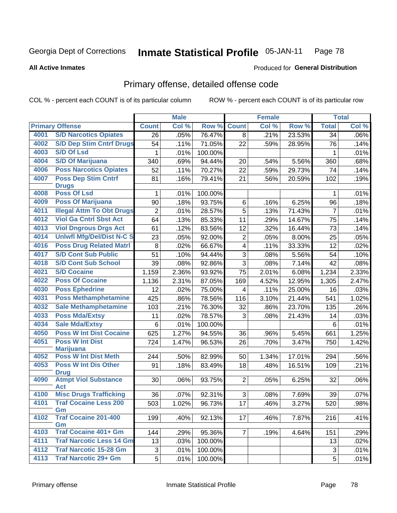### Inmate Statistical Profile 05-JAN-11 Page 78

### **All Active Inmates**

# **Produced for General Distribution**

# Primary offense, detailed offense code

COL % - percent each COUNT is of its particular column

|      |                                            |              | <b>Male</b> |         |                 | <b>Female</b> |        |                | <b>Total</b> |
|------|--------------------------------------------|--------------|-------------|---------|-----------------|---------------|--------|----------------|--------------|
|      | <b>Primary Offense</b>                     | <b>Count</b> | Col %       | Row %   | <b>Count</b>    | Col %         | Row %  | <b>Total</b>   | Col %        |
| 4001 | <b>S/D Narcotics Opiates</b>               | 26           | .05%        | 76.47%  | 8               | .21%          | 23.53% | 34             | .06%         |
| 4002 | <b>S/D Dep Stim Cntrf Drugs</b>            | 54           | .11%        | 71.05%  | 22              | .59%          | 28.95% | 76             | .14%         |
| 4003 | <b>S/D Of Lsd</b>                          | 1            | .01%        | 100.00% |                 |               |        | 1              | .01%         |
| 4004 | <b>S/D Of Marijuana</b>                    | 340          | .69%        | 94.44%  | 20              | .54%          | 5.56%  | 360            | .68%         |
| 4006 | <b>Poss Narcotics Opiates</b>              | 52           | .11%        | 70.27%  | 22              | .59%          | 29.73% | 74             | .14%         |
| 4007 | <b>Poss Dep Stim Cntrf</b>                 | 81           | .16%        | 79.41%  | 21              | .56%          | 20.59% | 102            | .19%         |
|      | <b>Drugs</b>                               |              |             |         |                 |               |        |                |              |
| 4008 | <b>Poss Of Lsd</b>                         | 1            | .01%        | 100.00% |                 |               |        | 1              | .01%         |
| 4009 | <b>Poss Of Marijuana</b>                   | 90           | .18%        | 93.75%  | 6               | .16%          | 6.25%  | 96             | .18%         |
| 4011 | <b>Illegal Attm To Obt Drugs</b>           | 2            | .01%        | 28.57%  | 5               | .13%          | 71.43% | $\overline{7}$ | .01%         |
| 4012 | <b>Viol Ga Cntrl Sbst Act</b>              | 64           | .13%        | 85.33%  | 11              | .29%          | 14.67% | 75             | .14%         |
| 4013 | <b>Viol Dngrous Drgs Act</b>               | 61           | .12%        | 83.56%  | 12              | .32%          | 16.44% | 73             | .14%         |
| 4014 | <b>Uniwfl Mfg/Del/Dist N-C S</b>           | 23           | .05%        | 92.00%  | $\overline{c}$  | .05%          | 8.00%  | 25             | .05%         |
| 4016 | <b>Poss Drug Related Matri</b>             | 8            | .02%        | 66.67%  | 4               | .11%          | 33.33% | 12             | .02%         |
| 4017 | <b>S/D Cont Sub Public</b>                 | 51           | .10%        | 94.44%  | 3               | .08%          | 5.56%  | 54             | .10%         |
| 4018 | <b>S/D Cont Sub School</b>                 | 39           | .08%        | 92.86%  | 3               | .08%          | 7.14%  | 42             | .08%         |
| 4021 | <b>S/D Cocaine</b>                         | 1,159        | 2.36%       | 93.92%  | 75              | 2.01%         | 6.08%  | 1,234          | 2.33%        |
| 4022 | <b>Poss Of Cocaine</b>                     | 1,136        | 2.31%       | 87.05%  | 169             | 4.52%         | 12.95% | 1,305          | 2.47%        |
| 4030 | <b>Poss Ephedrine</b>                      | 12           | .02%        | 75.00%  | 4               | .11%          | 25.00% | 16             | .03%         |
| 4031 | <b>Poss Methamphetamine</b>                | 425          | .86%        | 78.56%  | 116             | 3.10%         | 21.44% | 541            | 1.02%        |
| 4032 | <b>Sale Methamphetamine</b>                | 103          | .21%        | 76.30%  | 32              | .86%          | 23.70% | 135            | .26%         |
| 4033 | <b>Poss Mda/Extsy</b>                      | 11           | .02%        | 78.57%  | 3               | .08%          | 21.43% | 14             | .03%         |
| 4034 | <b>Sale Mda/Extsy</b>                      | 6            | .01%        | 100.00% |                 |               |        | 6              | .01%         |
| 4050 | <b>Poss W Int Dist Cocaine</b>             | 625          | 1.27%       | 94.55%  | 36              | .96%          | 5.45%  | 661            | 1.25%        |
| 4051 | <b>Poss W Int Dist</b>                     | 724          | 1.47%       | 96.53%  | 26              | .70%          | 3.47%  | 750            | 1.42%        |
|      | <b>Marijuana</b>                           |              |             |         |                 |               |        |                |              |
| 4052 | <b>Poss W Int Dist Meth</b>                | 244          | .50%        | 82.99%  | 50              | 1.34%         | 17.01% | 294            | .56%         |
| 4053 | <b>Poss W Int Dis Other</b>                | 91           | .18%        | 83.49%  | 18              | .48%          | 16.51% | 109            | .21%         |
| 4090 | <b>Drug</b><br><b>Atmpt Viol Substance</b> | 30           | .06%        | 93.75%  | $\overline{2}$  | .05%          | 6.25%  | 32             | .06%         |
|      | <b>Act</b>                                 |              |             |         |                 |               |        |                |              |
| 4100 | <b>Misc Drugs Trafficking</b>              | 36           | .07%        | 92.31%  | 3               | .08%          | 7.69%  | 39             | .07%         |
| 4101 | <b>Traf Cocaine Less 200</b>               | 503          | 1.02%       | 96.73%  | $\overline{17}$ | .46%          | 3.27%  | 520            | .98%         |
|      | Gm                                         |              |             |         |                 |               |        |                |              |
| 4102 | <b>Traf Cocaine 201-400</b>                | 199          | .40%        | 92.13%  | 17              | .46%          | 7.87%  | 216            | .41%         |
| 4103 | Gm<br><b>Traf Cocaine 401+ Gm</b>          | 144          | .29%        | 95.36%  | $\overline{7}$  | .19%          | 4.64%  | 151            | .29%         |
| 4111 | <b>Traf Narcotic Less 14 Gm</b>            | 13           | .03%        |         |                 |               |        | 13             |              |
| 4112 | <b>Traf Narcotic 15-28 Gm</b>              |              |             | 100.00% |                 |               |        |                | .02%         |
| 4113 | <b>Traf Narcotic 29+ Gm</b>                | 3            | .01%        | 100.00% |                 |               |        | 3              | .01%         |
|      |                                            | 5            | .01%        | 100.00% |                 |               |        | 5              | .01%         |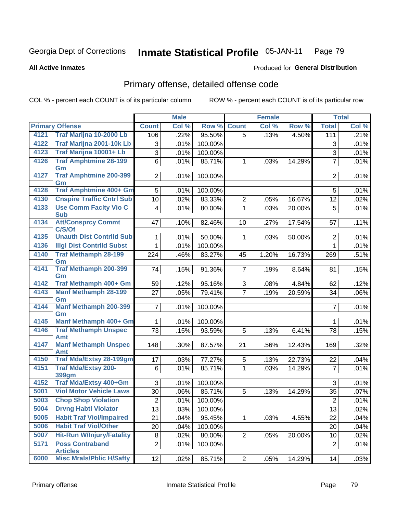### Inmate Statistical Profile 05-JAN-11 Page 79

### **All Active Inmates**

# **Produced for General Distribution**

# Primary offense, detailed offense code

COL % - percent each COUNT is of its particular column

| Col %<br><b>Primary Offense</b><br><b>Count</b><br>Col %<br>Row %<br><b>Count</b><br>Col %<br>Row %<br><b>Total</b><br>Traf Marijna 10-2000 Lb<br>4121<br>95.50%<br>.22%<br>$\overline{5}$<br>.13%<br>111<br>.21%<br>106<br>4.50%<br>Traf Marijna 2001-10k Lb<br>4122<br>100.00%<br>3<br>.01%<br>3<br>.01%<br>Traf Marijna 10001+ Lb<br>4123<br>$\overline{3}$<br>$\overline{3}$<br>.01%<br>100.00%<br>.01%<br><b>Traf Amphtmine 28-199</b><br>4126<br>$\overline{7}$<br>6<br>85.71%<br>.01%<br>.01%<br>.03%<br>14.29%<br>$\mathbf{1}$<br>Gm<br><b>Traf Amphtmine 200-399</b><br>4127<br>2 <br>100.00%<br>$\overline{2}$<br>.01%<br>.01%<br>Gm<br><b>Traf Amphtmine 400+ Gm</b><br>4128<br>5<br>.01%<br>100.00%<br>5<br>.01%<br><b>Cnspire Traffic Cntrl Sub</b><br>4130<br>10<br>83.33%<br>$\overline{2}$<br>.02%<br>.05%<br>16.67%<br>12<br>.02%<br><b>Use Comm Facity Vio C</b><br>4133<br>5<br>$\overline{\mathbf{4}}$<br>.01%<br>80.00%<br>$\mathbf{1}$<br>.03%<br>20.00%<br>.01%<br><b>Sub</b><br><b>Att/Consprcy Commt</b><br>4134<br>47<br>82.46%<br>17.54%<br>.11%<br>.10%<br>10 <sup>1</sup><br>.27%<br>57<br>C/S/Of<br><b>Unauth Dist Contrild Sub</b><br>4135<br>50.00%<br>.01%<br>50.00%<br>$\boldsymbol{2}$<br>.01%<br>$\mathbf{1}$<br>.03%<br>1<br><b>Illgl Dist Contrild Subst</b><br>4136<br>100.00%<br>$\mathbf{1}$<br>1<br>.01%<br>.01%<br><b>Traf Methamph 28-199</b><br>4140<br>224<br>.46%<br>83.27%<br>1.20%<br>16.73%<br>.51%<br>45<br>269<br>Gm<br><b>Traf Methamph 200-399</b><br>4141<br>91.36%<br>74<br>.15%<br>7 <br>.19%<br>8.64%<br>.15%<br>81<br>Gm<br>Traf Methamph 400+ Gm<br>4142<br>95.16%<br>59<br>.12%<br>3<br>4.84%<br>.12%<br>.08%<br>62<br>4143<br><b>Manf Methamph 28-199</b><br>$\overline{7}$<br>27<br>79.41%<br>.05%<br>.19%<br>20.59%<br>34<br>.06%<br>Gm<br>Manf Methamph 200-399<br>4144<br>$\overline{7}$<br>100.00%<br>$\overline{7}$<br>.01%<br>.01%<br>Gm<br><b>Manf Methamph 400+ Gm</b><br>4145<br>100.00%<br>$\mathbf{1}$<br>.01%<br>$\mathbf{1}$<br>.01%<br><b>Traf Methamph Unspec</b><br>4146<br>73<br>93.59%<br>5<br>78<br>.15%<br>.15%<br>.13%<br>6.41%<br><b>Amt</b><br><b>Manf Methamph Unspec</b><br>4147<br>87.57%<br>148<br>12.43%<br>.32%<br>.30%<br>21<br>.56%<br>169<br>Amt<br><b>Traf Mda/Extsy 28-199gm</b><br>4150<br>77.27%<br>17<br>.03%<br>5<br>.13%<br>22.73%<br>.04%<br>22<br><b>Traf Mda/Extsy 200-</b><br>4151<br>85.71%<br>$\overline{7}$<br>6<br>$\mathbf{1}$<br>.01%<br>.01%<br>.03%<br>14.29%<br>399gm<br>Traf Mda/Extsy 400+Gm<br>4152<br>3<br>100.00%<br>.01%<br>3<br>.01%<br><b>Viol Motor Vehicle Laws</b><br>5001<br>85.71%<br>5<br>30<br>.06%<br>14.29%<br>35<br>.07%<br>.13%<br>5003<br><b>Chop Shop Violation</b><br>$\overline{2}$<br>$\overline{2}$<br>.01%<br>100.00%<br>5004<br><b>Drvng Habtl Violator</b><br>13<br>.03%<br>100.00%<br>13<br>.02%<br><b>Habit Traf Viol/Impaired</b><br>5005<br>21<br>.04%<br>95.45%<br>.03%<br>4.55%<br>22<br>.04%<br>$\mathbf{1}$<br>5006<br><b>Habit Traf Viol/Other</b><br>20<br>100.00%<br>.04%<br>20<br>.04%<br><b>Hit-Run W/Injury/Fatality</b><br>5007<br>8<br>80.00%<br>$\overline{2}$<br>.02%<br>.05%<br>20.00%<br>10<br>.02%<br>5171<br><b>Poss Contraband</b><br>$\overline{2}$<br>$\overline{2}$<br>.01%<br>100.00%<br>.01%<br><b>Articles</b> |      |                                 |    | <b>Male</b> |        |   | <b>Female</b> |        |    | <b>Total</b> |
|--------------------------------------------------------------------------------------------------------------------------------------------------------------------------------------------------------------------------------------------------------------------------------------------------------------------------------------------------------------------------------------------------------------------------------------------------------------------------------------------------------------------------------------------------------------------------------------------------------------------------------------------------------------------------------------------------------------------------------------------------------------------------------------------------------------------------------------------------------------------------------------------------------------------------------------------------------------------------------------------------------------------------------------------------------------------------------------------------------------------------------------------------------------------------------------------------------------------------------------------------------------------------------------------------------------------------------------------------------------------------------------------------------------------------------------------------------------------------------------------------------------------------------------------------------------------------------------------------------------------------------------------------------------------------------------------------------------------------------------------------------------------------------------------------------------------------------------------------------------------------------------------------------------------------------------------------------------------------------------------------------------------------------------------------------------------------------------------------------------------------------------------------------------------------------------------------------------------------------------------------------------------------------------------------------------------------------------------------------------------------------------------------------------------------------------------------------------------------------------------------------------------------------------------------------------------------------------------------------------------------------------------------------------------------------------------------------------------------------------------------------------------------------------------------------------------------------------------------------------------------------------------------------------------------------------------------------------------------------------------------------------------------------------------------------------------------------------------------------------------------------------------------------------------------------------------------------------------------------------------------------------------------------------------|------|---------------------------------|----|-------------|--------|---|---------------|--------|----|--------------|
|                                                                                                                                                                                                                                                                                                                                                                                                                                                                                                                                                                                                                                                                                                                                                                                                                                                                                                                                                                                                                                                                                                                                                                                                                                                                                                                                                                                                                                                                                                                                                                                                                                                                                                                                                                                                                                                                                                                                                                                                                                                                                                                                                                                                                                                                                                                                                                                                                                                                                                                                                                                                                                                                                                                                                                                                                                                                                                                                                                                                                                                                                                                                                                                                                                                                                            |      |                                 |    |             |        |   |               |        |    |              |
| .01%                                                                                                                                                                                                                                                                                                                                                                                                                                                                                                                                                                                                                                                                                                                                                                                                                                                                                                                                                                                                                                                                                                                                                                                                                                                                                                                                                                                                                                                                                                                                                                                                                                                                                                                                                                                                                                                                                                                                                                                                                                                                                                                                                                                                                                                                                                                                                                                                                                                                                                                                                                                                                                                                                                                                                                                                                                                                                                                                                                                                                                                                                                                                                                                                                                                                                       |      |                                 |    |             |        |   |               |        |    |              |
|                                                                                                                                                                                                                                                                                                                                                                                                                                                                                                                                                                                                                                                                                                                                                                                                                                                                                                                                                                                                                                                                                                                                                                                                                                                                                                                                                                                                                                                                                                                                                                                                                                                                                                                                                                                                                                                                                                                                                                                                                                                                                                                                                                                                                                                                                                                                                                                                                                                                                                                                                                                                                                                                                                                                                                                                                                                                                                                                                                                                                                                                                                                                                                                                                                                                                            |      |                                 |    |             |        |   |               |        |    |              |
|                                                                                                                                                                                                                                                                                                                                                                                                                                                                                                                                                                                                                                                                                                                                                                                                                                                                                                                                                                                                                                                                                                                                                                                                                                                                                                                                                                                                                                                                                                                                                                                                                                                                                                                                                                                                                                                                                                                                                                                                                                                                                                                                                                                                                                                                                                                                                                                                                                                                                                                                                                                                                                                                                                                                                                                                                                                                                                                                                                                                                                                                                                                                                                                                                                                                                            |      |                                 |    |             |        |   |               |        |    |              |
|                                                                                                                                                                                                                                                                                                                                                                                                                                                                                                                                                                                                                                                                                                                                                                                                                                                                                                                                                                                                                                                                                                                                                                                                                                                                                                                                                                                                                                                                                                                                                                                                                                                                                                                                                                                                                                                                                                                                                                                                                                                                                                                                                                                                                                                                                                                                                                                                                                                                                                                                                                                                                                                                                                                                                                                                                                                                                                                                                                                                                                                                                                                                                                                                                                                                                            |      |                                 |    |             |        |   |               |        |    |              |
|                                                                                                                                                                                                                                                                                                                                                                                                                                                                                                                                                                                                                                                                                                                                                                                                                                                                                                                                                                                                                                                                                                                                                                                                                                                                                                                                                                                                                                                                                                                                                                                                                                                                                                                                                                                                                                                                                                                                                                                                                                                                                                                                                                                                                                                                                                                                                                                                                                                                                                                                                                                                                                                                                                                                                                                                                                                                                                                                                                                                                                                                                                                                                                                                                                                                                            |      |                                 |    |             |        |   |               |        |    |              |
|                                                                                                                                                                                                                                                                                                                                                                                                                                                                                                                                                                                                                                                                                                                                                                                                                                                                                                                                                                                                                                                                                                                                                                                                                                                                                                                                                                                                                                                                                                                                                                                                                                                                                                                                                                                                                                                                                                                                                                                                                                                                                                                                                                                                                                                                                                                                                                                                                                                                                                                                                                                                                                                                                                                                                                                                                                                                                                                                                                                                                                                                                                                                                                                                                                                                                            |      |                                 |    |             |        |   |               |        |    |              |
|                                                                                                                                                                                                                                                                                                                                                                                                                                                                                                                                                                                                                                                                                                                                                                                                                                                                                                                                                                                                                                                                                                                                                                                                                                                                                                                                                                                                                                                                                                                                                                                                                                                                                                                                                                                                                                                                                                                                                                                                                                                                                                                                                                                                                                                                                                                                                                                                                                                                                                                                                                                                                                                                                                                                                                                                                                                                                                                                                                                                                                                                                                                                                                                                                                                                                            |      |                                 |    |             |        |   |               |        |    |              |
|                                                                                                                                                                                                                                                                                                                                                                                                                                                                                                                                                                                                                                                                                                                                                                                                                                                                                                                                                                                                                                                                                                                                                                                                                                                                                                                                                                                                                                                                                                                                                                                                                                                                                                                                                                                                                                                                                                                                                                                                                                                                                                                                                                                                                                                                                                                                                                                                                                                                                                                                                                                                                                                                                                                                                                                                                                                                                                                                                                                                                                                                                                                                                                                                                                                                                            |      |                                 |    |             |        |   |               |        |    |              |
|                                                                                                                                                                                                                                                                                                                                                                                                                                                                                                                                                                                                                                                                                                                                                                                                                                                                                                                                                                                                                                                                                                                                                                                                                                                                                                                                                                                                                                                                                                                                                                                                                                                                                                                                                                                                                                                                                                                                                                                                                                                                                                                                                                                                                                                                                                                                                                                                                                                                                                                                                                                                                                                                                                                                                                                                                                                                                                                                                                                                                                                                                                                                                                                                                                                                                            |      |                                 |    |             |        |   |               |        |    |              |
|                                                                                                                                                                                                                                                                                                                                                                                                                                                                                                                                                                                                                                                                                                                                                                                                                                                                                                                                                                                                                                                                                                                                                                                                                                                                                                                                                                                                                                                                                                                                                                                                                                                                                                                                                                                                                                                                                                                                                                                                                                                                                                                                                                                                                                                                                                                                                                                                                                                                                                                                                                                                                                                                                                                                                                                                                                                                                                                                                                                                                                                                                                                                                                                                                                                                                            |      |                                 |    |             |        |   |               |        |    |              |
|                                                                                                                                                                                                                                                                                                                                                                                                                                                                                                                                                                                                                                                                                                                                                                                                                                                                                                                                                                                                                                                                                                                                                                                                                                                                                                                                                                                                                                                                                                                                                                                                                                                                                                                                                                                                                                                                                                                                                                                                                                                                                                                                                                                                                                                                                                                                                                                                                                                                                                                                                                                                                                                                                                                                                                                                                                                                                                                                                                                                                                                                                                                                                                                                                                                                                            |      |                                 |    |             |        |   |               |        |    |              |
|                                                                                                                                                                                                                                                                                                                                                                                                                                                                                                                                                                                                                                                                                                                                                                                                                                                                                                                                                                                                                                                                                                                                                                                                                                                                                                                                                                                                                                                                                                                                                                                                                                                                                                                                                                                                                                                                                                                                                                                                                                                                                                                                                                                                                                                                                                                                                                                                                                                                                                                                                                                                                                                                                                                                                                                                                                                                                                                                                                                                                                                                                                                                                                                                                                                                                            |      |                                 |    |             |        |   |               |        |    |              |
|                                                                                                                                                                                                                                                                                                                                                                                                                                                                                                                                                                                                                                                                                                                                                                                                                                                                                                                                                                                                                                                                                                                                                                                                                                                                                                                                                                                                                                                                                                                                                                                                                                                                                                                                                                                                                                                                                                                                                                                                                                                                                                                                                                                                                                                                                                                                                                                                                                                                                                                                                                                                                                                                                                                                                                                                                                                                                                                                                                                                                                                                                                                                                                                                                                                                                            |      |                                 |    |             |        |   |               |        |    |              |
|                                                                                                                                                                                                                                                                                                                                                                                                                                                                                                                                                                                                                                                                                                                                                                                                                                                                                                                                                                                                                                                                                                                                                                                                                                                                                                                                                                                                                                                                                                                                                                                                                                                                                                                                                                                                                                                                                                                                                                                                                                                                                                                                                                                                                                                                                                                                                                                                                                                                                                                                                                                                                                                                                                                                                                                                                                                                                                                                                                                                                                                                                                                                                                                                                                                                                            |      |                                 |    |             |        |   |               |        |    |              |
|                                                                                                                                                                                                                                                                                                                                                                                                                                                                                                                                                                                                                                                                                                                                                                                                                                                                                                                                                                                                                                                                                                                                                                                                                                                                                                                                                                                                                                                                                                                                                                                                                                                                                                                                                                                                                                                                                                                                                                                                                                                                                                                                                                                                                                                                                                                                                                                                                                                                                                                                                                                                                                                                                                                                                                                                                                                                                                                                                                                                                                                                                                                                                                                                                                                                                            |      |                                 |    |             |        |   |               |        |    |              |
|                                                                                                                                                                                                                                                                                                                                                                                                                                                                                                                                                                                                                                                                                                                                                                                                                                                                                                                                                                                                                                                                                                                                                                                                                                                                                                                                                                                                                                                                                                                                                                                                                                                                                                                                                                                                                                                                                                                                                                                                                                                                                                                                                                                                                                                                                                                                                                                                                                                                                                                                                                                                                                                                                                                                                                                                                                                                                                                                                                                                                                                                                                                                                                                                                                                                                            |      |                                 |    |             |        |   |               |        |    |              |
|                                                                                                                                                                                                                                                                                                                                                                                                                                                                                                                                                                                                                                                                                                                                                                                                                                                                                                                                                                                                                                                                                                                                                                                                                                                                                                                                                                                                                                                                                                                                                                                                                                                                                                                                                                                                                                                                                                                                                                                                                                                                                                                                                                                                                                                                                                                                                                                                                                                                                                                                                                                                                                                                                                                                                                                                                                                                                                                                                                                                                                                                                                                                                                                                                                                                                            |      |                                 |    |             |        |   |               |        |    |              |
|                                                                                                                                                                                                                                                                                                                                                                                                                                                                                                                                                                                                                                                                                                                                                                                                                                                                                                                                                                                                                                                                                                                                                                                                                                                                                                                                                                                                                                                                                                                                                                                                                                                                                                                                                                                                                                                                                                                                                                                                                                                                                                                                                                                                                                                                                                                                                                                                                                                                                                                                                                                                                                                                                                                                                                                                                                                                                                                                                                                                                                                                                                                                                                                                                                                                                            |      |                                 |    |             |        |   |               |        |    |              |
|                                                                                                                                                                                                                                                                                                                                                                                                                                                                                                                                                                                                                                                                                                                                                                                                                                                                                                                                                                                                                                                                                                                                                                                                                                                                                                                                                                                                                                                                                                                                                                                                                                                                                                                                                                                                                                                                                                                                                                                                                                                                                                                                                                                                                                                                                                                                                                                                                                                                                                                                                                                                                                                                                                                                                                                                                                                                                                                                                                                                                                                                                                                                                                                                                                                                                            |      |                                 |    |             |        |   |               |        |    |              |
|                                                                                                                                                                                                                                                                                                                                                                                                                                                                                                                                                                                                                                                                                                                                                                                                                                                                                                                                                                                                                                                                                                                                                                                                                                                                                                                                                                                                                                                                                                                                                                                                                                                                                                                                                                                                                                                                                                                                                                                                                                                                                                                                                                                                                                                                                                                                                                                                                                                                                                                                                                                                                                                                                                                                                                                                                                                                                                                                                                                                                                                                                                                                                                                                                                                                                            |      |                                 |    |             |        |   |               |        |    |              |
|                                                                                                                                                                                                                                                                                                                                                                                                                                                                                                                                                                                                                                                                                                                                                                                                                                                                                                                                                                                                                                                                                                                                                                                                                                                                                                                                                                                                                                                                                                                                                                                                                                                                                                                                                                                                                                                                                                                                                                                                                                                                                                                                                                                                                                                                                                                                                                                                                                                                                                                                                                                                                                                                                                                                                                                                                                                                                                                                                                                                                                                                                                                                                                                                                                                                                            |      |                                 |    |             |        |   |               |        |    |              |
|                                                                                                                                                                                                                                                                                                                                                                                                                                                                                                                                                                                                                                                                                                                                                                                                                                                                                                                                                                                                                                                                                                                                                                                                                                                                                                                                                                                                                                                                                                                                                                                                                                                                                                                                                                                                                                                                                                                                                                                                                                                                                                                                                                                                                                                                                                                                                                                                                                                                                                                                                                                                                                                                                                                                                                                                                                                                                                                                                                                                                                                                                                                                                                                                                                                                                            |      |                                 |    |             |        |   |               |        |    |              |
|                                                                                                                                                                                                                                                                                                                                                                                                                                                                                                                                                                                                                                                                                                                                                                                                                                                                                                                                                                                                                                                                                                                                                                                                                                                                                                                                                                                                                                                                                                                                                                                                                                                                                                                                                                                                                                                                                                                                                                                                                                                                                                                                                                                                                                                                                                                                                                                                                                                                                                                                                                                                                                                                                                                                                                                                                                                                                                                                                                                                                                                                                                                                                                                                                                                                                            |      |                                 |    |             |        |   |               |        |    |              |
|                                                                                                                                                                                                                                                                                                                                                                                                                                                                                                                                                                                                                                                                                                                                                                                                                                                                                                                                                                                                                                                                                                                                                                                                                                                                                                                                                                                                                                                                                                                                                                                                                                                                                                                                                                                                                                                                                                                                                                                                                                                                                                                                                                                                                                                                                                                                                                                                                                                                                                                                                                                                                                                                                                                                                                                                                                                                                                                                                                                                                                                                                                                                                                                                                                                                                            |      |                                 |    |             |        |   |               |        |    |              |
|                                                                                                                                                                                                                                                                                                                                                                                                                                                                                                                                                                                                                                                                                                                                                                                                                                                                                                                                                                                                                                                                                                                                                                                                                                                                                                                                                                                                                                                                                                                                                                                                                                                                                                                                                                                                                                                                                                                                                                                                                                                                                                                                                                                                                                                                                                                                                                                                                                                                                                                                                                                                                                                                                                                                                                                                                                                                                                                                                                                                                                                                                                                                                                                                                                                                                            |      |                                 |    |             |        |   |               |        |    |              |
|                                                                                                                                                                                                                                                                                                                                                                                                                                                                                                                                                                                                                                                                                                                                                                                                                                                                                                                                                                                                                                                                                                                                                                                                                                                                                                                                                                                                                                                                                                                                                                                                                                                                                                                                                                                                                                                                                                                                                                                                                                                                                                                                                                                                                                                                                                                                                                                                                                                                                                                                                                                                                                                                                                                                                                                                                                                                                                                                                                                                                                                                                                                                                                                                                                                                                            |      |                                 |    |             |        |   |               |        |    |              |
|                                                                                                                                                                                                                                                                                                                                                                                                                                                                                                                                                                                                                                                                                                                                                                                                                                                                                                                                                                                                                                                                                                                                                                                                                                                                                                                                                                                                                                                                                                                                                                                                                                                                                                                                                                                                                                                                                                                                                                                                                                                                                                                                                                                                                                                                                                                                                                                                                                                                                                                                                                                                                                                                                                                                                                                                                                                                                                                                                                                                                                                                                                                                                                                                                                                                                            |      |                                 |    |             |        |   |               |        |    |              |
|                                                                                                                                                                                                                                                                                                                                                                                                                                                                                                                                                                                                                                                                                                                                                                                                                                                                                                                                                                                                                                                                                                                                                                                                                                                                                                                                                                                                                                                                                                                                                                                                                                                                                                                                                                                                                                                                                                                                                                                                                                                                                                                                                                                                                                                                                                                                                                                                                                                                                                                                                                                                                                                                                                                                                                                                                                                                                                                                                                                                                                                                                                                                                                                                                                                                                            |      |                                 |    |             |        |   |               |        |    |              |
|                                                                                                                                                                                                                                                                                                                                                                                                                                                                                                                                                                                                                                                                                                                                                                                                                                                                                                                                                                                                                                                                                                                                                                                                                                                                                                                                                                                                                                                                                                                                                                                                                                                                                                                                                                                                                                                                                                                                                                                                                                                                                                                                                                                                                                                                                                                                                                                                                                                                                                                                                                                                                                                                                                                                                                                                                                                                                                                                                                                                                                                                                                                                                                                                                                                                                            |      |                                 |    |             |        |   |               |        |    |              |
|                                                                                                                                                                                                                                                                                                                                                                                                                                                                                                                                                                                                                                                                                                                                                                                                                                                                                                                                                                                                                                                                                                                                                                                                                                                                                                                                                                                                                                                                                                                                                                                                                                                                                                                                                                                                                                                                                                                                                                                                                                                                                                                                                                                                                                                                                                                                                                                                                                                                                                                                                                                                                                                                                                                                                                                                                                                                                                                                                                                                                                                                                                                                                                                                                                                                                            |      |                                 |    |             |        |   |               |        |    |              |
|                                                                                                                                                                                                                                                                                                                                                                                                                                                                                                                                                                                                                                                                                                                                                                                                                                                                                                                                                                                                                                                                                                                                                                                                                                                                                                                                                                                                                                                                                                                                                                                                                                                                                                                                                                                                                                                                                                                                                                                                                                                                                                                                                                                                                                                                                                                                                                                                                                                                                                                                                                                                                                                                                                                                                                                                                                                                                                                                                                                                                                                                                                                                                                                                                                                                                            |      |                                 |    |             |        |   |               |        |    |              |
|                                                                                                                                                                                                                                                                                                                                                                                                                                                                                                                                                                                                                                                                                                                                                                                                                                                                                                                                                                                                                                                                                                                                                                                                                                                                                                                                                                                                                                                                                                                                                                                                                                                                                                                                                                                                                                                                                                                                                                                                                                                                                                                                                                                                                                                                                                                                                                                                                                                                                                                                                                                                                                                                                                                                                                                                                                                                                                                                                                                                                                                                                                                                                                                                                                                                                            |      |                                 |    |             |        |   |               |        |    |              |
|                                                                                                                                                                                                                                                                                                                                                                                                                                                                                                                                                                                                                                                                                                                                                                                                                                                                                                                                                                                                                                                                                                                                                                                                                                                                                                                                                                                                                                                                                                                                                                                                                                                                                                                                                                                                                                                                                                                                                                                                                                                                                                                                                                                                                                                                                                                                                                                                                                                                                                                                                                                                                                                                                                                                                                                                                                                                                                                                                                                                                                                                                                                                                                                                                                                                                            |      |                                 |    |             |        |   |               |        |    |              |
|                                                                                                                                                                                                                                                                                                                                                                                                                                                                                                                                                                                                                                                                                                                                                                                                                                                                                                                                                                                                                                                                                                                                                                                                                                                                                                                                                                                                                                                                                                                                                                                                                                                                                                                                                                                                                                                                                                                                                                                                                                                                                                                                                                                                                                                                                                                                                                                                                                                                                                                                                                                                                                                                                                                                                                                                                                                                                                                                                                                                                                                                                                                                                                                                                                                                                            |      |                                 |    |             |        |   |               |        |    |              |
|                                                                                                                                                                                                                                                                                                                                                                                                                                                                                                                                                                                                                                                                                                                                                                                                                                                                                                                                                                                                                                                                                                                                                                                                                                                                                                                                                                                                                                                                                                                                                                                                                                                                                                                                                                                                                                                                                                                                                                                                                                                                                                                                                                                                                                                                                                                                                                                                                                                                                                                                                                                                                                                                                                                                                                                                                                                                                                                                                                                                                                                                                                                                                                                                                                                                                            |      |                                 |    |             |        |   |               |        |    |              |
|                                                                                                                                                                                                                                                                                                                                                                                                                                                                                                                                                                                                                                                                                                                                                                                                                                                                                                                                                                                                                                                                                                                                                                                                                                                                                                                                                                                                                                                                                                                                                                                                                                                                                                                                                                                                                                                                                                                                                                                                                                                                                                                                                                                                                                                                                                                                                                                                                                                                                                                                                                                                                                                                                                                                                                                                                                                                                                                                                                                                                                                                                                                                                                                                                                                                                            | 6000 | <b>Misc Mrals/Pblic H/Safty</b> | 12 | .02%        | 85.71% | 2 | .05%          | 14.29% | 14 | .03%         |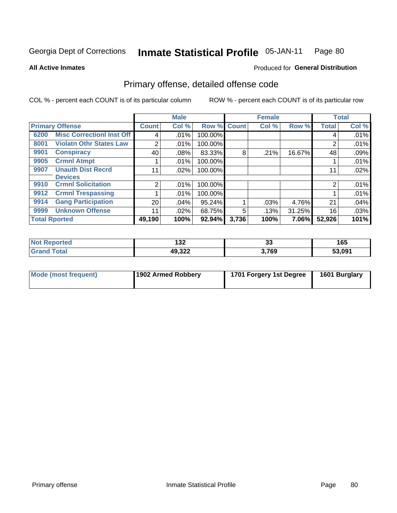### Inmate Statistical Profile 05-JAN-11 Page 80

### **All Active Inmates**

# **Produced for General Distribution**

# Primary offense, detailed offense code

COL % - percent each COUNT is of its particular column

|      |                                  |              | <b>Male</b> |         |              | <b>Female</b> |        |              | <b>Total</b> |
|------|----------------------------------|--------------|-------------|---------|--------------|---------------|--------|--------------|--------------|
|      | <b>Primary Offense</b>           | <b>Count</b> | Col %       | Row %   | <b>Count</b> | Col %         | Row %  | <b>Total</b> | Col %        |
| 6200 | <b>Misc Correctionl Inst Off</b> | 4            | .01%        | 100.00% |              |               |        | 4            | .01%         |
| 8001 | <b>Violatn Othr States Law</b>   | 2            | .01%        | 100.00% |              |               |        | 2            | .01%         |
| 9901 | <b>Conspiracy</b>                | 40           | .08%        | 83.33%  | 8            | .21%          | 16.67% | 48           | .09%         |
| 9905 | <b>Crmnl Atmpt</b>               |              | .01%        | 100.00% |              |               |        |              | .01%         |
| 9907 | <b>Unauth Dist Recrd</b>         | 11           | .02%        | 100.00% |              |               |        | 11           | .02%         |
|      | <b>Devices</b>                   |              |             |         |              |               |        |              |              |
| 9910 | <b>Crmnl Solicitation</b>        | 2            | .01%        | 100.00% |              |               |        | 2            | .01%         |
| 9912 | <b>Crmnl Trespassing</b>         |              | $.01\%$     | 100.00% |              |               |        |              | .01%         |
| 9914 | <b>Gang Participation</b>        | 20           | $.04\%$     | 95.24%  |              | $.03\%$       | 4.76%  | 21           | .04%         |
| 9999 | <b>Unknown Offense</b>           | 11           | .02%        | 68.75%  | 5            | .13%          | 31.25% | 16           | .03%         |
|      | <b>Total Rported</b>             | 49,190       | 100%        | 92.94%  | 3,736        | 100%          | 7.06%  | 52,926       | 101%         |

| orted<br>NG | ,,,<br>IJZ<br>___ | n.<br>JJ | <b>16F</b><br>כט ו |
|-------------|-------------------|----------|--------------------|
| . Gr        | ררכ הו<br>49.322  | 3,769    | 53,091             |

| Mode (most frequent) | 1902 Armed Robbery | 1701 Forgery 1st Degree | 1601 Burglary |
|----------------------|--------------------|-------------------------|---------------|
|----------------------|--------------------|-------------------------|---------------|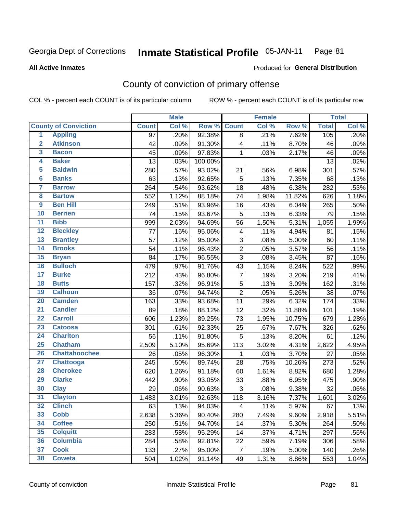#### **Inmate Statistical Profile 05-JAN-11** Page 81

### **All Active Inmates**

## Produced for General Distribution

## County of conviction of primary offense

COL % - percent each COUNT is of its particular column

|                 |                             |                 | <b>Male</b> |         |                | Female |        |              | <b>Total</b> |
|-----------------|-----------------------------|-----------------|-------------|---------|----------------|--------|--------|--------------|--------------|
|                 | <b>County of Conviction</b> | <b>Count</b>    | Col %       | Row %   | <b>Count</b>   | Col %  | Row %  | <b>Total</b> | Col %        |
| $\overline{1}$  | <b>Appling</b>              | $\overline{97}$ | .20%        | 92.38%  | 8              | .21%   | 7.62%  | 105          | .20%         |
| $\overline{2}$  | <b>Atkinson</b>             | 42              | .09%        | 91.30%  | 4              | .11%   | 8.70%  | 46           | .09%         |
| 3               | <b>Bacon</b>                | 45              | .09%        | 97.83%  | 1              | .03%   | 2.17%  | 46           | .09%         |
| 4               | <b>Baker</b>                | 13              | .03%        | 100.00% |                |        |        | 13           | .02%         |
| $\overline{5}$  | <b>Baldwin</b>              | 280             | .57%        | 93.02%  | 21             | .56%   | 6.98%  | 301          | .57%         |
| $6\phantom{a}$  | <b>Banks</b>                | 63              | .13%        | 92.65%  | 5              | .13%   | 7.35%  | 68           | .13%         |
| 7               | <b>Barrow</b>               | 264             | .54%        | 93.62%  | 18             | .48%   | 6.38%  | 282          | .53%         |
| 8               | <b>Bartow</b>               | 552             | 1.12%       | 88.18%  | 74             | 1.98%  | 11.82% | 626          | 1.18%        |
| $\overline{9}$  | <b>Ben Hill</b>             | 249             | .51%        | 93.96%  | 16             | .43%   | 6.04%  | 265          | .50%         |
| 10              | <b>Berrien</b>              | 74              | .15%        | 93.67%  | 5              | .13%   | 6.33%  | 79           | .15%         |
| $\overline{11}$ | <b>Bibb</b>                 | 999             | 2.03%       | 94.69%  | 56             | 1.50%  | 5.31%  | 1,055        | 1.99%        |
| 12              | <b>Bleckley</b>             | 77              | .16%        | 95.06%  | 4              | .11%   | 4.94%  | 81           | .15%         |
| 13              | <b>Brantley</b>             | 57              | .12%        | 95.00%  | 3              | .08%   | 5.00%  | 60           | .11%         |
| $\overline{14}$ | <b>Brooks</b>               | 54              | .11%        | 96.43%  | $\overline{2}$ | .05%   | 3.57%  | 56           | .11%         |
| $\overline{15}$ | <b>Bryan</b>                | 84              | .17%        | 96.55%  | $\overline{3}$ | .08%   | 3.45%  | 87           | .16%         |
| 16              | <b>Bulloch</b>              | 479             | .97%        | 91.76%  | 43             | 1.15%  | 8.24%  | 522          | .99%         |
| $\overline{17}$ | <b>Burke</b>                | 212             | .43%        | 96.80%  | $\overline{7}$ | .19%   | 3.20%  | 219          | .41%         |
| 18              | <b>Butts</b>                | 157             | .32%        | 96.91%  | 5              | .13%   | 3.09%  | 162          | .31%         |
| 19              | <b>Calhoun</b>              | 36              | .07%        | 94.74%  | $\overline{2}$ | .05%   | 5.26%  | 38           | .07%         |
| 20              | <b>Camden</b>               | 163             | .33%        | 93.68%  | 11             | .29%   | 6.32%  | 174          | .33%         |
| $\overline{21}$ | <b>Candler</b>              | 89              | .18%        | 88.12%  | 12             | .32%   | 11.88% | 101          | .19%         |
| $\overline{22}$ | <b>Carroll</b>              | 606             | 1.23%       | 89.25%  | 73             | 1.95%  | 10.75% | 679          | 1.28%        |
| 23              | <b>Catoosa</b>              | 301             | .61%        | 92.33%  | 25             | .67%   | 7.67%  | 326          | .62%         |
| $\overline{24}$ | <b>Charlton</b>             | 56              | .11%        | 91.80%  | $\sqrt{5}$     | .13%   | 8.20%  | 61           | .12%         |
| $\overline{25}$ | <b>Chatham</b>              | 2,509           | 5.10%       | 95.69%  | 113            | 3.02%  | 4.31%  | 2,622        | 4.95%        |
| 26              | <b>Chattahoochee</b>        | 26              | .05%        | 96.30%  | 1              | .03%   | 3.70%  | 27           | .05%         |
| $\overline{27}$ | <b>Chattooga</b>            | 245             | .50%        | 89.74%  | 28             | .75%   | 10.26% | 273          | .52%         |
| 28              | <b>Cherokee</b>             | 620             | 1.26%       | 91.18%  | 60             | 1.61%  | 8.82%  | 680          | 1.28%        |
| 29              | <b>Clarke</b>               | 442             | .90%        | 93.05%  | 33             | .88%   | 6.95%  | 475          | .90%         |
| 30              | <b>Clay</b>                 | 29              | .06%        | 90.63%  | 3              | .08%   | 9.38%  | 32           | .06%         |
| $\overline{31}$ | <b>Clayton</b>              | 1,483           | 3.01%       | 92.63%  | 118            | 3.16%  | 7.37%  | 1,601        | 3.02%        |
| 32              | <b>Clinch</b>               | 63              | .13%        | 94.03%  | 4              | .11%   | 5.97%  | 67           | .13%         |
| 33              | <b>Cobb</b>                 | 2,638           | 5.36%       | 90.40%  | 280            | 7.49%  | 9.60%  | 2,918        | 5.51%        |
| 34              | <b>Coffee</b>               | 250             | .51%        | 94.70%  | 14             | .37%   | 5.30%  | 264          | .50%         |
| 35              | <b>Colquitt</b>             | 283             | .58%        | 95.29%  | 14             | .37%   | 4.71%  | 297          | .56%         |
| 36              | <b>Columbia</b>             | 284             | .58%        | 92.81%  | 22             | .59%   | 7.19%  | 306          | .58%         |
| 37              | <b>Cook</b>                 | 133             | .27%        | 95.00%  | $\overline{7}$ | .19%   | 5.00%  | 140          | .26%         |
| 38              | <b>Coweta</b>               | 504             | 1.02%       | 91.14%  | 49             | 1.31%  | 8.86%  | 553          | 1.04%        |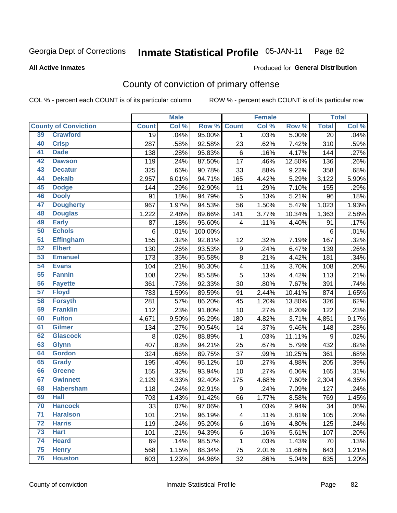### **Inmate Statistical Profile 05-JAN-11** Page 82

### **All Active Inmates**

## Produced for General Distribution

# County of conviction of primary offense

COL % - percent each COUNT is of its particular column

|                 |                             |                 | <b>Male</b> |         |                  | <b>Female</b> |        |                 | <b>Total</b> |
|-----------------|-----------------------------|-----------------|-------------|---------|------------------|---------------|--------|-----------------|--------------|
|                 | <b>County of Conviction</b> | <b>Count</b>    | Col %       | Row %   | <b>Count</b>     | Col %         | Row %  | <b>Total</b>    | Col %        |
| 39              | <b>Crawford</b>             | $\overline{19}$ | .04%        | 95.00%  | $\mathbf 1$      | .03%          | 5.00%  | $\overline{20}$ | .04%         |
| 40              | <b>Crisp</b>                | 287             | .58%        | 92.58%  | 23               | .62%          | 7.42%  | 310             | .59%         |
| 41              | <b>Dade</b>                 | 138             | .28%        | 95.83%  | $\,6$            | .16%          | 4.17%  | 144             | .27%         |
| 42              | <b>Dawson</b>               | 119             | .24%        | 87.50%  | 17               | .46%          | 12.50% | 136             | .26%         |
| 43              | <b>Decatur</b>              | 325             | .66%        | 90.78%  | 33               | .88%          | 9.22%  | 358             | .68%         |
| 44              | <b>Dekalb</b>               | 2,957           | 6.01%       | 94.71%  | 165              | 4.42%         | 5.29%  | 3,122           | 5.90%        |
| 45              | <b>Dodge</b>                | 144             | .29%        | 92.90%  | 11               | .29%          | 7.10%  | 155             | .29%         |
| 46              | <b>Dooly</b>                | 91              | .18%        | 94.79%  | 5                | .13%          | 5.21%  | 96              | .18%         |
| 47              | <b>Dougherty</b>            | 967             | 1.97%       | 94.53%  | 56               | 1.50%         | 5.47%  | 1,023           | 1.93%        |
| 48              | <b>Douglas</b>              | 1,222           | 2.48%       | 89.66%  | 141              | 3.77%         | 10.34% | 1,363           | 2.58%        |
| 49              | <b>Early</b>                | 87              | .18%        | 95.60%  | 4                | .11%          | 4.40%  | 91              | .17%         |
| 50              | <b>Echols</b>               | 6               | .01%        | 100.00% |                  |               |        | 6               | .01%         |
| 51              | <b>Effingham</b>            | 155             | .32%        | 92.81%  | 12               | .32%          | 7.19%  | 167             | .32%         |
| 52              | <b>Elbert</b>               | 130             | .26%        | 93.53%  | $\boldsymbol{9}$ | .24%          | 6.47%  | 139             | .26%         |
| 53              | <b>Emanuel</b>              | 173             | .35%        | 95.58%  | 8                | .21%          | 4.42%  | 181             | .34%         |
| 54              | <b>Evans</b>                | 104             | .21%        | 96.30%  | 4                | .11%          | 3.70%  | 108             | .20%         |
| 55              | <b>Fannin</b>               | 108             | .22%        | 95.58%  | 5                | .13%          | 4.42%  | 113             | .21%         |
| 56              | <b>Fayette</b>              | 361             | .73%        | 92.33%  | 30               | .80%          | 7.67%  | 391             | .74%         |
| 57              | <b>Floyd</b>                | 783             | 1.59%       | 89.59%  | 91               | 2.44%         | 10.41% | 874             | 1.65%        |
| 58              | <b>Forsyth</b>              | 281             | .57%        | 86.20%  | 45               | 1.20%         | 13.80% | 326             | .62%         |
| 59              | <b>Franklin</b>             | 112             | .23%        | 91.80%  | 10               | .27%          | 8.20%  | 122             | .23%         |
| 60              | <b>Fulton</b>               | 4,671           | 9.50%       | 96.29%  | 180              | 4.82%         | 3.71%  | 4,851           | 9.17%        |
| 61              | <b>Gilmer</b>               | 134             | .27%        | 90.54%  | 14               | .37%          | 9.46%  | 148             | .28%         |
| 62              | <b>Glascock</b>             | 8               | .02%        | 88.89%  | $\mathbf 1$      | .03%          | 11.11% | 9               | .02%         |
| 63              | <b>Glynn</b>                | 407             | .83%        | 94.21%  | 25               | .67%          | 5.79%  | 432             | .82%         |
| 64              | <b>Gordon</b>               | 324             | .66%        | 89.75%  | 37               | .99%          | 10.25% | 361             | .68%         |
| 65              | <b>Grady</b>                | 195             | .40%        | 95.12%  | 10               | .27%          | 4.88%  | 205             | .39%         |
| 66              | <b>Greene</b>               | 155             | .32%        | 93.94%  | 10               | .27%          | 6.06%  | 165             | .31%         |
| 67              | <b>Gwinnett</b>             | 2,129           | 4.33%       | 92.40%  | 175              | 4.68%         | 7.60%  | 2,304           | 4.35%        |
| 68              | <b>Habersham</b>            | 118             | .24%        | 92.91%  | $\boldsymbol{9}$ | .24%          | 7.09%  | 127             | .24%         |
| 69              | <b>Hall</b>                 | 703             | 1.43%       | 91.42%  | 66               | 1.77%         | 8.58%  | 769             | 1.45%        |
| 70              | <b>Hancock</b>              | 33              | .07%        | 97.06%  | 1                | .03%          | 2.94%  | 34              | $.06\%$      |
| 71              | <b>Haralson</b>             | 101             | .21%        | 96.19%  | 4                | .11%          | 3.81%  | 105             | .20%         |
| $\overline{72}$ | <b>Harris</b>               | 119             | .24%        | 95.20%  | 6                | .16%          | 4.80%  | 125             | .24%         |
| 73              | <b>Hart</b>                 | 101             | .21%        | 94.39%  | 6                | .16%          | 5.61%  | 107             | .20%         |
| 74              | <b>Heard</b>                | 69              | .14%        | 98.57%  | 1                | .03%          | 1.43%  | 70              | .13%         |
| 75              | <b>Henry</b>                | 568             | 1.15%       | 88.34%  | 75               | 2.01%         | 11.66% | 643             | 1.21%        |
| 76              | <b>Houston</b>              | 603             | 1.23%       | 94.96%  | 32               | .86%          | 5.04%  | 635             | 1.20%        |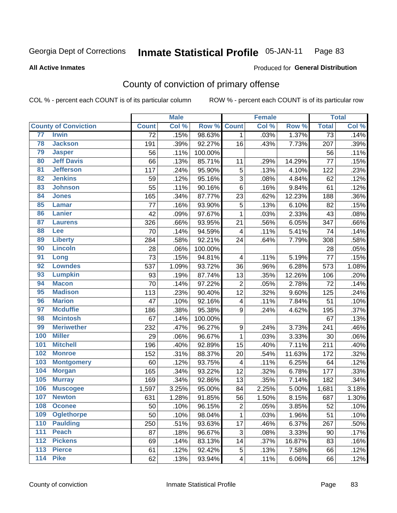### **Inmate Statistical Profile 05-JAN-11** Page 83

### **All Active Inmates**

## Produced for General Distribution

# County of conviction of primary offense

COL % - percent each COUNT is of its particular column

|                   |                             |                 | <b>Male</b> |         |                          | <b>Female</b> |        |                 | <b>Total</b> |
|-------------------|-----------------------------|-----------------|-------------|---------|--------------------------|---------------|--------|-----------------|--------------|
|                   | <b>County of Conviction</b> | <b>Count</b>    | Col %       | Row %   | <b>Count</b>             | Col %         | Row %  | <b>Total</b>    | Col %        |
| 77                | <b>Irwin</b>                | $\overline{72}$ | .15%        | 98.63%  | $\mathbf{1}$             | .03%          | 1.37%  | $\overline{73}$ | .14%         |
| 78                | <b>Jackson</b>              | 191             | .39%        | 92.27%  | 16                       | .43%          | 7.73%  | 207             | .39%         |
| 79                | <b>Jasper</b>               | 56              | .11%        | 100.00% |                          |               |        | 56              | .11%         |
| 80                | <b>Jeff Davis</b>           | 66              | .13%        | 85.71%  | 11                       | .29%          | 14.29% | 77              | .15%         |
| 81                | <b>Jefferson</b>            | 117             | .24%        | 95.90%  | 5                        | .13%          | 4.10%  | 122             | .23%         |
| 82                | <b>Jenkins</b>              | 59              | .12%        | 95.16%  | $\sqrt{3}$               | .08%          | 4.84%  | 62              | .12%         |
| 83                | <b>Johnson</b>              | 55              | $.11\%$     | 90.16%  | $\,6$                    | .16%          | 9.84%  | 61              | .12%         |
| 84                | <b>Jones</b>                | 165             | .34%        | 87.77%  | 23                       | .62%          | 12.23% | 188             | .36%         |
| 85                | <b>Lamar</b>                | 77              | .16%        | 93.90%  | 5                        | .13%          | 6.10%  | 82              | .15%         |
| 86                | <b>Lanier</b>               | 42              | .09%        | 97.67%  | $\mathbf{1}$             | .03%          | 2.33%  | 43              | .08%         |
| 87                | <b>Laurens</b>              | 326             | .66%        | 93.95%  | 21                       | .56%          | 6.05%  | 347             | .66%         |
| 88                | Lee                         | 70              | .14%        | 94.59%  | 4                        | .11%          | 5.41%  | 74              | .14%         |
| 89                | <b>Liberty</b>              | 284             | .58%        | 92.21%  | 24                       | .64%          | 7.79%  | 308             | .58%         |
| 90                | <b>Lincoln</b>              | 28              | .06%        | 100.00% |                          |               |        | 28              | .05%         |
| 91                | Long                        | 73              | .15%        | 94.81%  | $\overline{\mathbf{4}}$  | .11%          | 5.19%  | 77              | .15%         |
| 92                | <b>Lowndes</b>              | 537             | 1.09%       | 93.72%  | 36                       | .96%          | 6.28%  | 573             | 1.08%        |
| 93                | <b>Lumpkin</b>              | 93              | .19%        | 87.74%  | 13                       | .35%          | 12.26% | 106             | .20%         |
| 94                | <b>Macon</b>                | 70              | .14%        | 97.22%  | $\overline{2}$           | .05%          | 2.78%  | 72              | .14%         |
| 95                | <b>Madison</b>              | 113             | .23%        | 90.40%  | 12                       | .32%          | 9.60%  | 125             | .24%         |
| 96                | <b>Marion</b>               | 47              | .10%        | 92.16%  | $\overline{\mathcal{A}}$ | .11%          | 7.84%  | 51              | .10%         |
| 97                | <b>Mcduffie</b>             | 186             | .38%        | 95.38%  | 9                        | .24%          | 4.62%  | 195             | .37%         |
| 98                | <b>Mcintosh</b>             | 67              | .14%        | 100.00% |                          |               |        | 67              | .13%         |
| 99                | <b>Meriwether</b>           | 232             | .47%        | 96.27%  | $\boldsymbol{9}$         | .24%          | 3.73%  | 241             | .46%         |
| 100               | <b>Miller</b>               | 29              | .06%        | 96.67%  | $\mathbf 1$              | .03%          | 3.33%  | 30              | .06%         |
| 101               | <b>Mitchell</b>             | 196             | .40%        | 92.89%  | 15                       | .40%          | 7.11%  | 211             | .40%         |
| 102               | <b>Monroe</b>               | 152             | .31%        | 88.37%  | 20                       | .54%          | 11.63% | 172             | .32%         |
| 103               | <b>Montgomery</b>           | 60              | .12%        | 93.75%  | 4                        | .11%          | 6.25%  | 64              | .12%         |
| 104               | <b>Morgan</b>               | 165             | .34%        | 93.22%  | 12                       | .32%          | 6.78%  | 177             | .33%         |
| 105               | <b>Murray</b>               | 169             | .34%        | 92.86%  | 13                       | .35%          | 7.14%  | 182             | .34%         |
| 106               | <b>Muscogee</b>             | 1,597           | 3.25%       | 95.00%  | 84                       | 2.25%         | 5.00%  | 1,681           | 3.18%        |
| 107               | <b>Newton</b>               | 631             | 1.28%       | 91.85%  | 56                       | 1.50%         | 8.15%  | 687             | 1.30%        |
| 108               | <b>Oconee</b>               | 50              | .10%        | 96.15%  | $\overline{c}$           | .05%          | 3.85%  | 52              | .10%         |
| 109               | <b>Oglethorpe</b>           | 50              | .10%        | 98.04%  | $\mathbf{1}$             | .03%          | 1.96%  | 51              | .10%         |
| 110               | <b>Paulding</b>             | 250             | .51%        | 93.63%  | 17                       | .46%          | 6.37%  | 267             | .50%         |
| 111               | <b>Peach</b>                | 87              | .18%        | 96.67%  | 3                        | .08%          | 3.33%  | 90              | .17%         |
| 112               | <b>Pickens</b>              | 69              | .14%        | 83.13%  | 14                       | .37%          | 16.87% | 83              | .16%         |
| 113               | <b>Pierce</b>               | 61              | .12%        | 92.42%  | 5                        | .13%          | 7.58%  | 66              | .12%         |
| $\frac{114}{114}$ | <b>Pike</b>                 | 62              | .13%        | 93.94%  | $\overline{\mathbf{4}}$  | .11%          | 6.06%  | 66              | .12%         |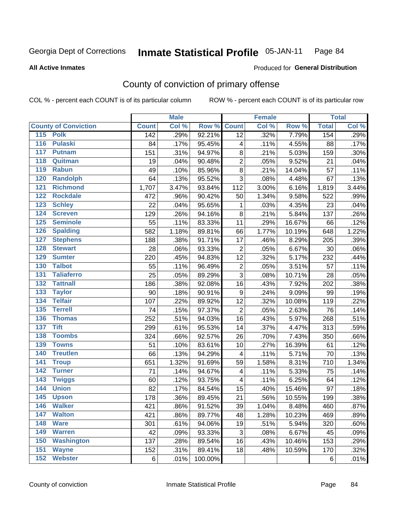### Inmate Statistical Profile 05-JAN-11 Page 84

### **All Active Inmates**

## **Produced for General Distribution**

# County of conviction of primary offense

COL % - percent each COUNT is of its particular column

|                                   |              | <b>Male</b> |         |                         | <b>Female</b> |        |              | <b>Total</b> |
|-----------------------------------|--------------|-------------|---------|-------------------------|---------------|--------|--------------|--------------|
| <b>County of Conviction</b>       | <b>Count</b> | Col %       | Row %   | <b>Count</b>            | Col %         | Row %  | <b>Total</b> | Col %        |
| 115 Polk                          | 142          | .29%        | 92.21%  | 12                      | .32%          | 7.79%  | 154          | .29%         |
| 116<br><b>Pulaski</b>             | 84           | .17%        | 95.45%  | 4                       | .11%          | 4.55%  | 88           | .17%         |
| 117<br><b>Putnam</b>              | 151          | .31%        | 94.97%  | 8                       | .21%          | 5.03%  | 159          | .30%         |
| 118<br>Quitman                    | 19           | .04%        | 90.48%  | $\overline{2}$          | .05%          | 9.52%  | 21           | .04%         |
| 119<br><b>Rabun</b>               | 49           | .10%        | 85.96%  | $\bf 8$                 | .21%          | 14.04% | 57           | .11%         |
| 120<br><b>Randolph</b>            | 64           | .13%        | 95.52%  | 3                       | .08%          | 4.48%  | 67           | .13%         |
| 121<br><b>Richmond</b>            | 1,707        | 3.47%       | 93.84%  | 112                     | 3.00%         | 6.16%  | 1,819        | 3.44%        |
| 122<br><b>Rockdale</b>            | 472          | .96%        | 90.42%  | 50                      | 1.34%         | 9.58%  | 522          | .99%         |
| 123<br><b>Schley</b>              | 22           | .04%        | 95.65%  | 1                       | .03%          | 4.35%  | 23           | .04%         |
| 124<br><b>Screven</b>             | 129          | .26%        | 94.16%  | 8                       | .21%          | 5.84%  | 137          | .26%         |
| <b>Seminole</b><br>125            | 55           | .11%        | 83.33%  | 11                      | .29%          | 16.67% | 66           | .12%         |
| 126<br><b>Spalding</b>            | 582          | 1.18%       | 89.81%  | 66                      | 1.77%         | 10.19% | 648          | 1.22%        |
| 127<br><b>Stephens</b>            | 188          | .38%        | 91.71%  | 17                      | .46%          | 8.29%  | 205          | .39%         |
| 128<br><b>Stewart</b>             | 28           | .06%        | 93.33%  | $\overline{2}$          | .05%          | 6.67%  | 30           | .06%         |
| 129<br><b>Sumter</b>              | 220          | .45%        | 94.83%  | 12                      | .32%          | 5.17%  | 232          | .44%         |
| <b>Talbot</b><br>130              | 55           | .11%        | 96.49%  | $\mathbf 2$             | .05%          | 3.51%  | 57           | .11%         |
| 131<br><b>Taliaferro</b>          | 25           | .05%        | 89.29%  | 3                       | .08%          | 10.71% | 28           | .05%         |
| <b>Tattnall</b><br>132            | 186          | .38%        | 92.08%  | 16                      | .43%          | 7.92%  | 202          | .38%         |
| 133<br><b>Taylor</b>              | 90           | .18%        | 90.91%  | $\boldsymbol{9}$        | .24%          | 9.09%  | 99           | .19%         |
| <b>Telfair</b><br>134             | 107          | .22%        | 89.92%  | 12                      | .32%          | 10.08% | 119          | .22%         |
| 135<br><b>Terrell</b>             | 74           | .15%        | 97.37%  | $\overline{2}$          | .05%          | 2.63%  | 76           | .14%         |
| <b>Thomas</b><br>136              | 252          | .51%        | 94.03%  | 16                      | .43%          | 5.97%  | 268          | .51%         |
| <b>Tift</b><br>137                | 299          | .61%        | 95.53%  | 14                      | .37%          | 4.47%  | 313          | .59%         |
| <b>Toombs</b><br>138              | 324          | .66%        | 92.57%  | 26                      | .70%          | 7.43%  | 350          | .66%         |
| 139<br><b>Towns</b>               | 51           | .10%        | 83.61%  | 10                      | .27%          | 16.39% | 61           | .12%         |
| 140<br><b>Treutlen</b>            | 66           | .13%        | 94.29%  | $\overline{\mathbf{4}}$ | .11%          | 5.71%  | 70           | .13%         |
| 141<br><b>Troup</b>               | 651          | 1.32%       | 91.69%  | 59                      | 1.58%         | 8.31%  | 710          | 1.34%        |
| <b>Turner</b><br>142              | 71           | .14%        | 94.67%  | $\overline{\mathbf{4}}$ | .11%          | 5.33%  | 75           | .14%         |
| $\overline{143}$<br><b>Twiggs</b> | 60           | .12%        | 93.75%  | 4                       | .11%          | 6.25%  | 64           | .12%         |
| 144<br><b>Union</b>               | 82           | .17%        | 84.54%  | 15                      | .40%          | 15.46% | 97           | .18%         |
| 145<br><b>Upson</b>               | 178          | .36%        | 89.45%  | 21                      | .56%          | 10.55% | 199          | .38%         |
| 146<br><b>Walker</b>              | 421          | .86%        | 91.52%  | 39                      | 1.04%         | 8.48%  | 460          | .87%         |
| 147<br><b>Walton</b>              | 421          | .86%        | 89.77%  | 48                      | 1.28%         | 10.23% | 469          | .89%         |
| 148<br><b>Ware</b>                | 301          | .61%        | 94.06%  | 19                      | .51%          | 5.94%  | 320          | .60%         |
| <b>Warren</b><br>149              | 42           | .09%        | 93.33%  | 3                       | .08%          | 6.67%  | 45           | .09%         |
| 150<br><b>Washington</b>          | 137          | .28%        | 89.54%  | 16                      | .43%          | 10.46% | 153          | .29%         |
| 151<br><b>Wayne</b>               | 152          | .31%        | 89.41%  | 18                      | .48%          | 10.59% | 170          | .32%         |
| <b>Webster</b><br>152             | 6            | .01%        | 100.00% |                         |               |        | 6            | .01%         |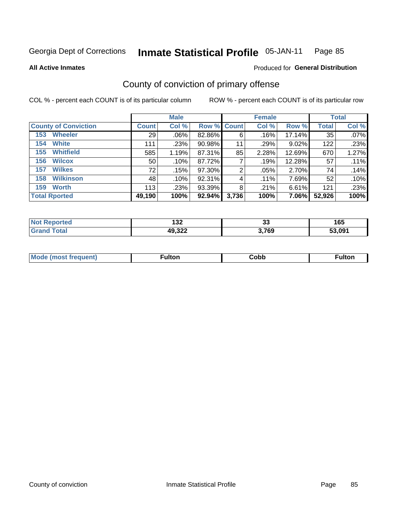### **Inmate Statistical Profile 05-JAN-11** Page 85

**All Active Inmates** 

### Produced for General Distribution

# County of conviction of primary offense

COL % - percent each COUNT is of its particular column

|                             |              | <b>Male</b> |             |       | <b>Female</b> |           |              | <b>Total</b> |
|-----------------------------|--------------|-------------|-------------|-------|---------------|-----------|--------------|--------------|
| <b>County of Conviction</b> | <b>Count</b> | Col %       | Row % Count |       | Col %         | Row %     | <b>Total</b> | Col %        |
| <b>Wheeler</b><br>153       | 29           | $.06\%$     | 82.86%      | 6     | .16%          | $17.14\%$ | 35           | $.07\%$      |
| <b>White</b><br>154         | 111          | .23%        | 90.98%      | 11    | .29%          | 9.02%     | 122          | .23%         |
| <b>Whitfield</b><br>155     | 585          | 1.19%       | 87.31%      | 85    | 2.28%         | 12.69%    | 670          | 1.27%        |
| <b>Wilcox</b><br>156        | 50           | .10%        | 87.72%      |       | .19%          | 12.28%    | 57           | .11%         |
| <b>Wilkes</b><br>157        | 72           | .15%        | 97.30%      | 2     | .05%          | 2.70%     | 74           | .14%         |
| <b>Wilkinson</b><br>158     | 48           | .10%        | 92.31%      | 4     | $.11\%$       | 7.69%     | 52           | .10%         |
| <b>Worth</b><br>159         | 113          | .23%        | 93.39%      | 8     | .21%          | 6.61%     | 121          | .23%         |
| <b>Total Rported</b>        | 49,190       | 100%        | 92.94%      | 3,736 | 100%          | 7.06%     | 52,926       | 100%         |

| тео   | 199    | $\sim$ | 16F                |
|-------|--------|--------|--------------------|
| N     | ے د ا  | ◡      | 10J                |
| 'ota. | 49,322 | 3,769  | 53.09 <sup>4</sup> |

| <b>Mode</b><br>---<br>uenn<br>most trea | ·ultor. | Cobb | ™ulton |
|-----------------------------------------|---------|------|--------|
|                                         |         |      |        |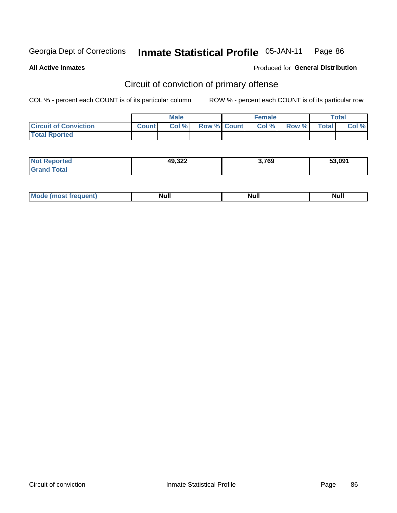#### **Inmate Statistical Profile 05-JAN-11** Page 86

**All Active Inmates** 

Produced for General Distribution

# Circuit of conviction of primary offense

COL % - percent each COUNT is of its particular column

|                              |              | <b>Male</b> |                    | <b>Female</b> |       |              | Total |
|------------------------------|--------------|-------------|--------------------|---------------|-------|--------------|-------|
| <b>Circuit of Conviction</b> | <b>Count</b> | Col %       | <b>Row % Count</b> | Col %         | Row % | <b>Total</b> | Col % |
| <b>Total Rported</b>         |              |             |                    |               |       |              |       |

| <b>Not Reported</b>  | 49,322 | 3,769 | 53,091 |
|----------------------|--------|-------|--------|
| <b>Total</b><br>Gran |        |       |        |

| <b>Mode</b><br><b>Most frequent)</b> ( | <b>Null</b> | <b>Null</b> | Nul. |
|----------------------------------------|-------------|-------------|------|
|----------------------------------------|-------------|-------------|------|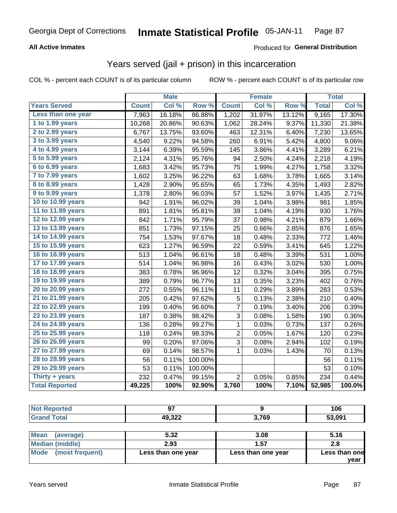#### **Inmate Statistical Profile 05-JAN-11** Page 87

## **All Active Inmates**

## Produced for General Distribution

# Years served (jail + prison) in this incarceration

COL % - percent each COUNT is of its particular column

|                       |              | <b>Male</b> |         |                         | <b>Female</b> |        |              | <b>Total</b> |
|-----------------------|--------------|-------------|---------|-------------------------|---------------|--------|--------------|--------------|
| <b>Years Served</b>   | <b>Count</b> | Col %       | Row %   | <b>Count</b>            | Col %         | Row %  | <b>Total</b> | Col %        |
| Less than one year    | 7,963        | 16.18%      | 86.88%  | 1,202                   | 31.97%        | 13.12% | 9,165        | 17.30%       |
| 1 to 1.99 years       | 10,268       | 20.86%      | 90.63%  | 1,062                   | 28.24%        | 9.37%  | 11,330       | 21.38%       |
| 2 to 2.99 years       | 6,767        | 13.75%      | 93.60%  | 463                     | 12.31%        | 6.40%  | 7,230        | 13.65%       |
| 3 to 3.99 years       | 4,540        | 9.22%       | 94.58%  | 260                     | 6.91%         | 5.42%  | 4,800        | 9.06%        |
| 4 to 4.99 years       | 3,144        | 6.39%       | 95.59%  | 145                     | 3.86%         | 4.41%  | 3,289        | 6.21%        |
| 5 to 5.99 years       | 2,124        | 4.31%       | 95.76%  | 94                      | 2.50%         | 4.24%  | 2,218        | 4.19%        |
| 6 to 6.99 years       | 1,683        | 3.42%       | 95.73%  | 75                      | 1.99%         | 4.27%  | 1,758        | 3.32%        |
| 7 to 7.99 years       | 1,602        | 3.25%       | 96.22%  | 63                      | 1.68%         | 3.78%  | 1,665        | 3.14%        |
| 8 to 8.99 years       | 1,428        | 2.90%       | 95.65%  | 65                      | 1.73%         | 4.35%  | 1,493        | 2.82%        |
| 9 to 9.99 years       | 1,378        | 2.80%       | 96.03%  | 57                      | 1.52%         | 3.97%  | 1,435        | 2.71%        |
| 10 to 10.99 years     | 942          | 1.91%       | 96.02%  | 39                      | 1.04%         | 3.98%  | 981          | 1.85%        |
| 11 to 11.99 years     | 891          | 1.81%       | 95.81%  | 39                      | 1.04%         | 4.19%  | 930          | 1.76%        |
| 12 to 12.99 years     | 842          | 1.71%       | 95.79%  | 37                      | 0.98%         | 4.21%  | 879          | 1.66%        |
| 13 to 13.99 years     | 851          | 1.73%       | 97.15%  | 25                      | 0.66%         | 2.85%  | 876          | 1.65%        |
| 14 to 14.99 years     | 754          | 1.53%       | 97.67%  | 18                      | 0.48%         | 2.33%  | 772          | 1.46%        |
| 15 to 15.99 years     | 623          | 1.27%       | 96.59%  | 22                      | 0.59%         | 3.41%  | 645          | 1.22%        |
| 16 to 16.99 years     | 513          | 1.04%       | 96.61%  | 18                      | 0.48%         | 3.39%  | 531          | 1.00%        |
| 17 to 17.99 years     | 514          | 1.04%       | 96.98%  | 16                      | 0.43%         | 3.02%  | 530          | 1.00%        |
| 18 to 18.99 years     | 383          | 0.78%       | 96.96%  | 12                      | 0.32%         | 3.04%  | 395          | 0.75%        |
| 19 to 19.99 years     | 389          | 0.79%       | 96.77%  | 13                      | 0.35%         | 3.23%  | 402          | 0.76%        |
| 20 to 20.99 years     | 272          | 0.55%       | 96.11%  | 11                      | 0.29%         | 3.89%  | 283          | 0.53%        |
| 21 to 21.99 years     | 205          | 0.42%       | 97.62%  | 5                       | 0.13%         | 2.38%  | 210          | 0.40%        |
| 22 to 22.99 years     | 199          | 0.40%       | 96.60%  | 7                       | 0.19%         | 3.40%  | 206          | 0.39%        |
| 23 to 23.99 years     | 187          | 0.38%       | 98.42%  | 3                       | 0.08%         | 1.58%  | 190          | 0.36%        |
| 24 to 24.99 years     | 136          | 0.28%       | 99.27%  | 1                       | 0.03%         | 0.73%  | 137          | 0.26%        |
| 25 to 25.99 years     | 118          | 0.24%       | 98.33%  | $\overline{\mathbf{c}}$ | 0.05%         | 1.67%  | 120          | 0.23%        |
| 26 to 26.99 years     | 99           | 0.20%       | 97.06%  | $\overline{3}$          | 0.08%         | 2.94%  | 102          | 0.19%        |
| 27 to 27.99 years     | 69           | 0.14%       | 98.57%  | $\mathbf 1$             | 0.03%         | 1.43%  | 70           | 0.13%        |
| 28 to 28.99 years     | 56           | 0.11%       | 100.00% |                         |               |        | 56           | 0.11%        |
| 29 to 29.99 years     | 53           | 0.11%       | 100.00% |                         |               |        | 53           | 0.10%        |
| Thirty + years        | 232          | 0.47%       | 99.15%  | $\overline{2}$          | 0.05%         | 0.85%  | 234          | 0.44%        |
| <b>Total Reported</b> | 49,225       | 100%        | 92.90%  | 3,760                   | 100%          | 7.10%  | 52,985       | 100.0%       |

| Not<br>ported | 67     |       | 106    |
|---------------|--------|-------|--------|
| Total<br>Grar | 49,322 | 3,769 | 53,091 |
|               |        |       |        |

| Mean<br>(average)    | 5.32               | 3.08               | 5.16          |
|----------------------|--------------------|--------------------|---------------|
| Median (middle)      | 2.93               | 1.57               | 2.8           |
| Mode (most frequent) | Less than one year | Less than one year | Less than one |
|                      |                    |                    | vear          |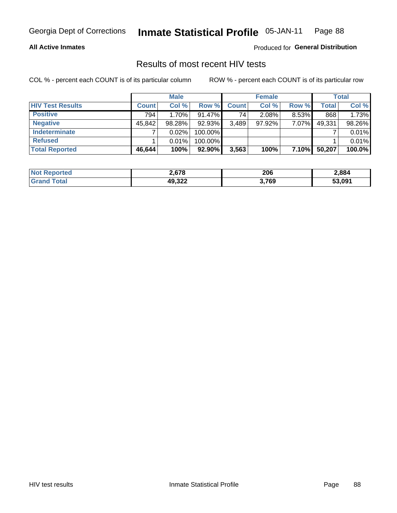#### **Inmate Statistical Profile 05-JAN-11** Page 88

## **All Active Inmates**

Produced for General Distribution

## Results of most recent HIV tests

COL % - percent each COUNT is of its particular column

|                         |              | <b>Male</b> |           |                 | <b>Female</b> |          |              | <b>Total</b> |
|-------------------------|--------------|-------------|-----------|-----------------|---------------|----------|--------------|--------------|
| <b>HIV Test Results</b> | <b>Count</b> | Col %       | Row %I    | <b>Count</b>    | Col %         | Row %    | <b>Total</b> | Col %        |
| <b>Positive</b>         | 794          | 1.70%       | $91.47\%$ | 74 <sub>1</sub> | 2.08%         | $8.53\%$ | 868          | 1.73%        |
| <b>Negative</b>         | 45,842       | 98.28%      | 92.93%    | 3,489           | $97.92\%$     | 7.07%    | 49,331       | 98.26%       |
| <b>Indeterminate</b>    |              | 0.02%       | 100.00%   |                 |               |          |              | 0.01%        |
| <b>Refused</b>          |              | 0.01%       | 100.00%   |                 |               |          |              | 0.01%        |
| <b>Total Reported</b>   | 46,644       | 100%        | 92.90%    | 3,563           | 100%          | 7.10%    | 50,207       | 100.0%       |

| <b>Not</b><br><b>rted</b><br>kepo | 2.678                   | 206   | 2,884  |
|-----------------------------------|-------------------------|-------|--------|
| Total<br><b>Grand</b>             | <b>AQ 322</b><br>43.JZL | 3,769 | 53,091 |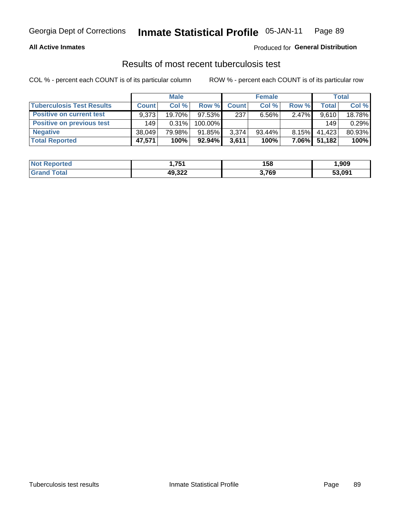#### **Inmate Statistical Profile 05-JAN-11** Page 89

## **All Active Inmates**

## Produced for General Distribution

## Results of most recent tuberculosis test

COL % - percent each COUNT is of its particular column

|                                  |              | <b>Male</b> |           |              | <b>Female</b> |          |              | Total  |
|----------------------------------|--------------|-------------|-----------|--------------|---------------|----------|--------------|--------|
| <b>Tuberculosis Test Results</b> | <b>Count</b> | Col %       | Row %     | <b>Count</b> | Col %         | Row %    | <b>Total</b> | Col %  |
| <b>Positive on current test</b>  | 9.373        | 19.70%      | $97.53\%$ | 237          | $6.56\%$      | $2.47\%$ | 9,610        | 18.78% |
| <b>Positive on previous test</b> | 149          | 0.31%       | 100.00%   |              |               |          | 149          | 0.29%  |
| <b>Negative</b>                  | 38.049       | 79.98%      | 91.85%    | 3,374        | $93.44\%$     | $8.15\%$ | 41.423       | 80.93% |
| <b>Total Reported</b>            | 47,571       | 100%        | $92.94\%$ | 3,611        | 100%          | $7.06\%$ | 51,182       | 100%   |

| <b>Not Reported</b> | <b>754</b><br>I J J I | 158   | ,909   |
|---------------------|-----------------------|-------|--------|
| Total<br>Gran       | 49,322                | 3,769 | 53,091 |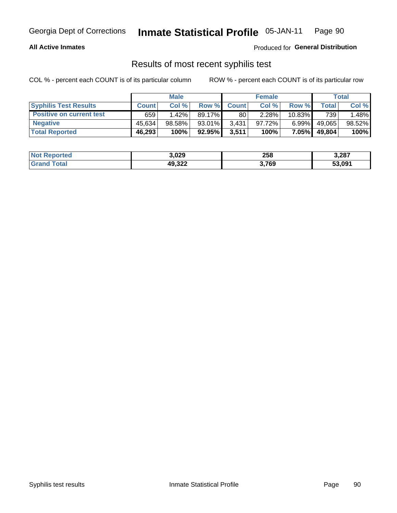# Georgia Dept of Corrections **Inmate Statistical Profile** 05-JAN-11 Page 90

## **All Active Inmates**

Produced for **General Distribution**

## Results of most recent syphilis test

COL % - percent each COUNT is of its particular column ROW % - percent each COUNT is of its particular row

|                                 | <b>Male</b>  |          |           | <b>Female</b> |           |           | Total   |        |
|---------------------------------|--------------|----------|-----------|---------------|-----------|-----------|---------|--------|
| <b>Syphilis Test Results</b>    | <b>Count</b> | Col%     | Row %     | <b>Count</b>  | Col %     | Row %     | Total I | Col %  |
| <b>Positive on current test</b> | 659          | $1.42\%$ | 89.17%    | 80            | 2.28%     | $10.83\%$ | 739     | .48%   |
| <b>Negative</b>                 | 45.634       | 98.58%   | $93.01\%$ | 3,431         | $97.72\%$ | $6.99\%$  | 49,065  | 98.52% |
| <b>Total Reported</b>           | 46,293       | 100%     | 92.95%    | 3,511         | 100%      | $7.05\%$  | 49,804  | 100%   |

| <b>Not Reported</b> | 3,029  | 258   | 3,287  |
|---------------------|--------|-------|--------|
| <b>Grand Total</b>  | 49,322 | 3,769 | 53,091 |